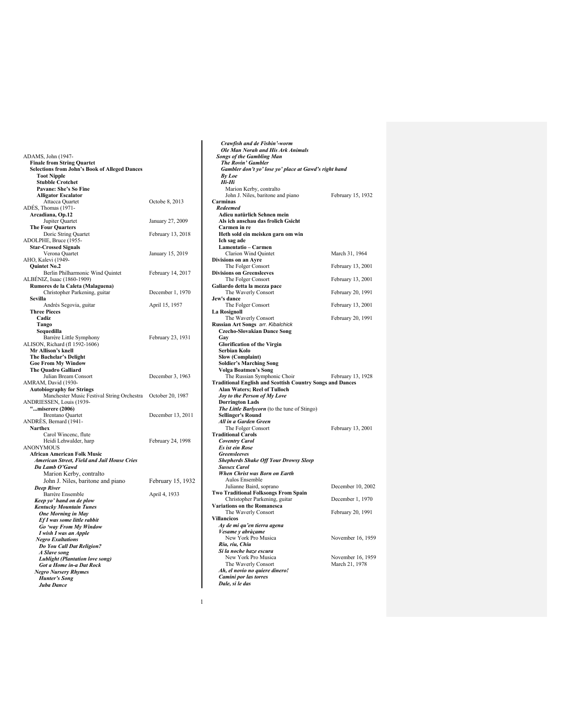| ADAMS, John (1947-                                                             |                   |
|--------------------------------------------------------------------------------|-------------------|
| <b>Finale from String Quartet</b>                                              |                   |
| <b>Selections from John's Book of Alleged Dances</b>                           |                   |
| <b>Toot Nipple</b>                                                             |                   |
| <b>Stubble Crotchet</b>                                                        |                   |
| Pavane: She's So Fine                                                          |                   |
| <b>Alligator Escalator</b>                                                     |                   |
| Attacca Quartet                                                                | Octobe 8, 2013    |
| ADES, Thomas (1971-                                                            |                   |
| Arcadiana, Op.12                                                               |                   |
| Jupiter Quartet                                                                | January 27, 2009  |
| <b>The Four Quarters</b>                                                       |                   |
| Doric String Quartet                                                           | February 13, 2018 |
| ADOLPHE, Bruce (1955-<br><b>Star-Crossed Signals</b>                           |                   |
| Verona Quartet                                                                 | January 15, 2019  |
| AHO, Kalevi (1949-                                                             |                   |
| Quintet No.2                                                                   |                   |
| Berlin Philharmonic Wind Quintet                                               | February 14, 2017 |
| ALBENIZ, Isaac (1860-1909)                                                     |                   |
| Rumores de la Caleta (Malaguena)                                               |                   |
| Christopher Parkening, guitar                                                  | December 1, 1970  |
| Sevilla                                                                        |                   |
| Andrés Segovia, guitar                                                         | April 15, 1957    |
| <b>Three Pieces</b>                                                            |                   |
| Cadiz                                                                          |                   |
| Tango                                                                          |                   |
| Sequedilla                                                                     |                   |
| Barrère Little Symphony                                                        | February 23, 1931 |
| ALISON, Richard (fl 1592-1606)                                                 |                   |
| Mr Allison's knell                                                             |                   |
| The Bachelar's Delight                                                         |                   |
| <b>Goe From My Window</b>                                                      |                   |
| The Quadro Galliard                                                            |                   |
| Julian Bream Consort                                                           | December 3, 1963  |
| AMRAM, David (1930-                                                            |                   |
| <b>Autobiography for Strings</b><br>Manchester Music Festival String Orchestra | October 20, 1987  |
| ANDRIESSEN, Louis (1939-                                                       |                   |
| "miserere (2006)                                                               |                   |
| <b>Brentano Quartet</b>                                                        | December 13, 2011 |
| ANDRES, Bernard (1941-                                                         |                   |
| <b>Narthex</b>                                                                 |                   |
| Carol Wincenc, flute                                                           |                   |
| Heidi Lehwalder, harp                                                          | February 24, 1998 |
| <b>ANONYMOUS</b>                                                               |                   |
| <b>African American Folk Music</b>                                             |                   |
| American Street, Field and Jail House Cries                                    |                   |
| Da Lamb O'Gawd                                                                 |                   |
| Marion Kerby, contralto                                                        |                   |
| John J. Niles, baritone and piano                                              | February 15, 1932 |
| <b>Deep River</b>                                                              |                   |
| Barrère Ensemble                                                               | April 4, 1933     |
| Keep yo' hand on de plow                                                       |                   |
| <b>Kentucky Mountain Tunes</b>                                                 |                   |
| <b>One Morning in May</b>                                                      |                   |
| Ef I was some little rabbit                                                    |                   |
| Go 'way From My Window                                                         |                   |
| I wish I was an Apple                                                          |                   |
| <b>Negro Exaltations</b>                                                       |                   |
| Do You Call Dat Religion?                                                      |                   |
| A Slave song<br><b>Lublight (Plantation love song)</b>                         |                   |
| <b>Got a Home in-a Dat Rock</b>                                                |                   |
| <b>Negro Nursery Rhymes</b>                                                    |                   |
| <b>Hunter's Song</b>                                                           |                   |
| Juba Dance                                                                     |                   |
|                                                                                |                   |

| Crawfish and de Fishin'-worm                                                                    |                   |
|-------------------------------------------------------------------------------------------------|-------------------|
| Ole Man Norah and His Ark Animals<br><b>Songs of the Gambling Man</b>                           |                   |
| The Rovin' Gambler                                                                              |                   |
| Gambler don't yo' lose yo' place at Gawd's right hand                                           |                   |
| <b>By Loe</b>                                                                                   |                   |
| Hi-Hi                                                                                           |                   |
| Marion Kerby, contralto                                                                         |                   |
| John J. Niles, baritone and piano                                                               | February 15, 1932 |
| Carminas<br><b>Redeemed</b>                                                                     |                   |
| Adieu natürlich Sehnen mein                                                                     |                   |
| Als ich anschau das frolich Gsicht                                                              |                   |
| Carmen in re                                                                                    |                   |
| Heth sold ein meisken garn om win                                                               |                   |
| Ich sag ade<br>Lamentatio - Carmen                                                              |                   |
| Clarion Wind Quintet                                                                            | March 31, 1964    |
| Divisions on an Ayre                                                                            |                   |
| The Folger Consort                                                                              | February 13, 2001 |
| <b>Divisions on Greensleeves</b>                                                                |                   |
| The Folger Consort                                                                              | February 13, 2001 |
| Galiardo detta la mezza pace                                                                    |                   |
| The Waverly Consort<br>Jew's dance                                                              | February 20, 1991 |
| The Folger Consort                                                                              | February 13, 2001 |
| <b>La Rosignoll</b>                                                                             |                   |
| The Waverly Consort                                                                             | February 20, 1991 |
| Russian Art Songs arr. Kibalchick                                                               |                   |
| <b>Czecho-Slovakian Dance Song</b><br>Gav                                                       |                   |
| <b>Glorification of the Virgin</b>                                                              |                   |
| Serbian Kolo                                                                                    |                   |
| <b>Slow (Complaint)</b>                                                                         |                   |
| <b>Soldier's Marching Song</b>                                                                  |                   |
| <b>Volga Boatmen's Song</b>                                                                     |                   |
| The Russian Symphonic Choir<br><b>Traditional English and Scottish Country Songs and Dances</b> | February 13, 1928 |
| Alan Waters; Reel of Tulloch                                                                    |                   |
| Joy to the Person of My Love                                                                    |                   |
| <b>Dorrington Lads</b>                                                                          |                   |
| The Little Barlycorn (to the tune of Stingo)                                                    |                   |
| <b>Sellinger's Round</b>                                                                        |                   |
| All in a Garden Green<br>The Folger Consort                                                     | February 13, 2001 |
| <b>Traditional Carols</b>                                                                       |                   |
| <b>Coventry Carol</b>                                                                           |                   |
| Es ist ein Rose                                                                                 |                   |
| <b>Greensleeves</b>                                                                             |                   |
| <b>Shepherds Shake Off Your Drowsy Sleep</b>                                                    |                   |
| <b>Sussex Carol</b><br><b>When Christ was Born on Earth</b>                                     |                   |
| Aulos Ensemble                                                                                  |                   |
| Julianne Baird, soprano                                                                         | December 10, 2002 |
| Two Traditional Folksongs From Spain                                                            |                   |
| Christopher Parkening, guitar                                                                   | December 1, 1970  |
| Variations on the Romanesca<br>The Waverly Consort                                              | February 20, 1991 |
| Villancicos                                                                                     |                   |
| Ay de mi qu'en tierra agena                                                                     |                   |
| Vesame y abràçame                                                                               |                   |
| New York Pro Musica                                                                             | November 16, 1959 |
| Ríu, ríu, Chíu<br>Si la noche haze escura                                                       |                   |
| New York Pro Musica                                                                             | November 16, 1959 |
| The Waverly Consort                                                                             | March 21, 1978    |
| Ah, el novio no quiere dinero!                                                                  |                   |
| Camini por las torres                                                                           |                   |
| Dale, si le das                                                                                 |                   |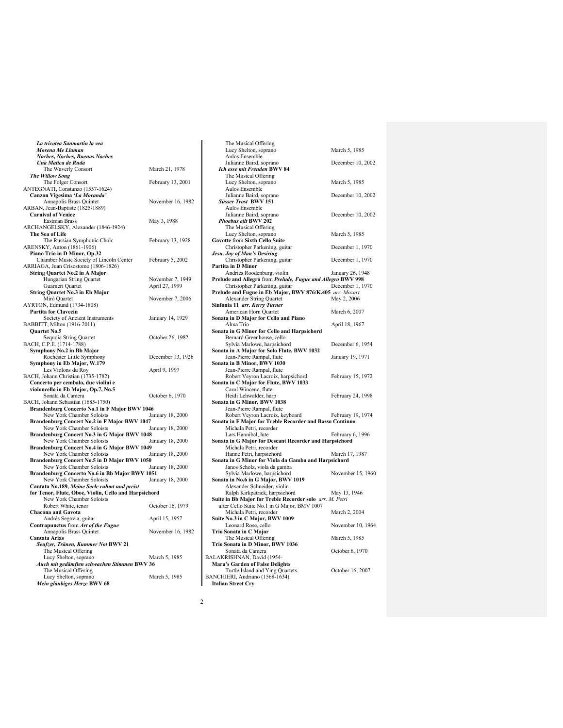| La tricotea Sanmartin la vea                          |                   |
|-------------------------------------------------------|-------------------|
| Morena Me Llaman                                      |                   |
| Noches, Noches, Buenas Noches                         |                   |
| Una Matica de Ruda                                    |                   |
| The Waverly Consort                                   | March 21, 1978    |
| <b>The Willow Song</b>                                |                   |
| The Folger Consort                                    | February 13, 2001 |
| ANTEGNATI, Constanzo (1557-1624)                      |                   |
| Canzon Vigesima 'La Moranda'                          |                   |
| Annapolis Brass Quintet                               | November 16, 1982 |
| ARBAN, Jean-Baptiste (1825-1889)                      |                   |
| <b>Carnival of Venice</b>                             |                   |
| Eastman Brass                                         | May 3, 1988       |
| ARCHANGELSKY, Alexander (1846-1924)                   |                   |
| The Sea of Life                                       |                   |
| The Russian Symphonic Choir                           | February 13, 1928 |
| ARENSKY, Anton (1861-1906)                            |                   |
| Piano Trio in D Minor, Op.32                          |                   |
| Chamber Music Society of Lincoln Center               | February 5, 2002  |
| ARRIAGA, Juan Crisostomo (1806-1826)                  |                   |
| <b>String Quartet No.2 in A Major</b>                 |                   |
| Hungarian String Quartet                              | November 7, 1949  |
| Guarneri Quartet                                      | April 27, 1999    |
| <b>String Quartet No.3 in Eb Major</b>                |                   |
| Miró Quartet                                          | November 7, 2006  |
| AYRTON, Edmund (1734-1808)                            |                   |
| Partita for Clavecin                                  |                   |
|                                                       |                   |
| Society of Ancient Instruments                        | January 14, 1929  |
| BABBITT, Milton (1916-2011)                           |                   |
| Quartet No.5                                          |                   |
| Sequoia String Quartet                                | October 26, 1982  |
| BACH, C.P.E. (1714-1788)                              |                   |
| Symphony No.2 in Bb Major                             |                   |
| Rochester Little Symphony                             | December 13, 1926 |
| Symphony in Eb Major, W.179                           |                   |
| Les Violons du Roy                                    | April 9, 1997     |
| BACH, Johann Christian (1735-1782)                    |                   |
| Concerto per cembalo, due violini e                   |                   |
| violoncello in Eb Major, Op.7, No.5                   |                   |
| Sonata da Camera                                      | October 6, 1970   |
| BACH, Johann Sebastian (1685-1750)                    |                   |
| Brandenburg Concerto No.1 in F Major BWV 1046         |                   |
| New York Chamber Soloists                             | January 18, 2000  |
| Brandenburg Concert No.2 in F Major BWV 1047          |                   |
| New York Chamber Soloists                             | January 18, 2000  |
| Brandenburg Concert No.3 in G Major BWV 1048          |                   |
| New York Chamber Soloists                             | January 18, 2000  |
| Brandenburg Concert No.4 in G Major BWV 1049          |                   |
| New York Chamber Soloists                             | January 18, 2000  |
| Brandenburg Concert No.5 in D Major BWV 1050          |                   |
| New York Chamber Soloists                             | January 18, 2000  |
| Brandenburg Concerto No.6 in Bb Major BWV 1051        |                   |
| New York Chamber Soloists                             | January 18, 2000  |
| Cantata No.189, Meine Seele ruhmt und preist          |                   |
| for Tenor, Flute, Oboe, Violin, Cello and Harpsichord |                   |
| New York Chamber Soloists                             |                   |
| Robert White, tenor                                   | October 16, 1979  |
| <b>Chacona and Gavota</b>                             |                   |
| Andrés Segovia, guitar                                | April 15, 1957    |
| Contrapunctus from Art of the Fugue                   |                   |
| Annapolis Brass Quintet                               | November 16, 1982 |
| <b>Cantata Arias</b>                                  |                   |
| Seufzer, Tränen, Kummer Not BWV 21                    |                   |
| The Musical Offering                                  |                   |
|                                                       |                   |
| Lucy Shelton, soprano                                 | March 5, 1985     |
| Auch mit gedämften schwachen Stimmen BWV 36           |                   |
| The Musical Offering                                  |                   |
| Lucy Shelton, soprano<br>Mein gläubiges Herze BWV 68  | March 5, 1985     |
|                                                       |                   |

| The Musical Offering<br>Lucy Shelton, soprano                                                | March 5, 1985     |
|----------------------------------------------------------------------------------------------|-------------------|
| Aulos Ensemble                                                                               |                   |
| Julianne Baird, soprano                                                                      | December 10, 2002 |
| Ich esse mit Freuden BWV 84                                                                  |                   |
| The Musical Offering<br>Lucy Shelton, soprano                                                | March 5, 1985     |
| Aulos Ensemble                                                                               |                   |
| Julianne Baird, soprano                                                                      | December 10, 2002 |
| Süsser Trost BWV 151                                                                         |                   |
| Aulos Ensemble<br>Julianne Baird, soprano                                                    | December 10, 2002 |
| Phoebus eilt BWV 202                                                                         |                   |
| The Musical Offering                                                                         |                   |
| Lucy Shelton, soprano                                                                        | March 5, 1985     |
| <b>Gavotte from Sixth Cello Suite</b><br>Christopher Parkening, guitar                       | December 1, 1970  |
| Jesu, Joy of Man's Desiring                                                                  |                   |
| Christopher Parkening, guitar                                                                | December 1, 1970  |
| Partita in D Minor                                                                           |                   |
| Andries Roodenburg, violin                                                                   | January 26, 1948  |
| Prelude and Allegro from Prelude, Fugue and Allegro BWV 998<br>Christopher Parkening, guitar | December 1, 1970  |
| Prelude and Fugue in Eb Major, BWV 876/K.405 arr. Mozart                                     |                   |
| Alexander String Quartet                                                                     | May 2, 2006       |
| Sinfonia 11 arr. Kerry Turner                                                                |                   |
| American Horn Quartet                                                                        | March 6, 2007     |
| Sonata in D Major for Cello and Piano<br>Alma Trio                                           |                   |
| Sonata in G Minor for Cello and Harpsichord                                                  | April 18, 1967    |
| Bernard Greenhouse, cello                                                                    |                   |
| Sylvia Marlowe, harpsichord                                                                  | December 6, 1954  |
| Sonata in A Major for Solo Flute, BWV 1032                                                   |                   |
| Jean-Pierre Rampal, flute                                                                    | January 19, 1971  |
| Sonata in B Minor, BWV 1030<br>Jean-Pierre Rampal, flute                                     |                   |
| Robert Veyron Lacroix, harpsichord                                                           | February 15, 1972 |
| Sonata in C Major for Flute, BWV 1033                                                        |                   |
| Carol Wincenc, flute                                                                         |                   |
| Heidi Lehwalder, harp                                                                        | February 24, 1998 |
| Sonata in G Minor, BWV 1038                                                                  |                   |
| Jean-Pierre Rampal, flute<br>Robert Veyron Lacroix, keyboard                                 | February 19, 1974 |
| Sonata in F Major for Treble Recorder and Basso Continuo                                     |                   |
| Michala Petri, recorder                                                                      |                   |
| Lars Hannibal, lute                                                                          | February 6, 1996  |
| Sonata in G Major for Descant Recorder and Harpsichord                                       |                   |
| Michala Petri, recorder<br>Hanne Petri, harpsichord                                          | March 17, 1987    |
| Sonata in G Minor for Viola da Gamba and Harpsichord                                         |                   |
| Janos Scholz, viola da gamba                                                                 |                   |
| Sylvia Marlowe, harpsichord                                                                  | November 15, 1960 |
| Sonata in No.6 in G Major, BWV 1019<br>Alexander Schneider, violin                           |                   |
| Ralph Kirkpatrick, harpsichord                                                               | May 13, 1946      |
| Suite in Bb Major for Treble Recorder solo arr. M. Petri                                     |                   |
| after Cello Suite No.1 in G Major, BMV 1007                                                  |                   |
| Michala Petri, recorder                                                                      | March 2, 2004     |
| Suite No.3 in C Major, BWV 1009                                                              |                   |
| Leonard Rose, cello<br>Trio Sonata in C Major                                                | November 10, 1964 |
| The Musical Offering                                                                         | March 5, 1985     |
| Trio Sonata in D Minor, BWV 1036                                                             |                   |
| Sonata da Camera                                                                             | October 6, 1970   |
| BALAKRISHNAN, David (1954-                                                                   |                   |
| <b>Mara's Garden of False Delights</b>                                                       |                   |
| Turtle Island and Ying Quartets<br>BANCHIERI, Andriano (1568-1634)                           | October 16, 2007  |
| <b>Italian Street Cry</b>                                                                    |                   |
|                                                                                              |                   |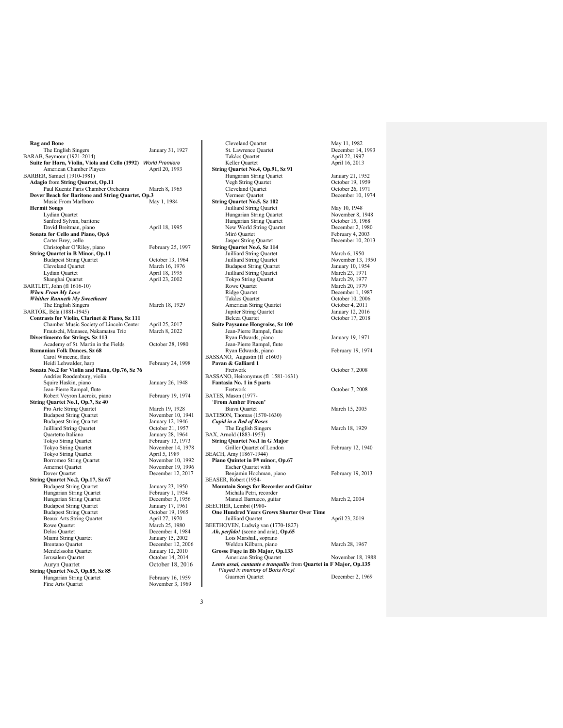| <b>Rag and Bone</b>                                                                         |                                        |
|---------------------------------------------------------------------------------------------|----------------------------------------|
| The English Singers                                                                         | January 31, 1927                       |
| BARAB, Seymour (1921-2014)<br>Suite for Horn, Violin, Viola and Cello (1992) World Premiere |                                        |
| American Chamber Players                                                                    | April 20, 1993                         |
| BARBER, Samuel (1910-1981)                                                                  |                                        |
| Adagio from String Quartet, Op.11                                                           |                                        |
| Paul Kuentz Paris Chamber Orchestra                                                         | March 8, 1965                          |
| Dover Beach for Baritone and String Quartet, Op.3                                           |                                        |
| Music From Marlboro                                                                         | May 1, 1984                            |
| <b>Hermit Songs</b><br>Lydian Quartet                                                       |                                        |
| Sanford Sylvan, baritone                                                                    |                                        |
| David Breitman, piano                                                                       | April 18, 1995                         |
| Sonata for Cello and Piano, Op.6                                                            |                                        |
| Carter Brey, cello                                                                          |                                        |
| Christopher O'Riley, piano                                                                  | February 25, 1997                      |
| <b>String Quartet in B Minor, Op.11</b><br><b>Budapest String Quartet</b>                   | October 13, 1964                       |
| Cleveland Quartet                                                                           | March 16, 1976                         |
| Lydian Quartet                                                                              | April 18, 1995                         |
| Shanghai Quartet                                                                            | April 23, 2002                         |
| BARTLET, John (fl 1616-10)                                                                  |                                        |
| When From My Love                                                                           |                                        |
| <b>Whither Runneth My Sweetheart</b>                                                        |                                        |
| The English Singers<br>BARTÓK, Béla (1881-1945)                                             | March 18, 1929                         |
| Contrasts for Violin, Clarinet & Piano, Sz 111                                              |                                        |
| Chamber Music Society of Lincoln Center                                                     | April 25, 2017                         |
| Frautschi, Manasee, Nakamatsu Trio                                                          | March 8, 2022                          |
| Divertimento for Strings, Sz 113                                                            |                                        |
| Academy of St. Martin in the Fields                                                         | October 28, 1980                       |
| <b>Rumanian Folk Dances, Sz 68</b><br>Carol Wincenc, flute                                  |                                        |
| Heidi Lehwalder, harp                                                                       | February 24, 1998                      |
| Sonata No.2 for Violin and Piano, Op.76, Sz 76                                              |                                        |
| Andries Roodenburg, violin                                                                  |                                        |
| Squire Haskin, piano                                                                        | January 26, 1948                       |
| Jean-Pierre Rampal, flute                                                                   |                                        |
| Robert Veyron Lacroix, piano<br>String Quartet No.1, Op.7, Sz 40                            | February 19, 1974                      |
| Pro Arte String Quartet                                                                     | March 19, 1928                         |
| <b>Budapest String Quartet</b>                                                              | November 10, 1941                      |
| <b>Budapest String Quartet</b>                                                              | January 12, 1946                       |
| Juilliard String Quartet                                                                    | October 21, 1957                       |
| Quartetto Italiano                                                                          | January 28, 1964                       |
| Tokyo String Quartet<br>Tokyo String Quartet                                                | February 13, 1973<br>November 14, 1978 |
| Tokyo String Quartet                                                                        | April 5, 1989                          |
| <b>Borromeo String Quartet</b>                                                              | November 10, 1992                      |
| Amernet Quartet                                                                             | November 19, 1996                      |
| Dover Quartet                                                                               | December 12, 2017                      |
| String Quartet No.2, Op.17, Sz 67                                                           |                                        |
| <b>Budapest String Quartet</b><br>Hungarian String Quartet                                  | January 23, 1950<br>February 1, 1954   |
| Hungarian String Quartet                                                                    | December 3, 1956                       |
| <b>Budapest String Quartet</b>                                                              | January 17, 1961                       |
| <b>Budapest String Quartet</b>                                                              | October 19, 1965                       |
| Beaux Arts String Quartet                                                                   | April 27, 1970                         |
| Rowe Quartet                                                                                | March 25, 1980                         |
| Delos Quartet<br>Miami String Quartet                                                       | December 4, 1984<br>January 15, 2002   |
| <b>Brentano Quartet</b>                                                                     | December 12, 2006                      |
| Mendelssohn Quartet                                                                         | January 12, 2010                       |
| Jerusalem Quartet                                                                           | October 14, 2014                       |
| Auryn Quartet                                                                               | October 18, 2016                       |
| String Quartet No.3, Op.85, Sz 85                                                           |                                        |
| Hungarian String Quartet                                                                    | February 16, 1959                      |
| Fine Arts Quartet                                                                           | November 3, 1969                       |

Cleveland Quartet May 11, 1982 St. Lawrence Quartet<br>Takács Quartet Také 14, 1993<br>
December 14, 1993<br>
April 16, 2013 Keller Quartet **String Quartet No.4, Op.91, Sz 91** Hungarian String Quartet January 21, 1952 Vegh String Quartet October 19, 1959 Cleveland Quartet Cleveland October 26, 1971<br>
Vermeer Ouartet December 10, 1974 Vermeer Quartet **December 10, 1974**<br> **String Quartet No.5, Sz 102** South and String Quartet<br>
Juilliard String Quartet<br>
Hungarian String Quartet<br>
Movember 8, 1948 Hungarian String Quartet November 8, 1948<br>Hungarian String Quartet October 15, 1968 Hungarian String Quartet New World String Quartet December 2, 1980 Miró Quartet February 4, 2003 Franganian Daniel (String Quartet December 2, 1980<br>
Miró Quartet Hebruary 4, 2003<br>
Jasper String Quartet December 10, 2013<br>
December 10, 2013 **String Quartet No.6, Sz 114** Juilliard String Quartet March 6, 1950 Juilliard String Quartet November 13, 1950 Budapest String Quartet January 10, 1954<br>Juilliard String Quartet March 23, 1971 Juilliard String Quartet March 23, 1971 Tokyo String Quartet March 29, 1977 Rowe Quartet March 20, 1979<br>Ridge Quartet December 1, 19 Ridge Quartet December 1, 1987<br>
Takács Quartet December 1, 1987<br>
October 10, 2006 October 10, 2006<br>October 4, 2011 American String Quartet Coctober 4, 2011<br>
Jupiter String Quartet January 12, 2016<br>
Belcea Quartet Coctober 17, 2018 Jupiter String Quartet January 12, 2016 Belcea Quartet October 17, 2018 **Suite Paysanne Hongroise, Sz 100** Jean-Pierre Rampal, flute Ryan Edwards, piano January 19, 1971 Jean-Pierre Rampal, flute Ryan Edwards, piano February 19, 1974 BASSANO, Augustin (fl c1603) **Pavan & Galliard 1** October 7, 2008 BASSANO, Heironymus (fl 1581-1631) **Fantasia No. 1 in 5 parts** Fretwork October 7, 2008 BATES, Mason (1977-'**From Amber Frozen'** Biava Quartet March 15, 2005 BATESON, Thomas (1570-1630) **Cupid in a Bed of Roses**<br>
The English Singers<br>
BAX, Arnold (1883-1953)<br> **Pax, Arnold (1883-1953) String Quartet No.1 in G Major** Griller Quartet of London February 12, 1940 BEACH, Amy (1867-1944) **Piano Quintet in F# minor, Op.67** Escher Quartet with Benjamin Hochman, piano February 19, 2013 BEASER, Robert (1954- **Mountain Songs for Recorder and Guitar** Michala Petri, recorder Manuel Barrueco, guitar March 2, 2004 BEECHER, Lembit (1980- **One Hundred Years Grows Shorter Over Time** Juilliard Quartet April 23, 2019 BEETHOVEN, Ludwig van (1770-1827) *Ah, perfido!* (scene and aria), **Op.65** Lois Marshall, soprano Weldon Kilburn, piano March 28, 1967<br> **Grosse Fuge in Bb Major, Op.133** American String Quartet<br> **Lento assai, cantante e tranquillo** from **Quartet in F Major, Op.135**<br> *Played* in memory of Boris Kroyt<br>
Guarneri Quartet<br>
Guarneri Quartet<br>
December 2, 1969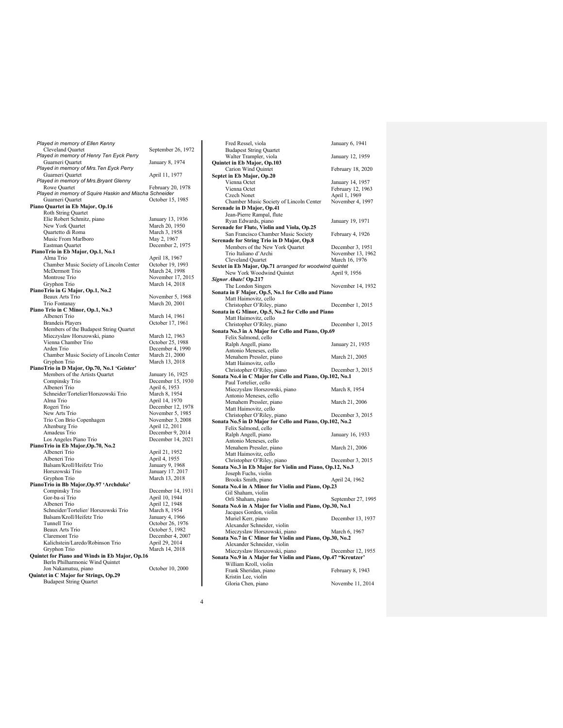| Played in memory of Ellen Kenny                        |                    |
|--------------------------------------------------------|--------------------|
|                                                        |                    |
| Cleveland Quartet                                      | September 26, 1972 |
| Played in memory of Henry Ten Eyck Perry               |                    |
| Guarneri Quartet                                       | January 8, 1974    |
| Played in memory of Mrs. Ten Eyck Perry                |                    |
| Guarneri Quartet                                       | April 11, 1977     |
| Played in memory of Mrs. Bryant Glenny                 |                    |
| Rowe Quartet                                           | February 20, 1978  |
| Played in memory of Squire Haskin and Mischa Schneider |                    |
| Guarneri Quartet                                       | October 15, 1985   |
| Piano Quartet in Eb Major, Op.16                       |                    |
| Roth String Quartet                                    |                    |
| Elie Robert Schmitz, piano                             | January 13, 1936   |
|                                                        |                    |
| New York Quartet                                       | March 20, 1950     |
| Quartetto di Roma                                      | March 3, 1958      |
| Music From Marlboro                                    | May 2, 1967        |
| Eastman Quartet                                        | December 2, 1975   |
| PianoTrio in Eb Major, Op.1, No.1                      |                    |
| Alma Trio                                              | April 18, 1967     |
| Chamber Music Society of Lincoln Center                | October 19, 1993   |
| McDermott Trio                                         | March 24, 1998     |
| Montrose Trio                                          | November 17, 2015  |
|                                                        | March 14, 2018     |
| Gryphon Trio                                           |                    |
| PianoTrio in G Major, Op.1, No.2                       |                    |
| Beaux Arts Trio                                        | November 5, 1968   |
| Trio Fontanay                                          | March 20, 2001     |
| Piano Trio in C Minor, Op.1, No.3                      |                    |
| Albeneri Trio                                          | March 14, 1961     |
| <b>Brandeis Players</b>                                | October 17, 1961   |
| Members of the Budapest String Quartet                 |                    |
| Mieczyslaw Horszowski, piano                           | March 12, 1963     |
| Vienna Chamber Trio                                    | October 25, 1988   |
| Arden Trio                                             |                    |
|                                                        | December 4, 1990   |
| Chamber Music Society of Lincoln Center                | March 21, 2000     |
|                                                        |                    |
| Gryphon Trio                                           | March 13, 2018     |
| PianoTrio in D Major, Op.70, No.1 'Geister'            |                    |
| Members of the Artists Quartet                         | January 16, 1925   |
|                                                        |                    |
| Compinsky Trio                                         | December 15, 1930  |
| Albeneri Trio                                          | April 6, 1953      |
| Schneider/Tortelier/Horszowski Trio                    | March 8, 1954      |
| Alma Trio                                              | April 14, 1970     |
| Rogeri Trio                                            | December 12, 1978  |
| New Arts Trio                                          | November 5, 1985   |
| Trio Con Brio Copenhagen                               | November 3, 2008   |
| Altenburg Trio                                         | April 12, 2011     |
| Amadeus Trio                                           | December 9, 2014   |
| Los Angeles Piano Trio                                 | December 14, 2021  |
|                                                        |                    |
| PianoTrio in Eb Major, Op. 70, No.2                    |                    |
| Albeneri Trio                                          | April 21, 1952     |
| Albeneri Trio                                          | April 4, 1955      |
| Balsam/Kroll/Heifetz Trio                              | January 9, 1968    |
| Horszowski Trio                                        | January 17. 2017   |
| Gryphon Trio                                           | March 13, 2018     |
| PianoTrio in Bb Major, Op.97 'Archduke'                |                    |
| Compinsky Trio                                         | December 14, 1931  |
| Gor-ba-si Trio                                         | April 10, 1944     |
| Albeneri Trio                                          | April 12, 1948     |
| Schneider/Tortelier/ Horszowski Trio                   |                    |
| Balsam/Kroll/Heifetz Trio                              | March 8, 1954      |
|                                                        | January 4, 1966    |
| Tunnell Trio                                           | October 26, 1976   |
| Beaux Arts Trio                                        | October 5, 1982    |
| Claremont Trio                                         | December 4, 2007   |
| Kalichstein/Laredo/Robinson Trio                       | April 29, 2014     |
| Gryphon Trio                                           | March 14, 2018     |
| Quintet for Piano and Winds in Eb Major, Op.16         |                    |
| Berln Philharmonic Wind Quintet                        |                    |
| Jon Nakamatsu, piano                                   | October 10, 2000   |
| Quintet in C Major for Strings, Op.29                  |                    |

| Fred Ressel, viola                                                                | January 6, 1941    |
|-----------------------------------------------------------------------------------|--------------------|
| <b>Budapest String Quartet</b>                                                    |                    |
| Walter Trampler, viola<br>Quintet in Eb Major, Op.103                             | January 12, 1959   |
| Carion Wind Quintet                                                               | February 18, 2020  |
| Septet in Eb Major, Op.20                                                         |                    |
| Vienna Octet                                                                      | January 14, 1957   |
| Vienna Octet                                                                      | February 12, 1963  |
| <b>Czech Nonet</b>                                                                | April 1, 1969      |
| Chamber Music Society of Lincoln Center<br>Serenade in D Major, Op.41             | November 4, 1997   |
| Jean-Pierre Rampal, flute                                                         |                    |
| Ryan Edwards, piano                                                               | January 19, 1971   |
| Serenade for Flute, Violin and Viola, Op.25                                       |                    |
| San Francisco Chamber Music Society                                               | February 4, 1926   |
| Serenade for String Trio in D Major, Op.8                                         |                    |
| Members of the New York Quartet                                                   | December 3, 1951   |
| Trio Italiano d'Archi                                                             | November 13, 1962  |
| Cleveland Quartet<br>Sextet in Eb Major, Op.71 arranged for woodwind quintet      | March 16, 1976     |
| New York Woodwind Quintet                                                         | April 9, 1956      |
| Signor Abate! Op.217                                                              |                    |
| The London Singers                                                                | November 14, 1932  |
| Sonata in F Major, Op.5, No.1 for Cello and Piano                                 |                    |
| Matt Haimovitz, cello                                                             |                    |
| Christopher O'Riley, piano                                                        | December 1, 2015   |
| Sonata in G Minor, Op.5, No.2 for Cello and Piano                                 |                    |
| Matt Haimovitz, cello<br>Christopher O'Riley, piano                               | December 1, 2015   |
| Sonata No.3 in A Major for Cello and Piano, Op.69                                 |                    |
| Felix Salmond, cello                                                              |                    |
| Ralph Angell, piano                                                               | January 21, 1935   |
| Antonio Meneses, cello                                                            |                    |
| Menahem Pressler, piano                                                           | March 21, 2005     |
| Matt Haimovitz, cello                                                             |                    |
| Christopher O'Riley, piano                                                        | December 3, 2015   |
| Sonata No.4 in C Major for Cello and Piano, Op.102, No.1<br>Paul Tortelier, cello |                    |
| Mieczyslaw Horszowski, piano                                                      | March 8, 1954      |
| Antonio Meneses, cello                                                            |                    |
| Menahem Pressler, piano                                                           | March 21, 2006     |
| Matt Haimovitz, cello                                                             |                    |
| Christopher O'Riley, piano                                                        | December 3, 2015   |
| Sonata No.5 in D Major for Cello and Piano, Op.102, No.2                          |                    |
| Felix Salmond, cello<br>Ralph Angell, piano                                       | January 16, 1933   |
| Antonio Meneses, cello                                                            |                    |
| Menahem Pressler, piano                                                           | March 21, 2006     |
| Matt Haimovitz, cello                                                             |                    |
| Christopher O'Riley, piano                                                        | December 3, 2015   |
| Sonata No.3 in Eb Major for Violin and Piano, Op.12, No.3                         |                    |
| Joseph Fuchs, violin                                                              |                    |
| Brooks Smith, piano<br>Sonata No.4 in A Minor for Violin and Piano, Op.23         | April 24, 1962     |
| Gil Shaham, violin                                                                |                    |
| Orli Shaham, piano                                                                | September 27, 1995 |
| Sonata No.6 in A Major for Violin and Piano, Op.30, No.1                          |                    |
| Jacques Gordon, violin                                                            |                    |
| Muriel Kerr, piano                                                                | December 13, 1937  |
| Alexander Schneider, violin                                                       |                    |
| Mieczyslaw Horszowski, piano                                                      | March 6, 1967      |
| Sonata No.7 in C Minor for Violin and Piano, Op.30, No.2                          |                    |
| Alexander Schneider, violin<br>Mieczyslaw Horszowski, piano                       | December 12, 1955  |
| Sonata No.9 in A Major for Violin and Piano, Op.47 "Kreutzer"                     |                    |
| William Kroll, violin                                                             |                    |
| Frank Sheridan, piano                                                             | February 8, 1943   |
| Kristin Lee, violin                                                               |                    |
| Gloria Chen, piano                                                                | Novembe 11, 2014   |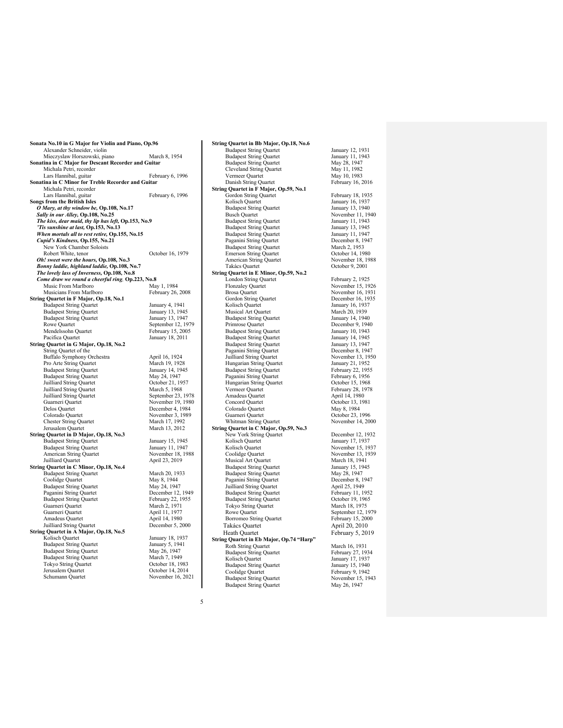**Sonata No.10 in G Major for Violin and Piano, Op.96** Alexander Schneider, violin Mieczyslaw Horszowski, piano March 8, 1954 **Sonatina in C Major for Descant Recorder and Guitar** Michala Petri, recorder Lars Hannibal, guitar February 6, 1996 **Sonatina in C Minor for Treble Recorder and Guitar** Michala Petri, recorder Lars Hannibal, guitar February 6, 1996 **Songs from the British Isles** *O Mary, at thy window be,* **Op.108, No.17** *Sally in our Alley,* **Op.108, No.25** *The kiss, dear maid, thy lip has left,* **Op.153, No.9** *'Tis sunshine at last,* **Op.153, No.13** *When mortals all to rest retire,* **Op.155, No.15** *Cupid's Kindness,* **Op.155, No.21** New York Chamber Soloists Robert White, tenor October 16, 1979 *Oh! sweet were the hours,* **Op.108, No.3** *Bonny laddie, highland laddie,* **Op.108, No.7** *The lovely lass of Inverness,* **Op.108, No.8** *Come draw we round a cheerful ring,* **Op.223, No.8** Music From Marlboro May 1, 1984<br>Musicians From Marlboro February 26 February 26, 2008 **String Quartet in F Major, Op.18, No.1** Budapest String Quartet January 4, 1941<br>Budapest String Quartet January 13, 1945<br>Budapest String Quartet January 13, 1947 Budapest String Quartet January 13, 1945 Budapest String Quartet January 13, 1947 Rowe Quartet September 12, 1979<br>Mendelssohn Quartet September 12, 1979 Mendelssohn Quartet February 15, 2005<br>Pacifica Quartet January 18, 2011 January 18, 2011 **String Quartet in G Major, Op.18, No.2** String Quartet of the Buffalo Symphony Orchestra April 16, 1924<br>Pro Arte String Ouartet March 19, 1928 Pro Arte String Quartet March 19, 1928<br>Budapest String Quartet January 14, 1945 Budapest String Quartet January 14, 19<br>Budapest String Quartet May 24, 1947 Budapest String Quartet May 24, 1947<br>
Juilliard String Quartet Cotober 21, 1957 Juilliard String Quartet Juilliard String Quartet March 5, 1968 Juilliard String Quartet September 23, 1978 Juilliard String Quartet<br>
Guarneri Quartet November 19, 1980<br>
November 19, 1980 Delos Quartet December 4, 1984<br>Colorado Quartet November 3, 1989 November 3, 1989<br>March 17, 1992 Chester String Quartet March 17, 1992<br>Ierusalem Quartet March 13, 2012 Jerusalem Quartet **String Quartet in D Major, Op.18, No.3** Budapest String Quartet January 15, 1945<br>Budapest String Quartet January 11, 1947<br>American String Quartet November 18, 1988 Budapest String Quartet American String Quartet<br>
American String Quartet<br>
Juilliard Quartet<br>
April 23, 2019 Juilliard Quartet<br> **String Quartet in C Minor, Op.18, No.4** April 23, 2019 Budapest String Quartet March 20, 1933<br>
Coolidge Quartet May 8, 1944<br>
Budapest String Quartet May 24, 1947 Coolidge Quartet Budapest String Quartet<br>
Paganini String Quartet<br>
Paganini String Quartet<br>
December 12, 1949 Paganini String Quartet December 12, 1949 Budapest String Quartet February 22, 1<br>
Guarneri Ouartet March 2. 1971 Guarneri Quartet March 2, 1971<br>Guarneri Quartet April 11, 1977 Guarneri Quartet April 11, 1977<br>Amadeus Quartet April 14, 1980 Amadeus Quartet April 14, 1980<br>Juilliard String Quartet December 5, 2000 Juilliard String Quartet December 5, 2000 **String Quartet in A Major, Op.18, No.5** Kolisch Quartet January 18, 1937 Budapest String Quartet Budapest String Quartet May 26, 1947<br>Budapest String Quartet May 26, 1947<br>Budapest String Quartet March 7, 1949 Budapest String Quartet March 7, 1949<br>Tokyo String Quartet October 18, 1983 Tokyo String Quartet October 18, 1983 Jerusalem Quartet October 14, 2014 Schumann Quartet November 16, 2021

**String Quartet in Bb Major, Op.18, No.6** Budapest String Quartet January 12, 1931<br>
Budapest String Quartet January 11, 1943<br>
Budapest String Quartet May 28, 1947 Budapest String Quartet Budapest String Quartet May 28, 1947<br>Cleveland String Quartet May 11, 1982 Cleveland String Quartet<br>Vermeer Quartet Danish String Quartet **String Quartet in F Major, Op.59, No.1** Gordon String Quartet February 18, 1935 Kolisch Quartet January 16, 1937 Budapest String Quartet January 13, 1940 Busch Quartet November 11, 1940<br>Budapest String Quartet 11, 1943<br>January 11, 1943 Budapest String Quartet January 11, 1943<br>Budapest String Quartet January 13, 1945 Budapest String Quartet January 13, 1945 Budapest String Quartet January 11, 1947<br>Paganini String Quartet December 8, 1947 Paganini String Quartet **December 8, 1947**<br>Budapest String Quartet **December 8, 1953** Budapest String Quartet March 2, 1953<br>
Emerson String Quartet Cotober 14, 1980 Emerson String Quartet Corober 14, 1980<br>
American String Quartet November 18, 1988 American String Quartet<br>Takács Quartet **String Quartet in E Minor, Op.59, No.2** London String Quartet February 2, 1925<br>
Flonzaley Quartet February 2, 1925<br>
Flonzaley Quartet November 15, 19 Flonzaley Quartet November 15, 1926<br>Brosa Quartet November 16, 1931 Gordon String Quartet<br>Kolisch Quartet Musical Art Quartet March 20, 1939<br>Budapest String Quartet January 14, 1940 Budapest String Quartet<br>Primrose Quartet Budapest String Quartet January 10, 1943<br>Budapest String Quartet January 14, 1945 Budapest String Quartet January 14, 1945<br>Budapest String Quartet January 13, 1947 Budapest String Quartet January 13, 1947<br>
Paganini String Quartet December 8 1947 Paganini String Quartet **December 8, 1947**<br>
Juilliard String Quartet **December 13, 1950** Juilliard String Quartet November 13, 19.<br>
Hungarian String Quartet January 21, 1952 Hungarian String Quartet January 21, 1952<br>Budapest String Quartet February 22, 1955 Budapest String Quartet February 22, 1956<br>Paganini String Quartet February 6, 1956 Paganini String Quartet February 6, 1956<br>
Hungarian String Quartet Cotober 15, 1968 Hungarian String Quartet Vermeer Quartet February 28, 1978 Amadeus Quartet<br>Concord Quartet Colorado Quartet May 8, 1984<br>Guarneri Quartet Colorado Corober 23, 1 Whitman String Quartet **String Quartet in C Major, Op.59, No.3**<br>
New York String Quartet December 12, 1932 Kolisch Quartet January 17, 1937<br>
Kolisch Quartet 15, 19 Kolisch Quartet<br>
November 15, 1937<br>
Coolidge Quartet<br>
November 13, 1939 Musical Art Quartet March 18, 1941<br>Budapest String Quartet January 15, 1945 Budapest String Quartet January 15, 19<br>Budapest String Quartet May 28, 1947 Budapest String Quartet May 28, 1947<br>
Paganini String Quartet December 8, 1947<br>
Juilliard String Quartet April 25, 1949 Paganini String Quartet December 8, 1947 Juilliard String Quartet April 25, 1949 Budapest String Quartet<br>
February 11, 1952<br>
Rudanest String Quartet<br>
Cetober 19, 1965 Budapest String Quartet Tokyo String Quartet March 18, 1975<br>
Rowe Quartet September 12, 1 Borromeo String Quartet<br>Takács Quartet Heath Quartet February 5, 2019 **String Quartet in Eb Major, Op.74 "Harp"** Roth String Quartet March 16, 1931<br>Budapest String Quartet February 27, 1934 Budapest String Quartet<br>Kolisch Quartet Budapest String Quartet<br>Coolidge Quartet Budapest String Quartet November 15,<br>Budapest String Quartet May 26, 1947 Budapest String Quartet

May 10, 1983<br>February 16, 2016 October 9, 2001 November 16, 1931<br>December 16, 1935 January 16, 1937<br>March 20, 1939 December 9, 1940<br>January 10, 1943 October 13, 1981 October 23, 1996<br>November 14, 2000 November 13, 1937<br>November 13, 1939<br>March 18, 1941 September 12, 1979<br>February 15, 2000 April  $20.2010$ January 17, 1937<br>January 15, 1940 February 9, 1942<br>November 15, 1943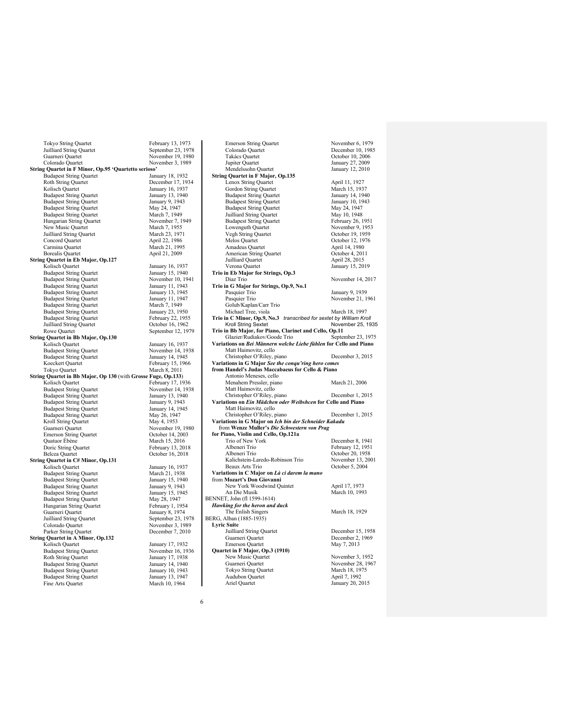Tokyo String Quartet February 13, 1973<br>
Juilliard String Quartet Sentember 23, 1978 Juilliard String Quartet Guarneri Quartet November 19, 1980<br>Colorado Quartet November 3, 1989 November 3, 1989 **String Quartet in F Minor, Op.95 'Quartetto serioso'** Budapest String Quartet January 18, 1932 Roth String Quartet December 17, 1934 Kolisch Quartet January 16, 1937<br>
Budapest String Quartet January 13, 1940<br>
Budapest String Quartet January 9, 1943 Budapest String Quartet Budapest String Quartet<br>
Budapest String Quartet<br>
Budapest String Quartet<br>
Budapest String Quartet<br>
Budapest String Quartet<br>
March 7, 1949 Budapest String Quartet Budapest String Quartet March 7, 1949<br>Hungarian String Quartet November 7, 1949 Hungarian String Quartet November 7, 19<br>
New Music Quartet March 7, 1955<br>
Juilliard String Quartet March 23, 1971 New Music Quartet Juilliard String Quartet March 23, 1971 Concord Quartet April 22, 1986 Carmina Quartet Borealis Quartet April 21, 2009 **String Quartet in Eb Major, Op.127** January 16, 1937<br>January 15, 1940<br>November 10, 1941 Budapest String Quartet Budapest String Quartet<br>
Budapest String Quartet<br>
Budapest String Quartet<br>
January 11, 1943 Budapest String Quartet<br>
Budapest String Quartet<br>
Budapest String Quartet<br>
Budapest String Quartet<br>
January 11, 1947<br>
January 11, 1947 Budapest String Quartet Budapest String Quartet<br>Budapest String Quartet<br>Budapest String Quartet<br>March 7, 1949 Budapest String Quartet March 7, 1949<br>Budapest String Quartet January 23, 1950 Budapest String Quartet February 23, 1950<br>Budapest String Quartet February 22, 1955 Juilliard String Quartet **Calcular** October 16, 1962<br>Rowe Ouartet September 12, 19 September 12, 1979 **String Quartet in Bb Major, Op.130** January 16, 1937<br>November 14, 1938 Budapest String Quartet<br>Budapest String Quartet Movember 14, 1945<br>January 14, 1945 Budapest String Quartet<br>Koeckert Ouartet Koeckert Quartet February 15, 1966 Tokyo Quartet March 8, 2011 **String Quartet in Bb Major, Op 130** (with **Grosse Fuge, Op.133**)<br> **Kolisch Quartet** February 17, 19 February 17, 1936<br>November 14, 1938 Budapest String Quartet November 14, 19<br>Budapest String Quartet January 13, 1940 Budapest String Quartet January 13, 1941<br>Budapest String Quartet January 9, 1943 Budapest String Quartet January 9, 1943<br>Budapest String Quartet January 14, 1945<br>Budapest String Quartet May 26, 1947 Budapest String Quartet Budapest String Quartet May 26, 1947<br>Kroll String Quartet May 4, 1953 Kroll String Quartet<br>Guarneri Quartet November 19, 1980<br>October 14, 2003 Emerson String Quartet<br>
Corober 14, 2003<br>
Quatuor Ébène<br>
March 15, 2016 Quatuor Ébène<br>Doric String Quartet Doric String Quartet February 13, 2018<br>
Belcea Quartet Corober 16, 2018 **String Quartet in C# Minor, Op.131** Kolisch Quartet January 16, 1937 Budapest String Quartet March 21, 1938<br>
Budapest String Quartet January 15, 1940<br>
Budapest String Quartet January 9, 1943 Budapest String Quartet Budapest String Quartet January 9, 1943<br>Budapest String Quartet January 15, 1945 Budapest String Quartet January 15, 19<br>Budapest String Quartet May 28, 1947 Budapest String Quartet May 28, 1947<br>
Hungarian String Quartet February 1, 1954<br>
Guarneri Quartet January 8, 1974 Hungarian String Quartet Guarneri Quartet January 8, 1974<br>Juilliard String Quartet September 23, 1978 Juilliard String Quartet Colorado Quartet November 3, 1989<br>
Parker String Quartet December 7, 2010 Parker String Quartet **String Quartet in A Minor, Op.132**<br>Kolisch Quartet January 17, 1932<br>November 16, 1936 Budapest String Quartet November 16, 19<br>
Roth String Quartet January 17, 1938 Roth String Quartet January 17, 1938<br>Budapest String Quartet January 14, 1940 Budapest String Quartet January 14, 1940<br>Budapest String Quartet January 10, 1943 Budapest String Quartet Budapest String Quartet<br>Fine Arts Quartet Finally 13, 1947<br>March 10, 1964

Emerson String Quartet November 6, 1979<br>
Colorado Quartet December 10, 1985 December 10, 1985 Takács Quartet October 10, 2006 Jupiter Quartet January 27, 2009 January 12, 2010 **String Quartet in F Major, Op.135** Lenox String Quartet April 11, 1927<br>Gordon String Quartet April 11, 1927<br>Gordon String Quartet March 15, 1937 Gordon String Quartet March 15, 1937<br>Budapest String Quartet January 14, 1940<br>Budapest String Quartet January 10, 1943 Budapest String Quartet January 14, 1940 Budapest String Quartet January 10, 1943 Budapest String Quartet May 24, 1947<br>
Juilliard String Quartet May 10, 1948 Juilliard String Quartet May 10, 1948<br>Budapest String Quartet February 26, 1951 Budapest String Quartet February 26, 1951<br>Lowenguth Quartet November 9, 1953 Lowenguth Quartet November 9, 1953<br>
Veeh Strine Quartet (Cetober 19, 1959) Vegh String Quartet<br>Melos Quartet October 12, 1976<br>April 14, 1980 Amadeus Quartet American String Quartet **Camerican String Quartet** October 4, 2011<br>
April 28, 2015 Juilliard Quartet<br>Verona Quartet January 15, 2019 **Trio in Eb Major for Strings, Op.3** November 14, 2017 **Trio in G Major for Strings, Op.9, No.1** January 9, 1939 November 21, 1961 Golub/Kaplan/Carr Trio Michael Tree, viola<br> **Trio in C Minor, Op.9, No.3** *transcribed for sextet by William Kroll* Kroll String Sextet November 25, 1935 **Trio in Bb Major, for Piano, Clarinet and Cello, Op.11** Glazier/Rudiakov/Goode Trio **Variations on** *Bei Männern welche Liebe fühlen* **for Cello and Piano** Matt Haimovitz, cello Christopher O'Riley, piano December 3, 2015 **Variations in G Major** *See the conqu'ring hero comes* **from Handel's Judas Maccabaeus for Cello & Piano** Antonio Meneses, cello Menahem Pressler, piano March 21, 2006 Matt Haimovitz, cello Christopher O'Riley, piano December 1, 2015 **Variations on** *Ein Mädchen oder Weibshcen* **for Cello and Piano** Matt Haimovitz, cello Christopher O'Riley, piano December 1, 2015 **Variations in G Major on** *Ich bin der Schneider Kakadu* from **Wenze Muller's** *Die Schwestern von Prag* **for Piano, Violin and Cello, Op.121a** Trio of New York December 8, 1941<br>Albeneri Trio February 12, 1951 Albeneri Trio<br>
Albeneri Trio February 12, 1951<br>
Albeneri Trio October 20, 1958 Albert 20, 1958<br>November 13, 2001 Kalichstein-Laredo-Robinson Trio Beaux Arts Trio October 5, 2004 **Variations in C Major on** *Là ci darem la mano* from **Mozart's Don Giovanni** New York Woodwind Quintet<br>
April 17, 1973<br>
An Die Musik March 10, 1993 March 10, 1993 BENNET, John (fl 1599-1614) *Hawking for the heron and duck*<br>
The Enlish Singers March 18, 1929 BERG, Alban (1885-1935) **Lyric Suite**  Juilliard String Quartet December 15, 1958 December 2, 1969<br>May 7, 2013 Emerson Quartet **Quartet in F Major, Op.3 (1910)** New Music Quartet November 3, 1952<br>
Guarneri Quartet November 28, 196 November 28, 1967<br>March 18, 1975 Tokyo String Quartet March 18, 19<br>Audubon Quartet March 18, 1992 Audubon Quartet<br>Ariel Quartet January 20, 2015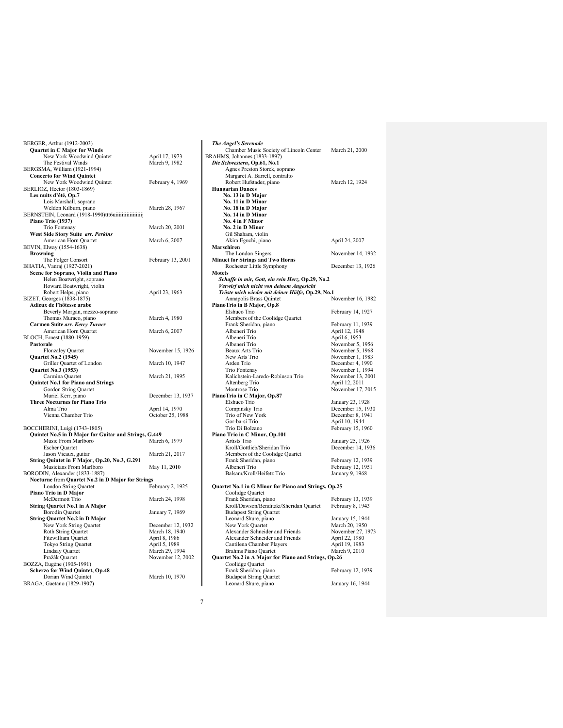| BERGER, Arthur (1912-2003)                            |                   |
|-------------------------------------------------------|-------------------|
| Quartet in C Major for Winds                          |                   |
| New York Woodwind Quintet                             | April 17, 1973    |
| The Festival Winds                                    | March 9, 1982     |
| BERGSMA, William (1921-1994)                          |                   |
| <b>Concerto for Wind Quintet</b>                      |                   |
| New York Woodwind Quintet                             | February 4, 1969  |
| BERLIOZ, Hector (1803-1869)                           |                   |
| Les nuits d'été, Op.7                                 |                   |
| Lois Marshall, soprano                                |                   |
| Weldon Kilburn, piano                                 | March 28, 1967    |
| BERNSTEIN, Leonard (1918-1990)ttt6uiiiiiiiiiiiiiiiiii |                   |
| Piano Trio (1937)                                     |                   |
| Trio Fontenay                                         | March 20, 2001    |
| West Side Story Suite arr. Perkins                    |                   |
| American Horn Quartet                                 | March 6, 2007     |
| BEVIN, Elway (1554-1638)                              |                   |
|                                                       |                   |
| <b>Browning</b>                                       |                   |
| The Folger Consort                                    | February 13, 2001 |
| BHATIA, Vanraj (1927-2021)                            |                   |
| Scene for Soprano, Violin and Piano                   |                   |
| Helen Boatwright, soprano                             |                   |
| Howard Boatwright, violin                             |                   |
| Robert Helps, piano                                   | April 23, 1963    |
| BIZET, Georges (1838-1875)                            |                   |
| Adieux de l'hôtesse arabe                             |                   |
| Beverly Morgan, mezzo-soprano                         |                   |
| Thomas Muraco, piano                                  | March 4, 1980     |
| Carmen Suite arr. Kerry Turner                        |                   |
| American Horn Quartet                                 | March 6, 2007     |
| BLOCH, Ernest (1880-1959)                             |                   |
| Pastorale                                             |                   |
| <b>Flonzaley Quartet</b>                              | November 15, 1926 |
| <b>Quartet No.2 (1945)</b>                            |                   |
|                                                       |                   |
| Griller Quartet of London                             | March 10, 1947    |
| <b>Quartet No.3 (1953)</b>                            |                   |
| Carmina Quartet                                       | March 21, 1995    |
| Quintet No.1 for Piano and Strings                    |                   |
| Gordon String Quartet                                 |                   |
| Muriel Kerr, piano                                    | December 13, 1937 |
| <b>Three Nocturnes for Piano Trio</b>                 |                   |
| Alma Trio                                             | April 14, 1970    |
| Vienna Chamber Trio                                   | October 25, 1988  |
|                                                       |                   |
| BOCCHERINI, Luigi (1743-1805)                         |                   |
| Quintet No.5 in D Major for Guitar and Strings, G.449 |                   |
| Music From Marlboro                                   | March 6, 1979     |
| <b>Escher Quartet</b>                                 |                   |
| Jason Vieaux, guitar                                  | March 21, 2017    |
| String Quintet in F Major, Op.20, No.3, G.291         |                   |
|                                                       |                   |
| Musicians From Marlboro                               | May 11, 2010      |
| BORODIN, Alexander (1833-1887)                        |                   |
| Nocturne from Quartet No.2 in D Major for Strings     |                   |
| London String Quartet                                 | February 2, 1925  |
| Piano Trio in D Major                                 |                   |
| McDermott Trio                                        | March 24, 1998    |
| <b>String Quartet No.1 in A Major</b>                 |                   |
| <b>Borodin Quartet</b>                                | January 7, 1969   |
| <b>String Quartet No.2 in D Major</b>                 |                   |
| New York String Quartet                               | December 12, 1932 |
| Roth String Quartet                                   | March 18, 1940    |
| Fitzwilliam Quartet                                   | April 8, 1986     |
| Tokyo String Quartet                                  | April 5, 1989     |
| Lindsay Quartet                                       | March 29, 1994    |
| Pražák Quartet                                        | November 12, 2002 |
|                                                       |                   |
| BOZZA, Eugène (1905-1991)                             |                   |
| <b>Scherzo for Wind Quintet, Op.48</b>                |                   |
| Dorian Wind Quintet                                   | March 10, 1970    |
| BRAGA, Gaetano (1829-1907)                            |                   |

| <b>The Angel's Serenade</b>                            |                   |
|--------------------------------------------------------|-------------------|
| Chamber Music Society of Lincoln Center March 21, 2000 |                   |
| BRAHMS, Johannes (1833-1897)                           |                   |
| Die Schwestern, Op.61, No.1                            |                   |
| Agnes Preston Storck, soprano                          |                   |
| Margaret A. Barrell, contralto                         |                   |
| Robert Hufstader, piano                                | March 12, 1924    |
| <b>Hungarian Dances</b>                                |                   |
| No. 13 in D Major                                      |                   |
| No. 11 in D Minor                                      |                   |
| No. 18 in D Major                                      |                   |
| No. 14 in D Minor                                      |                   |
| No. 4 in F Minor                                       |                   |
| No. 2 in D Minor                                       |                   |
| Gil Shaham, violin                                     |                   |
| Akira Eguchi, piano                                    | April 24, 2007    |
| Marschiren                                             |                   |
| The London Singers                                     | November 14, 1932 |
|                                                        |                   |
| <b>Minuet for Strings and Two Horns</b>                |                   |
| Rochester Little Symphony                              | December 13, 1926 |
| Motets                                                 |                   |
| Schaffe in mir, Gott, ein rein Herz, Op.29, No.2       |                   |
| Verwirf mich nicht von deinem Angesicht                |                   |
| Tröste mich wieder mit deiner Hülfe, Op.29, No.1       |                   |
| Annapolis Brass Quintet                                | November 16, 1982 |
| PianoTrio in B Major, Op.8                             |                   |
| Elshuco Trio                                           | February 14, 1927 |
| Members of the Coolidge Quartet                        |                   |
| Frank Sheridan, piano                                  | February 11, 1939 |
| Albeneri Trio                                          | April 12, 1948    |
| Albeneri Trio                                          | April 6, 1953     |
| Albeneri Trio                                          | November 5, 1956  |
| Beaux Arts Trio                                        | November 5, 1968  |
| New Arts Trio                                          | November 1, 1983  |
| Arden Trio                                             | December 4, 1990  |
| Trio Fontenay                                          | November 1, 1994  |
| Kalichstein-Laredo-Robinson Trio                       | November 13, 2001 |
| Altenberg Trio                                         | April 12, 2011    |
| Montrose Trio                                          | November 17, 2015 |
| PianoTrio in C Major, Op.87                            |                   |
| Elshuco Trio                                           | January 23, 1928  |
| Compinsky Trio                                         | December 15, 1930 |
| Trio of New York                                       | December 8, 1941  |
| Gor-ba-si Trio                                         | April 10, 1944    |
| Trio Di Bolzano                                        | February 15, 1960 |
| Piano Trio in C Minor, Op.101                          |                   |
| Artists Trio                                           | January 25, 1926  |
| Kroll/Gottlieb/Sheridan Trio                           |                   |
|                                                        | December 14, 1936 |
| Members of the Coolidge Quartet                        |                   |
| Frank Sheridan, piano                                  | February 12, 1939 |
| Albeneri Trio                                          | February 12, 1951 |
| Balsam/Kroll/Heifetz Trio                              | January 9, 1968   |
|                                                        |                   |
| Quartet No.1 in G Minor for Piano and Strings, Op.25   |                   |
| Coolidge Quartet                                       |                   |
| Frank Sheridan, piano                                  | February 13, 1939 |
| Kroll/Dawson/Benditzki/Sheridan Quartet                | February 8, 1943  |
| <b>Budapest String Quartet</b>                         |                   |
| Leonard Shure, piano                                   | January 15, 1944  |
| New York Quartet                                       | March 20, 1950    |
| Alexander Schneider and Friends                        | November 27, 1973 |
| Alexander Schneider and Friends                        | April 22, 1980    |
| Cantilena Chamber Players                              | April 19, 1983    |
| Brahms Piano Quartet                                   | March 9, 2010     |
| Quartet No.2 in A Major for Piano and Strings, Op.26   |                   |
| Coolidge Quartet                                       |                   |
| Frank Sheridan, piano                                  | February 12, 1939 |
| <b>Budapest String Quartet</b>                         |                   |
| Leonard Shure, piano                                   | January 16, 1944  |
|                                                        |                   |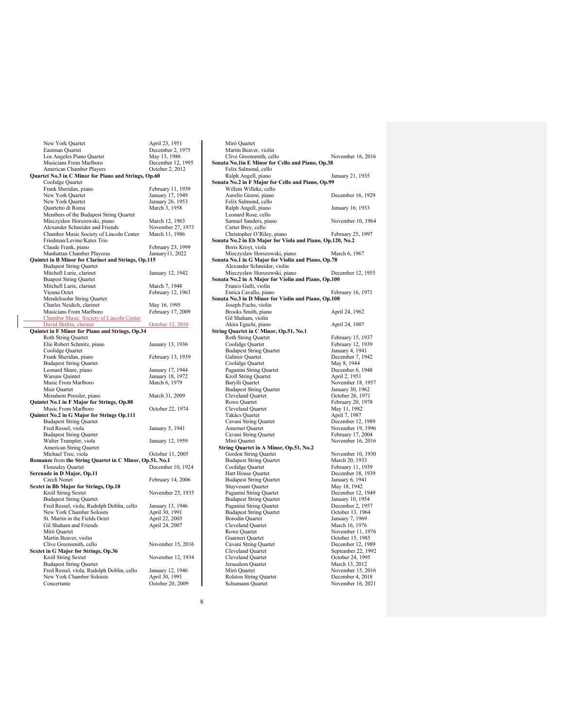| New York Quartet                                                  | April 23, 1951                       |
|-------------------------------------------------------------------|--------------------------------------|
| Eastman Quartet                                                   | December 2, 1975                     |
| Los Angeles Piano Quartet                                         | May 13, 1986                         |
| Musicians From Marlboro                                           | December 12, 1995                    |
| American Chamber Players                                          | October 2, 2012                      |
| Quartet No.3 in C Minor for Piano and Strings, Op.60              |                                      |
| Coolidge Quartet                                                  |                                      |
| Frank Sheridan, piano                                             | February 11, 1939                    |
| New York Quartet<br>New York Quartet                              | January 17, 1949<br>January 26, 1953 |
| Quartetto di Roma                                                 | March 3, 1958                        |
| Members of the Budapest String Quartet                            |                                      |
| Mieczyslaw Horszowski, piano                                      | March 12, 1963                       |
| Alexander Schneider and Friends                                   | November 27, 1973                    |
| Chamber Music Society of Lincoln Center                           | March 11, 1986                       |
| Friedman/Levine/Kates Trio                                        |                                      |
| Claude Frank, piano                                               | February 23, 1999                    |
| Manhattan Chamber Playeras                                        | January 11, 2022                     |
| Quintet in B Minor for Clarinet and Strings, Op.115               |                                      |
| <b>Budapest String Quartet</b>                                    |                                      |
| Mitchell Lurie, clarinet                                          | January 12, 1942                     |
| <b>Buapest String Quartet</b>                                     |                                      |
| Mitchell Lurie, clarinet                                          | March 7, 1948                        |
| Vienna Octet                                                      | February 12, 1963                    |
| Mendelssohn String Quartet                                        |                                      |
| Charles Neidich, clarinet                                         | May 16, 1995                         |
| Musicians From Marlboro                                           | February 17, 2009                    |
| <b>Chamber Music Society of Lincoln Center</b>                    |                                      |
| David Shifrin, clarinet                                           | October 12, 2010                     |
| Quintet in F Minor for Piano and Strings, Op.34                   |                                      |
| Roth String Quartet                                               |                                      |
| Elie Robert Schmitz, piano                                        | January 13, 1936                     |
| Coolidge Quartet                                                  |                                      |
| Frank Sheridan, piano                                             | February 13, 1939                    |
| <b>Budapest String Quartet</b>                                    |                                      |
| Leonard Shure, piano                                              | January 17, 1944                     |
| Warsaw Quintet                                                    | January 18, 1972                     |
| Music From Marlboro                                               | March 6, 1979                        |
| Muir Quartet                                                      |                                      |
| Menahem Pressler, piano                                           | March 31, 2009                       |
| Quintet No.1 in F Major for Strings, Op.88<br>Music From Marlboro | October 22, 1974                     |
| Quintet No.2 in G Major for Strings Op.111                        |                                      |
| <b>Budapest String Quartet</b>                                    |                                      |
| Fred Ressel, viola                                                | January 5, 1941                      |
| <b>Budapest String Quartet</b>                                    |                                      |
| Walter Trampler, viola                                            | January 12, 1959                     |
| American String Qaurtet                                           |                                      |
| Michael Tree, viola                                               | October 11, 2005                     |
| Romanze from the String Quartet in C Minor, Op.51, No.1           |                                      |
| <b>Flonzaley Quartet</b>                                          | December 10, 1924                    |
| Serenade in D Major, Op.11                                        |                                      |
| Czech Nonet                                                       | February 14, 2006                    |
| Sextet in Bb Major for Strings, Op.18                             |                                      |
| Kroll String Sextet                                               | November 25, 1935                    |
| <b>Budapest String Quartet</b>                                    |                                      |
| Fred Ressel, viola; Rudolph Doblin, cello                         | January 13, 1946                     |
| New York Chamber Soloists                                         |                                      |
| St. Martin in the Fields Octet                                    |                                      |
|                                                                   | April 30, 1991<br>April 22, 2003     |
| Gil Shaham and Friends                                            | April 24, 2007                       |
| Miró Quartet                                                      |                                      |
| Martin Beaver, violin                                             |                                      |
| Clive Greensmith, cello                                           | November 15, 2016                    |
| Sextet in G Major for Strings, Op.36                              |                                      |
| Kroll String Sextet                                               | November 12, 1934                    |
| <b>Budapest String Quartet</b>                                    |                                      |
| Fred Ressel, viola; Rudolph Doblin, cello                         | January 12, 1946                     |
| New York Chamber Soloists<br>Concertante                          | April 30, 1991<br>October 20, 2009   |

| Miró Quartet                                      |                                                           |                                        |
|---------------------------------------------------|-----------------------------------------------------------|----------------------------------------|
| Martin Beaver, violin                             |                                                           |                                        |
| Clive Greensmith, cello                           |                                                           | November 16, 2016                      |
| Felix Salmond, cello                              | Sonata No.1in E Minor for Cello and Piano, Op.38          |                                        |
| Ralph Angell, piano                               |                                                           | January 21, 1935                       |
|                                                   | Sonata No.2 in F Major for Cello and Piano, Op.99         |                                        |
| Willem Willeke, cello                             |                                                           |                                        |
| Aurelio Giorni, piano                             |                                                           | December 16, 1929                      |
| Felix Salmond, cello                              |                                                           |                                        |
| Ralph Angell, piano<br>Leonard Rose, cello        |                                                           | January 16, 1933                       |
| Samuel Sanders, piano                             |                                                           | November 10, 1964                      |
| Carter Brey, cello                                |                                                           |                                        |
| Christopher O'Riley, piano                        |                                                           | February 25, 1997                      |
|                                                   | Sonata No.2 in Eb Major for Viola and Piano, Op.120, No.2 |                                        |
| Boris Kroyt, viola                                |                                                           |                                        |
| Mieczyslaw Horszowski, piano                      |                                                           | March 6, 1967                          |
| Alexander Schneider, violin                       | Sonata No.1 in G Major for Violin and Piano, Op.78        |                                        |
| Mieczyslaw Horszowski, piano                      |                                                           | December 12, 1955                      |
|                                                   | Sonata No.2 in A Major for Violin and Piano, Op.100       |                                        |
| Franco Gulli, violin                              |                                                           |                                        |
| Enrica Cavallo, piano                             |                                                           | February 16, 1971                      |
|                                                   | Sonata No.3 in D Minor for Violin and Piano, Op.108       |                                        |
| Joseph Fuchs, violin                              |                                                           |                                        |
| Brooks Smith, piano<br>Gil Shaham, violin         |                                                           | April 24, 1962                         |
| Akira Eguchi, piano                               |                                                           | April 24, 1007                         |
| String Quartet in C Minor, Op.51, No.1            |                                                           |                                        |
| Roth String Quartet                               |                                                           | February 15, 1937                      |
| Coolidge Quartet                                  |                                                           | February 12, 1939                      |
| <b>Budapest String Quartet</b>                    |                                                           | January 4, 1941                        |
| Galimir Quartet                                   |                                                           | December 7, 1942                       |
| Coolidge Quartet<br>Paganini String Quartet       |                                                           | May 8, 1944<br>December 6, 1948        |
| Kroll String Quartet                              |                                                           | April 2, 1951                          |
| Barylli Quartet                                   |                                                           | November 18, 1957                      |
| <b>Budapest String Quartet</b>                    |                                                           | January 30, 1962                       |
| Cleveland Quartet                                 |                                                           | October 26, 1971                       |
| Rowe Quartet                                      |                                                           | February 20, 1978                      |
| Cleveland Quartet                                 |                                                           | May 11, 1982                           |
| Takács Quartet<br>Cavani String Quartet           |                                                           | April 7, 1987<br>December 12, 1989     |
| Amernet Quartet                                   |                                                           | November 19, 1996                      |
| Cavani String Quartet                             |                                                           | February 17, 2004                      |
| Miró Quartet                                      |                                                           | November 16, 2016                      |
| String Quartet in A Minor, Op.51, No.2            |                                                           |                                        |
| Gordon String Quartet                             |                                                           | November 10, 1930                      |
| <b>Budapest String Quartet</b>                    |                                                           | March 20, 1933                         |
| Coolidge Quartet<br>Hart House Quartet            |                                                           | February 11, 1939<br>December 18, 1939 |
| <b>Budapest String Quartet</b>                    |                                                           | January 6, 1941                        |
| <b>Stuyvesant Quartet</b>                         |                                                           | May 18, 1942                           |
| Paganini String Quartet                           |                                                           | December 12, 1949                      |
| <b>Budapest String Quartet</b>                    |                                                           | January 10, 1954                       |
| Paganini String Quartet                           |                                                           | December 2, 1957                       |
| <b>Budapest String Quartet</b>                    |                                                           | October 13, 1964<br>January 7, 1969    |
| <b>Borodin Quartet</b>                            |                                                           |                                        |
| Cleveland Quartet<br>Rowe Quartet                 |                                                           | March 16, 1976<br>November 11, 1976    |
| Guarneri Quartet                                  |                                                           | October 15, 1985                       |
| Cavani String Quartet                             |                                                           | December 12, 1989                      |
| Cleveland Quartet                                 |                                                           | September 22, 1992                     |
| Cleveland Quartet                                 |                                                           | October 24, 1995                       |
| Jerusalem Quartet                                 |                                                           | March 13, 2012                         |
| Miró Quartet                                      |                                                           | November 15, 2016                      |
| <b>Rolston String Quartet</b><br>Schumann Quartet |                                                           | December 4, 2018<br>November 16, 2021  |
|                                                   |                                                           |                                        |
|                                                   |                                                           |                                        |
|                                                   |                                                           |                                        |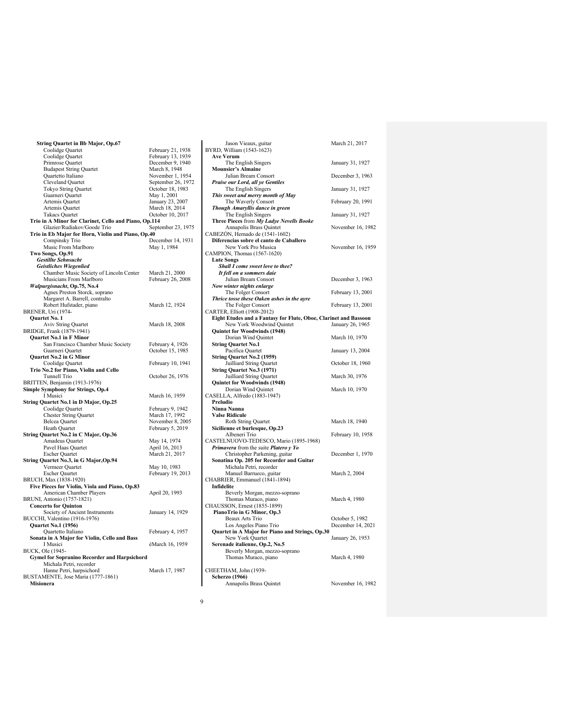**String Quartet in Bb Major, Op.67** Coolidge Quartet February 21, 1938<br>Coolidge Quartet February 13, 1939 Coolidge Quartet February 13, 1939 Primrose Quartet December 9, 1940 Budapest String Quartet March 8, 1948<br>
Ouartetto Italiano<br>
November 1, 19 Quartetto Italiano<br>
Cleveland Quartett<br>
September 26, 1972<br>
September 26, 1973 September 26, 1972<br>October 18, 1983 Tokyo String Quartet<br>Guarneri Ouartet Guarneri Quartet May 1, 2001 Artemis Quartet January 23, 2007 Artemis Quartet March 18, 2014 Takacs Quartet Corober 10, 2017 **Trio in A Minor for Clarinet, Cello and Piano, Op.114** Glazier/Rudiakov/Goode Trio September 23, 1975 **Trio in Eb Major for Horn, Violin and Piano, Op.40** Compinsky Trio December 14, 1931<br>Music From Marlboro May 1, 1984 Music From Marlboro **Two Songs, Op.91** *Gestillte Sehnsucht Geistliches Wiegenlied* Chamber Music Society of Lincoln Center March 21, 2000 Musicians From Marlboro February 26, 2008 *Walpurgisnacht***, Op.75, No.4** Agnes Preston Storck, soprano Margaret A. Barrell, contralto Robert Hufstader, piano March 12, 1924 BRENER, Uri (1974- **Quartet No. 1** Aviv String Quartet March 18, 2008 BRIDGE, Frank (1879-1941) **Quartet No.1 in F Minor** San Francisco Chamber Music Society February 4, 1926 Guarneri Quartet October 15, 1985 **Quartet No.2 in G Minor** Coolidge Quartet February 10, 1941 **Trio No.2 for Piano, Violin and Cello** Tunnell Trio October 26, 1976 BRITTEN, Benjamin (1913-1976) **Simple Symphony for Strings, Op.4**<br>I Musici March 16, 1959 **String Quartet No.1 in D Major, Op.25** Coolidge Quartet February 9, 1942 Chester String Quartet March 17, 1992 Belcea Quartet November 8, 2005<br>Heath Quartet February 5, 2019 **Heath Quartet February 5, 2019**<br>**String Quartet No.2 in C Major, Op.36** Amadeus Quartet Pavel Haas Quartet<br>Escher Quartet May 14, 1974<br>April 16, 2013<br>March 21, 2017 **String Quartet No.3, in G Major,Op.94** Vermeer Quartet May 10, 1983<br>
Escher Qaurtet February 19, 2 February 19, 2013 BRUCH, Max (1838-1920) **Five Pieces for Violin, Viola and Piano, Op.83** American Chamber Players April 20, 1993 BRUNI, Antonio (1757-1821) **Concerto for Quinton**<br>
Society of Ancient Instruments January 14, 1929 BUCCHI, Valentino (1916-1976) **Quartet No.1 (1956)** February 4, 1957 **Sonata in A Major for Violin, Cello and Bass** I Musici éMarch 16, 1959 BUCK, Ole (1945- **Gymel for Sopranino Recorder and Harpsichord** Michala Petri, recorder Hanne Petri, harpsichord March 17, 1987 BUSTAMENTE, Jose Maria (1777-1861) **Misionera**

| Jason Vieaux, guitar<br>BYRD, William (1543-1623)                      | March 21, 2017    |
|------------------------------------------------------------------------|-------------------|
| <b>Ave Verum</b>                                                       |                   |
| The English Singers                                                    | January 31, 1927  |
| <b>Mounsier's Almaine</b>                                              |                   |
| Julian Bream Consort                                                   | December 3, 1963  |
| Praise our Lord, all ye Gentiles<br>The English Singers                | January 31, 1927  |
| This sweet and merry month of May                                      |                   |
| The Waverly Consort                                                    | February 20, 1991 |
| Though Amaryllis dance in green                                        |                   |
| The English Singers                                                    | January 31, 1927  |
| Three Pieces from My Ladye Nevells Booke                               |                   |
| Annapolis Brass Quintet                                                | November 16, 1982 |
| CABEZON, Hernado de (1541-1602)                                        |                   |
| Diferencias sobre el canto de Caballero<br>New York Pro Musica         | November 16, 1959 |
| CAMPION, Thomas (1567-1620)                                            |                   |
| <b>Lute Songs</b>                                                      |                   |
| Shall I come sweet love to thee?                                       |                   |
| It fell on a sommers daie                                              |                   |
| Julian Bream Consort                                                   | December 3, 1963  |
| Now winter nights enlarge                                              |                   |
| The Folger Consort<br>Thrice tosse these Oaken ashes in the ayre       | February 13, 2001 |
| The Folger Consort                                                     | February 13, 2001 |
| CARTER, Elliott (1908-2012)                                            |                   |
| Eight Etudes and a Fantasy for Flute, Oboe, Clarinet and Bassoon       |                   |
| New York Woodwind Quintet                                              | January 26, 1965  |
| Quintet for Woodwinds (1948)                                           |                   |
| Dorian Wind Quintet                                                    | March 10, 1970    |
| <b>String Quartet No.1</b>                                             |                   |
| Pacifica Quartet<br>String Quartet No.2 (1959)                         | January 13, 2004  |
| Juilliard String Quartet                                               | October 18, 1960  |
| <b>String Quartet No.3 (1971)</b>                                      |                   |
| Juilliard String Quartet                                               | March 30, 1976    |
| Quintet for Woodwinds (1948)                                           |                   |
| Dorian Wind Quintet                                                    | March 10, 1970    |
| CASELLA, Alfredo (1883-1947)<br>Preludio                               |                   |
| Ninna Nanna                                                            |                   |
| <b>Valse Ridicule</b>                                                  |                   |
| Roth String Quartet                                                    | March 18, 1940    |
| Sicilienne et burlesque, Op.23                                         |                   |
| Albeneri Trio                                                          | February 10, 1958 |
| CASTELNUOVO-TEDESCO, Mario (1895-1968)                                 |                   |
| Primavera from the suite Platero y Yo<br>Christopher Parkening, guitar | December 1, 1970  |
| Sonatina Op. 205 for Recorder and Guitar                               |                   |
| Michala Petri, recorder                                                |                   |
| Manuel Barrueco, guitar                                                | March 2, 2004     |
| CHABRIER, Emmanuel (1841-1894)                                         |                   |
| Infidelite                                                             |                   |
| Beverly Morgan, mezzo-soprano                                          | March 4, 1980     |
| Thomas Muraco, piano<br>CHAUSSON, Ernest (1855-1899)                   |                   |
| PianoTrio in G Minor, Op.3                                             |                   |
| Beaux Arts Trio                                                        | October 5, 1982   |
| Los Angeles Piano Trio                                                 | December 14, 2021 |
| Quartet in A Major for Piano and Strings, Op.30                        |                   |
| New York Quartet                                                       | January 26, 1953  |
| Serenade italienne, Op.2, No.5<br>Beverly Morgan, mezzo-soprano        |                   |
| Thomas Muraco, piano                                                   | March 4, 1980     |
|                                                                        |                   |
| CHEETHAM, John (1939-                                                  |                   |
| <b>Scherzo</b> (1966)                                                  |                   |
| Annapolis Brass Quintet                                                | November 16, 1982 |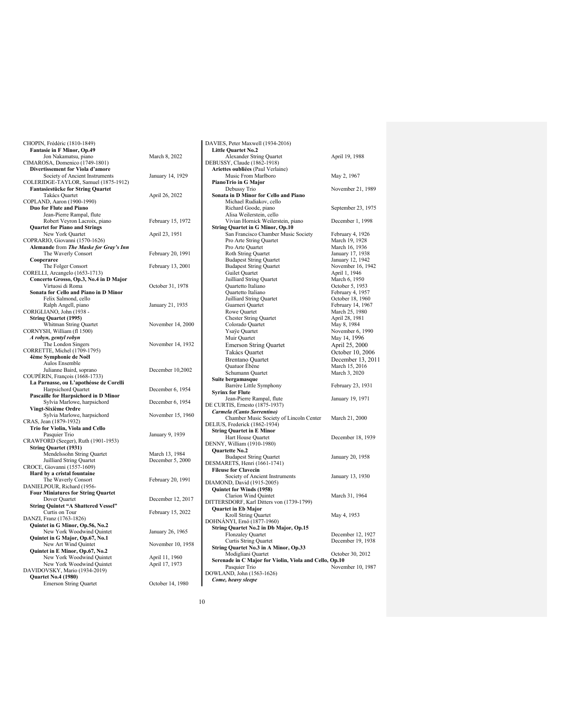| CHOPIN, Frédéric (1810-1849)                |                   |
|---------------------------------------------|-------------------|
| Fantasie in F Minor, Op.49                  |                   |
| Jon Nakamatsu, piano                        | March 8, 2022     |
| CIMAROSA, Domenico (1749-1801)              |                   |
| Divertissement for Viola d'amore            |                   |
| Society of Ancient Instruments              | January 14, 1929  |
| COLERIDGE-TAYLOR, Samuel (1875-1912)        |                   |
| <b>Fantasiestücke for String Quartet</b>    |                   |
| Takács Quartet                              | April 26, 2022    |
| COPLAND, Aaron (1900-1990)                  |                   |
| Duo for Flute and Piano                     |                   |
| Jean-Pierre Rampal, flute                   |                   |
| Robert Veyron Lacroix, piano                | February 15, 1972 |
| <b>Quartet for Piano and Strings</b>        |                   |
| New York Quartet                            | April 23, 1951    |
| COPRARIO, Giovanni (1570-1626)              |                   |
| Alemande from The Maske for Gray's Inn      |                   |
| The Waverly Consort                         | February 20, 1991 |
| Cooperaree                                  |                   |
| The Folger Consort                          | February 13, 2001 |
| CORELLI, Arcangelo (1653-1713)              |                   |
| Concerto Grosso, Op.3, No.4 in D Major      |                   |
| Virtuosi di Roma                            | October 31, 1978  |
| Sonata for Cello and Piano in D Minor       |                   |
| Felix Salmond, cello                        |                   |
| Ralph Angell, piano                         | January 21, 1935  |
| CORIGLIANO, John (1938 -                    |                   |
| <b>String Quartet (1995)</b>                |                   |
| Whitman String Quartet                      | November 14, 200  |
| CORNYSH, William (fl 1500)                  |                   |
| A robyn, gentyl robyn<br>The London Singers | November 14, 193  |
| CORRETTE, Michel (1709-1795)                |                   |
| 4ème Symphonie de Noël                      |                   |
| Aulos Ensemble                              |                   |
| Julianne Baird, soprano                     | December 10,2002  |
| COUPÉRIN, François (1668-1733)              |                   |
| La Parnasse, ou L'apothéose de Corelli      |                   |
| Harpsichord Quartet                         | December 6, 1954  |
| Pascaille for Harpsichord in D Minor        |                   |
| Sylvia Marlowe, harpsichord                 | December 6, 1954  |
| Vingt-Sixième Ordre                         |                   |
| Sylvia Marlowe, harpsichord                 | November 15, 196  |
| CRAS, Jean (1879-1932)                      |                   |
| Trio for Violin, Viola and Cello            |                   |
| Pasquier Trio                               | January 9, 1939   |
| CRAWFORD (Seeger), Ruth (1901-1953)         |                   |
| <b>String Quartet (1931)</b>                |                   |
| Mendelssohn String Quartet                  | March 13, 1984    |
| Juilliard String Quartet                    | December 5, 2000  |
| CROCE, Giovanni (1557-1609)                 |                   |
| Hard by a cristal fountaine                 |                   |
| The Waverly Consort                         | February 20, 1991 |
| DANIELPOUR, Richard (1956-                  |                   |
| <b>Four Miniatures for String Quartet</b>   |                   |
| Dover Quartet                               | December 12, 201  |
| String Quintet "A Shattered Vessel"         |                   |
| Curtis on Tour<br>DANZI, Franz (1763-1826)  | February 15, 2022 |
| Quintet in G Minor, Op.56, No.2             |                   |
| New York Woodwind Quintet                   | January 26, 1965  |
| Quintet in G Major, Op.67, No.1             |                   |
| New Art Wind Quintet                        | November 10, 195  |
| Quintet in E Minor, Op.67, No.2             |                   |
| New York Woodwind Quintet                   | April 11, 1960    |
| New York Woodwind Quintet                   | April 17, 1973    |
| DAVIDOVSKY, Mario (1934-2019)               |                   |
| <b>Quartet No.4 (1980)</b>                  |                   |
| <b>Emerson String Quartet</b>               | October 14, 1980  |
|                                             |                   |

| DAVIES, Peter Maxwell (1934-2016)                      |                    |
|--------------------------------------------------------|--------------------|
| <b>Little Quartet No.2</b>                             |                    |
| Alexander String Quartet                               | April 19, 1988     |
| DEBUSSY, Claude (1862-1918)                            |                    |
| Ariettes oubliées (Paul Verlaine)                      |                    |
| Music From Marlboro                                    |                    |
|                                                        | May 2, 1967        |
| PianoTrio in G Major                                   |                    |
| Debussy Trio                                           | November 21, 1989  |
| Sonata in D Minor for Cello and Piano                  |                    |
| Michael Rudiakov, cello                                |                    |
| Richard Goode, piano                                   | September 23, 1975 |
| Alisa Weilerstein, cello                               |                    |
| Vivian Hornick Weilerstein, piano                      | December 1, 1998   |
| <b>String Quartet in G Minor, Op.10</b>                |                    |
|                                                        |                    |
| San Francisco Chamber Music Society                    | February 4, 1926   |
| Pro Arte String Quartet                                | March 19, 1928     |
| Pro Arte Quartet                                       | March 16, 1936     |
| Roth String Quartet                                    | January 17, 1938   |
| <b>Budapest String Quartet</b>                         | January 12, 1942   |
| <b>Budapest String Quartet</b>                         | November 16, 1942  |
| Guilet Quartet                                         | April 1, 1946      |
| Juilliard String Quartet                               | March 6, 1950      |
| Quartetto Italiano                                     | October 5, 1953    |
|                                                        |                    |
| Quartetto Italiano                                     | February 4, 1957   |
| Juilliard String Quartet                               | October 18, 1960   |
| Guarneri Quartet                                       | February 14, 1967  |
| Rowe Quartet                                           | March 25, 1980     |
| <b>Chester String Quartet</b>                          | April 28, 1981     |
| Colorado Quartet                                       | May 8, 1984        |
| Ysaÿe Quartet                                          | November 6, 1990   |
| Muir Quartet                                           | May 14, 1996       |
|                                                        |                    |
| <b>Emerson String Quartet</b>                          | April 25, 2000     |
| Takács Quartet                                         | October 10, 2006   |
| <b>Brentano Quartet</b>                                | December 13, 2011  |
| Quatuor Ébène                                          | March 15, 2016     |
| Schumann Quartet                                       | March 3, 2020      |
| Suite bergamasque                                      |                    |
| Barrère Little Symphony                                | February 23, 1931  |
|                                                        |                    |
| <b>Syrinx for Flute</b>                                |                    |
| Jean-Pierre Rampal, flute                              | January 19, 1971   |
| DE CURTIS, Ernesto (1875-1937)                         |                    |
| Carmela (Canto Sorrentino)                             |                    |
| Chamber Music Society of Lincoln Center                | March 21, 2000     |
| DELIUS, Frederick (1862-1934)                          |                    |
| <b>String Quartet in E Minor</b>                       |                    |
| Hart House Quartet                                     | December 18, 1939  |
| DENNY, William (1910-1980)                             |                    |
| <b>Quartette No.2</b>                                  |                    |
|                                                        |                    |
| <b>Budapest String Quartet</b>                         | January 20, 1958   |
| DESMARETS, Henri (1661-1741)                           |                    |
| <b>Fileuse for Clavecin</b>                            |                    |
| Society of Ancient Instruments                         | January 13, 1930   |
| DIAMOND, David (1915-2005)                             |                    |
| Quintet for Winds (1958)                               |                    |
| Clarion Wind Quintet                                   | March 31, 1964     |
| DITTERSDORF, Karl Ditters von (1739-1799)              |                    |
| <b>Quartet in Eb Major</b>                             |                    |
| Kroll String Quartet                                   | May 4, 1953        |
|                                                        |                    |
| DOHNÁNYI, Ernö (1877-1960)                             |                    |
| String Quartet No.2 in Db Major, Op.15                 |                    |
| <b>Flonzaley Quartet</b>                               | December 12, 1927  |
| Curtis String Quartet                                  | December 19, 1938  |
| String Quartet No.3 in A Minor, Op.33                  |                    |
| Modigliani Quartet                                     | October 30, 2012   |
| Serenade in C Major for Violin, Viola and Cello, Op.10 |                    |
| Pasquier Trio                                          | November 10, 1987  |
| DOWLAND, John (1563-1626)                              |                    |
| Come, heavy sleepe                                     |                    |
|                                                        |                    |

November 14, 2000

November 14, 1932

December 10,2002

November 15, 1960

December 12, 2017

November 10, 1958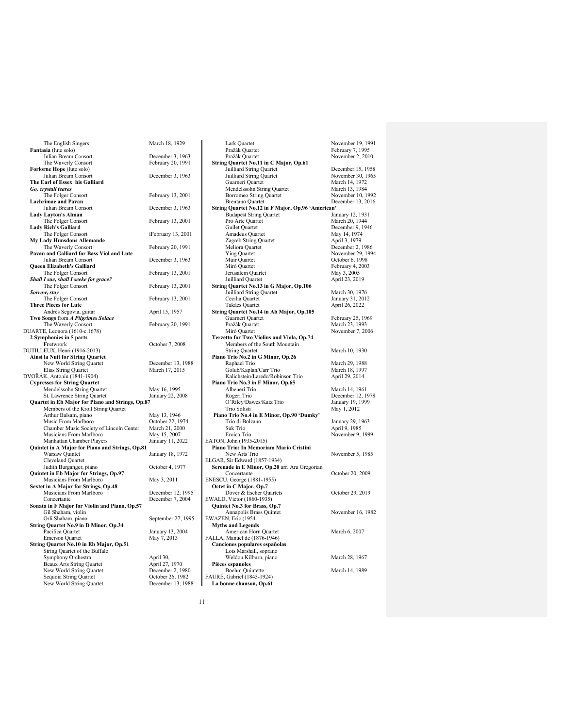| The English Singers                                         | March 18, 1929                      |
|-------------------------------------------------------------|-------------------------------------|
| Fantasia (lute solo)                                        |                                     |
| Julian Bream Consort                                        | December 3, 1963                    |
| The Waverly Consort<br>Forlorne Hope (lute solo)            | February 20, 1991                   |
| Julian Bream Consort                                        | December 3, 1963                    |
| The Earl of Essex his Galliard                              |                                     |
| Go, crystall teares                                         |                                     |
| The Folger Consort                                          | February 13, 2001                   |
| <b>Lachrimae and Pavan</b>                                  |                                     |
| Julian Bream Consort                                        | December 3, 1963                    |
| Lady Layton's Alman                                         |                                     |
| The Folger Consort<br><b>Lady Rich's Galliard</b>           | February 13, 2001                   |
| The Folger Consort                                          | íFebruary 13, 2001                  |
| <b>My Lady Hunsdons Allemande</b>                           |                                     |
| The Waverly Consort                                         | February 20, 1991                   |
| Pavan and Galliard for Bass Viol and Lute                   |                                     |
| Julian Bream Consort                                        | December 3, 1963                    |
| Queen Elizabeth's Galliard                                  |                                     |
| The Folger Consort<br>Shall I sue, shall I seeke for grace? | February 13, 2001                   |
| The Folger Consort                                          | February 13, 2001                   |
| Sorrow, stay                                                |                                     |
| The Folger Consort                                          | February 13, 2001                   |
| <b>Three Pieces for Lute</b>                                |                                     |
| Andrés Segovia, guitar                                      | April 15, 1957                      |
| Two Songs from A Pilgrimes Solace<br>The Waverly Consort    | February 20, 1991                   |
| DUARTE, Leonora (1610-c.1678)                               |                                     |
| 2 Symphonies in 5 parts                                     |                                     |
| Fretwrork                                                   | October 7, 2008                     |
| DUTILLEUX, Henri (1916-2013)                                |                                     |
| Ainsi la Nuit for String Quartet                            |                                     |
| New World String Quartet<br>Elias String Quartet            | December 13, 1988<br>March 17, 2015 |
| DVOŘÁK, Antonín (1841-1904)                                 |                                     |
| <b>Cypresses for String Quartet</b>                         |                                     |
| Mendelssohn String Quartet                                  | May 16, 1995                        |
| St. Lawrence String Quartet                                 | January 22, 2008                    |
| Quartet in Eb Major for Piano and Strings, Op.87            |                                     |
| Members of the Kroll String Quartet                         |                                     |
| Arthur Balsam, piano<br>Music From Marlboro                 | May 13, 1946<br>October 22, 1974    |
| Chamber Music Society of Lincoln Center                     | March 21, 2000                      |
| Musicians From Marlboro                                     | May 15, 2007                        |
| Manhattan Chamber Players                                   | January 11, 2022                    |
| Quintet in A Major for Piano and Strings, Op.81             |                                     |
| Warsaw Quintet                                              | January 18, 1972                    |
| Cleveland Quartet<br>Judith Burganger, piano                | October 4, 1977                     |
| Quintet in Eb Major for Strings, Op.97                      |                                     |
| Musicians From Marlboro                                     | May 3, 2011                         |
| Sextet in A Major for Strings, Op.48                        |                                     |
| Musicians From Marlboro                                     | December 12, 1995                   |
| Concertante                                                 | December 7, 2004                    |
| Sonata in F Major for Violin and Piano, Op.57               |                                     |
| Gil Shaham, violin<br>Orli Shaham, piano                    | September 27, 1995                  |
| <b>String Quartet No.9 in D Minor, Op.34</b>                |                                     |
| Pacifica Quartet                                            | January 13, 2004                    |
| <b>Emerson Quartet</b>                                      | May 7, 2013                         |
| <b>String Quartet No.10 in Eb Major, Op.51</b>              |                                     |
| String Quartet of the Buffalo<br>Symphony Orchestra         |                                     |
| Beaux Arts String Quartet                                   | April 30,<br>April 27, 1970         |
| New World String Quartet                                    | December 2, 1980                    |
| Sequoia String Quartet                                      | October 26, 1982                    |
|                                                             |                                     |
| New World String Quartet                                    | December 13, 1988                   |

| Lark Quartet                                      | November 19, 1991                   |
|---------------------------------------------------|-------------------------------------|
| Pražák Quartet                                    | February 7, 1995                    |
| Pražák Quartet                                    | November 2, 2010                    |
| String Quartet No.11 in C Major, Op.61            |                                     |
| Juilliard String Quartet                          | December 15, 1958                   |
| Juilliard String Quartet                          | November 30, 1965                   |
| Guarneri Quartet                                  | March 14, 1972                      |
| Mendelssohn String Quartet                        | March 13, 1984                      |
| Borromeo String Quartet                           | November 10, 1992                   |
| <b>Brentano Quartet</b>                           | December 13, 2016                   |
| String Quartet No.12 in F Major, Op.96 'American' |                                     |
| <b>Budapest String Quartet</b>                    | January 12, 1931                    |
| Pro Arte Quartet                                  | March 20, 1944                      |
| Guilet Quartet                                    | December 9, 1946                    |
| Amadeus Quartet                                   | May 14, 1974                        |
| Zagreb String Quartet                             | April 3, 1979                       |
| Meliora Quartet                                   | December 2, 1986                    |
| <b>Ying Quartet</b>                               | November 29, 1994                   |
| Muir Quartet                                      | October 6, 1998                     |
| Miró Quartet                                      | February 4, 2003                    |
| Jerusalem Quartet                                 | May 3, 2005                         |
| Juilliard Quartet                                 | April 23, 2019                      |
| String Quartet No.13 in G Major, Op.106           |                                     |
| Juilliard String Quartet                          | March 30, 1976                      |
| Cecilia Quartet                                   | January 31, 2012                    |
| Takács Quartet                                    | April 26, 2022                      |
| String Quartet No.14 in Ab Major, Op.105          |                                     |
| Guarneri Quartet                                  | February 25, 1969<br>March 23, 1993 |
| Pražák Quartet                                    |                                     |
| Miró Quartet                                      | November 7, 2006                    |
| Terzetto for Two Violins and Viola, Op.74         |                                     |
| Members of the South Mountain                     |                                     |
| <b>String Quartet</b>                             | March 10, 1930                      |
| Piano Trio No.2 in G Minor, Op.26                 |                                     |
| Raphael Trio                                      | March 29, 1988                      |
| Golub/Kaplan/Carr Trio                            | March 18, 1997                      |
| Kalichstein/Laredo/Robinson Trio                  | April 29, 2014                      |
| Piano Trio No.3 in F Minor, Op.65                 |                                     |
| Albeneri Trio                                     | March 14, 1961                      |
| Rogeri Trio                                       | December 12, 1978                   |
| O'Riley/Dawes/Katz Trio                           | January 19, 1999                    |
| Trio Solisti                                      | May 1, 2012                         |
| Piano Trio No.4 in E Minor, Op.90 'Dumky'         |                                     |
| Trio di Bolzano                                   | January 29, 1963                    |
| Suk Trio                                          | April 9, 1985                       |
| Eroica Trio                                       | November 9, 1999                    |
| EATON, John (1935-2015)                           |                                     |
| Piano Trio: In Memoriam Mario Cristini            |                                     |
| New Arts Trio                                     | November 5, 1985                    |
| ELGAR, Sir Edward (1857-1934)                     |                                     |
| Serenade in E Minor, Op.20 arr. Ara Gregorian     |                                     |
| Concertante                                       | October 20, 2009                    |
| ENESCU, George (1881-1955)                        |                                     |
| Octet in C Major, Op.7                            |                                     |
| Dover & Escher Quartets                           | October 29, 2019                    |
| EWALD, Victor (1860-1935)                         |                                     |
| Quintet No.3 for Brass, Op.7                      |                                     |
| Annapolis Brass Quintet                           | November 16, 1982                   |
| EWAZEN, Eric (1954-                               |                                     |
| <b>Myths and Legends</b>                          |                                     |
| American Horn Quartet                             | March 6, 2007                       |
| FALLA, Manuel de (1876-1946)                      |                                     |
| Canciones populares españolas                     |                                     |
| Lois Marshall, soprano                            |                                     |
| Weldon Kilburn, piano                             | March 28, 1967                      |
| Pièces espanoles<br><b>Boehm Quintette</b>        | March 14, 1989                      |
| FAURÉ, Gabriel (1845-1924)                        |                                     |
| La bonne chanson, Op.61                           |                                     |
|                                                   |                                     |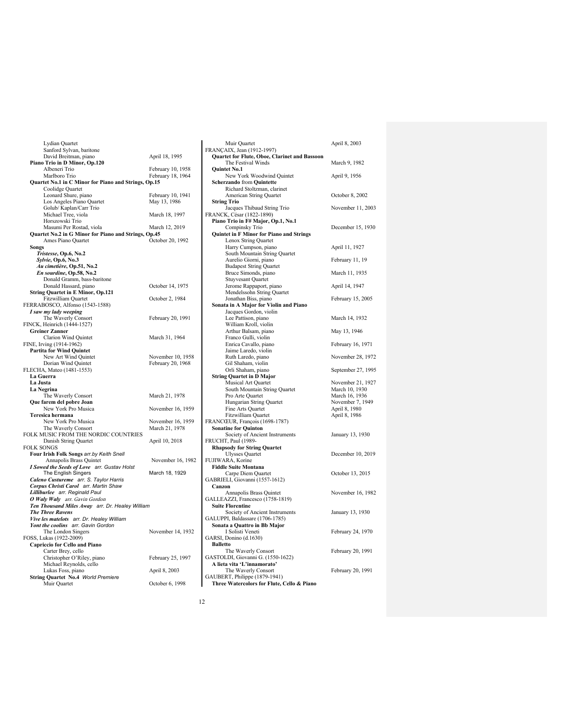| Lydian Quartet                                                         |                                        |
|------------------------------------------------------------------------|----------------------------------------|
| Sanford Sylvan, baritone                                               |                                        |
| David Breitman, piano                                                  | April 18, 1995                         |
| Piano Trio in D Minor, Op.120<br>Albeneri Trio                         |                                        |
| Marlboro Trio                                                          | February 10, 1958<br>February 18, 1964 |
| Quartet No.1 in C Minor for Piano and Strings, Op.15                   |                                        |
| Coolidge Quartet                                                       |                                        |
| Leonard Shure, piano                                                   | February 10, 1941                      |
| Los Angeles Piano Quartet                                              | May 13, 1986                           |
| Golub/ Kaplan/Carr Trio                                                |                                        |
| Michael Tree, viola                                                    | March 18, 1997                         |
| Horszowski Trio                                                        |                                        |
| Masumi Per Rostad, viola                                               | March 12, 2019                         |
| Quartet No.2 in G Minor for Piano and Strings, Op.45                   |                                        |
| Ames Piano Quartet                                                     | October 20, 1992                       |
| Songs                                                                  |                                        |
| Tristesse, Op.6, No.2<br>Sylvie, Op.6, No.3                            |                                        |
| Au cimetière, Op.51, No.2                                              |                                        |
| En sourdine, Op.58, No.2                                               |                                        |
| Donald Gramm, bass-baritone                                            |                                        |
| Donald Hassard, piano                                                  | October 14, 1975                       |
| <b>String Quartet in E Minor, Op.121</b>                               |                                        |
| Fitzwilliam Quartet                                                    | October 2, 1984                        |
| FERRABOSCO, Alfonso (1543-1588)                                        |                                        |
| I saw my lady weeping                                                  |                                        |
| The Waverly Consort                                                    | February 20, 1991                      |
| FINCK, Heinrich (1444-1527)                                            |                                        |
| <b>Greiner Zanner</b>                                                  |                                        |
| Clarion Wind Quintet                                                   | March 31, 1964                         |
| FINE, Irving (1914-1962)                                               |                                        |
| <b>Partita for Wind Quintet</b>                                        |                                        |
| New Art Wind Quintet                                                   | November 10, 1958                      |
| Dorian Wind Quintet                                                    | February 20, 1968                      |
| FLECHA, Mateo (1481-1553)<br>La Guerra                                 |                                        |
| La Justa                                                               |                                        |
| La Negrina                                                             |                                        |
| The Waverly Consort                                                    | March 21, 1978                         |
| Que farem del pobre Joan                                               |                                        |
| New York Pro Musica                                                    | November 16, 1959                      |
| Teresica hermana                                                       |                                        |
| New York Pro Musica                                                    | November 16, 1959                      |
| The Waverly Consort                                                    | March 21, 1978                         |
| FOLK MUSIC FROM THE NORDIC COUNTRIES                                   |                                        |
| Danish String Quartet                                                  | April 10, 2018                         |
| FOLK SONGS                                                             |                                        |
| Four Irish Folk Songs arr.by Keith Snell                               |                                        |
| Annapolis Brass Quintet<br>I Sowed the Seeds of Love arr. Gustav Holst | November 16, 1982                      |
| The English Singers                                                    | March 18, 1929                         |
| Caleno Custureme arr. S. Taylor Harris                                 |                                        |
| Corpus Christi Carol arr. Martin Shaw                                  |                                        |
| Lilliburlee arr. Reginald Paul                                         |                                        |
| O Waly Waly arr. Gavin Gordon                                          |                                        |
| Ten Thousand Miles Away arr. Dr. Healey William                        |                                        |
| <b>The Three Ravens</b>                                                |                                        |
| Vive les matelots arr. Dr. Healey William                              |                                        |
| Yont the coolins arr. Gavin Gordon                                     |                                        |
| The London Singers                                                     | November 14, 1932                      |
| FOSS, Lukas (1922-2009)                                                |                                        |
| <b>Capriccio for Cello and Piano</b>                                   |                                        |
| Carter Brey, cello                                                     |                                        |
| Christopher O'Riley, piano                                             | February 25, 1997                      |
| Michael Reynolds, cello<br>Lukas Foss, piano                           | April 8, 2003                          |
| String Quartet No.4 World Premiere                                     |                                        |
| Muir Quartet                                                           | October 6, 1998                        |
|                                                                        |                                        |

| Muir Quartet                                                    | April 8, 2003      |
|-----------------------------------------------------------------|--------------------|
| FRANÇAIX, Jean (1912-1997)                                      |                    |
| Quartet for Flute, Oboe, Clarinet and Bassoon                   |                    |
| The Festival Winds                                              | March 9, 1982      |
| Quintet No.1                                                    |                    |
| New York Woodwind Quintet<br><b>Scherzando from Quintette</b>   | April 9, 1956      |
| Richard Stoltzman, clarinet                                     |                    |
| American String Quartet                                         | October 8, 2002    |
| <b>String Trio</b>                                              |                    |
| Jacques Thibaud String Trio                                     | November 11, 2003  |
| FRANCK, César (1822-1890)                                       |                    |
| Piano Trio in F# Major, Op.1, No.1<br>Compinsky Trio            | December 15, 1930  |
| Quintet in F Minor for Piano and Strings                        |                    |
| Lenox String Quartet                                            |                    |
| Harry Cumpson, piano                                            | April 11, 1927     |
| South Mountain String Quartet                                   |                    |
| Aurelio Giorni, piano                                           | February 11, 19    |
| <b>Budapest String Quartet</b><br>Bruce Simonds, piano          | March 11, 1935     |
| <b>Stuyvesant Quartet</b>                                       |                    |
| Jerome Rappaport, piano                                         | April 14, 1947     |
| Mendelssohn String Quartet                                      |                    |
| Jonathan Biss, piano                                            | February 15, 2005  |
| Sonata in A Major for Violin and Piano                          |                    |
| Jacques Gordon, violin                                          |                    |
| Lee Pattison, piano<br>William Kroll, violin                    | March 14, 1932     |
| Arthur Balsam, piano                                            | May 13, 1946       |
| Franco Gulli, violin                                            |                    |
| Enrica Cavallo, piano                                           | February 16, 1971  |
| Jaime Laredo, violin                                            |                    |
| Ruth Laredo, piano                                              | November 28, 1972  |
| Gil Shaham, violin                                              |                    |
| Orli Shaham, piano                                              | September 27, 1995 |
| <b>String Quartet in D Major</b><br>Musical Art Quartet         | November 21, 1927  |
| South Mountain String Quartet                                   | March 10, 1930     |
| Pro Arte Quartet                                                | March 16, 1936     |
| Hungarian String Quartet                                        | November 7, 1949   |
| Fine Arts Quartet                                               | April 8, 1980      |
| Fitzwilliam Quartet                                             | April 8, 1986      |
| FRANCŒUR, François (1698-1787)<br><b>Sonatine for Quinton</b>   |                    |
| Society of Ancient Instruments                                  | January 13, 1930   |
| FRUCHT, Paul (1989-                                             |                    |
| <b>Rhapsody for String Quartet</b>                              |                    |
| <b>Ulysses Quartet</b>                                          | December 10, 2019  |
| FUJIWARA, Korine                                                |                    |
| <b>Fiddle Suite Montana</b>                                     |                    |
| Carpe Diem Quartet<br>GABRIELI, Giovanni (1557-1612)            | October 13, 2015   |
| Canzon                                                          |                    |
| Annapolis Brass Quintet                                         | November 16, 1982  |
| GALLEAZZI, Francesco (1758-1819)                                |                    |
| <b>Suite Florentine</b>                                         |                    |
| Society of Ancient Instruments                                  | January 13, 1930   |
| GALUPPI, Baldassare (1706-1785)<br>Sonata a Quattro in Bb Major |                    |
| I Solisti Veneti                                                | February 24, 1970  |
| GARSI, Donino (d.1630)                                          |                    |
| <b>Balletto</b>                                                 |                    |
| The Waverly Consort                                             | February 20, 1991  |
| GASTOLDI, Giovanni G. (1550-1622)                               |                    |
| A lieta vita 'L'innamorato'                                     |                    |
| The Waverly Consort<br>GAUBERT, Philippe (1879-1941)            | February 20, 1991  |
| Three Watercolors for Flute, Cello & Piano                      |                    |
|                                                                 |                    |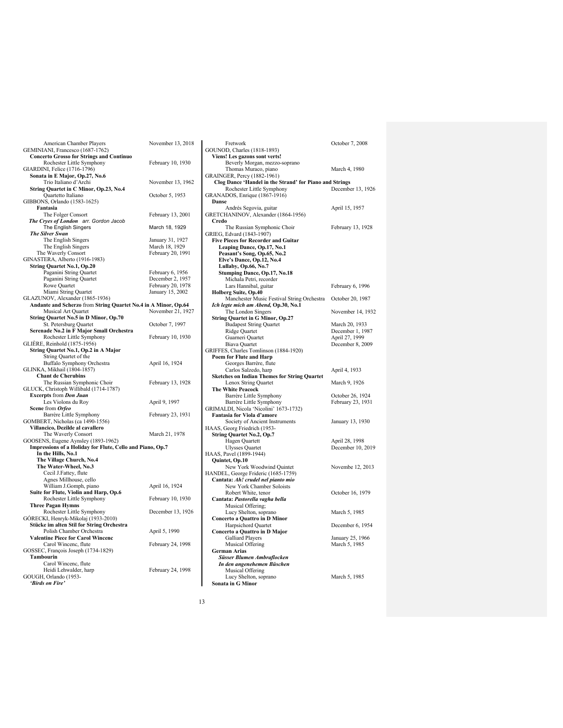| American Chamber Players                                       | November 13, 2018 |                          |
|----------------------------------------------------------------|-------------------|--------------------------|
| GEMINIANI, Francesco (1687-1762)                               |                   | $\mathbf \zeta$          |
| <b>Concerto Grosso for Strings and Continuo</b>                |                   |                          |
| Rochester Little Symphony                                      | February 10, 1930 |                          |
| GIARDINI, Felice (1716-1796)                                   |                   |                          |
| Sonata in E Major, Op.27, No.6                                 |                   | $\overline{\phantom{a}}$ |
| Trio Italiano d'Archi                                          | November 13, 1962 |                          |
| String Quartet in C Minor, Op.23, No.4                         |                   |                          |
| Quartetto Italiano                                             | October 5, 1953   | $\overline{\phantom{a}}$ |
| GIBBONS, Orlando (1583-1625)                                   |                   |                          |
| Fantasia                                                       |                   |                          |
| The Folger Consort                                             | February 13, 2001 | $\overline{\phantom{a}}$ |
| The Cryes of London arr. Gordon Jacob                          |                   |                          |
| The English Singers                                            | March 18, 1929    |                          |
| <b>The Silver Swan</b>                                         |                   | $\overline{\phantom{a}}$ |
| The English Singers                                            | January 31, 1927  |                          |
| The English Singers                                            | March 18, 1929    |                          |
| The Waverly Consort                                            | February 20, 1991 |                          |
| GINASTERA, Alberto (1916-1983)                                 |                   |                          |
| <b>String Quartet No.1, Op.20</b>                              |                   |                          |
| Paganini String Quartet                                        | February 6, 1956  |                          |
| Paganini String Quartet                                        | December 2, 1957  |                          |
| Rowe Quartet                                                   | February 20, 1978 |                          |
| Miami String Quartet                                           | January 15, 2002  |                          |
| GLAZUNOV, Alexander (1865-1936)                                |                   |                          |
| Andante and Scherzo from String Quartet No.4 in A Minor, Op.64 |                   |                          |
| Musical Art Quartet                                            | November 21, 1927 |                          |
| String Quartet No.5 in D Minor, Op.70                          |                   |                          |
| St. Petersburg Quartet                                         | October 7, 1997   |                          |
| Serenade No.2 in F Major Small Orchestra                       |                   |                          |
| Rochester Little Symphony                                      | February 10, 1930 |                          |
| GLIÈRE, Reinhold (1875-1956)                                   |                   |                          |
| String Quartet No.1, Op.2 in A Major                           |                   | $\overline{\phantom{a}}$ |
| String Quartet of the                                          |                   |                          |
| Buffalo Symphony Orchestra<br>GLINKA, Mikhail (1804-1857)      | April 16, 1924    |                          |
| <b>Chant de Cherubins</b>                                      |                   |                          |
| The Russian Symphonic Choir                                    | February 13, 1928 |                          |
| GLUCK, Christoph Willibald (1714-1787)                         |                   |                          |
| <b>Excerpts from Don Juan</b>                                  |                   |                          |
| Les Violons du Roy                                             | April 9, 1997     |                          |
| Scene from Orfeo                                               |                   | $\overline{\phantom{a}}$ |
| Barrère Little Symphony                                        | February 23, 1931 |                          |
| GOMBERT, Nicholas (ca 1490-1556)                               |                   |                          |
| Villancico, Dezilde al cavallero                               |                   | I                        |
| The Waverly Consort                                            | March 21, 1978    |                          |
| GOOSENS, Eugene Aynsley (1893-1962)                            |                   |                          |
| Impressions of a Holiday for Flute, Cello and Piano, Op.7      |                   |                          |
| In the Hills, No.1                                             |                   | I                        |
| The Village Church, No.4                                       |                   |                          |
| The Water-Wheel, No.3                                          |                   |                          |
| Cecil J.Fattey, flute                                          |                   | I                        |
| Agnes Millhouse, cello                                         |                   |                          |
| William J.Gomph, piano                                         | April 16, 1924    |                          |
| Suite for Flute, Violin and Harp, Op.6                         |                   |                          |
| Rochester Little Symphony                                      | February 10, 1930 |                          |
| <b>Three Pagan Hymns</b>                                       |                   |                          |
| Rochester Little Symphony                                      | December 13, 1926 |                          |
| GORECKI, Henryk-Mikolaj (1933-2010)                            |                   |                          |
| Stücke im alten Stil for String Orchestra                      |                   |                          |
| Polish Chamber Orchestra                                       | April 5, 1990     |                          |
| <b>Valentine Piece for Carol Wincenc</b>                       |                   |                          |
| Carol Wincenc, flute                                           | February 24, 1998 |                          |
| GOSSEC, François Joseph (1734-1829)                            |                   |                          |
| Tambourin                                                      |                   |                          |
|                                                                |                   |                          |
| Carol Wincenc, flute                                           |                   |                          |
| Heidi Lehwalder, harp                                          | February 24, 1998 |                          |
| GOUGH, Orlando (1953-<br>'Birds on Fire'                       |                   |                          |

| i | Fretwork                                                                           | October 7, 2008   |
|---|------------------------------------------------------------------------------------|-------------------|
|   | GOUNOD, Charles (1818-1893)                                                        |                   |
|   | Viens! Les gazons sont verts!                                                      |                   |
|   | Beverly Morgan, mezzo-soprano                                                      |                   |
|   | Thomas Muraco, piano                                                               | March 4, 1980     |
|   | GRAINGER, Percy (1882-1961)                                                        |                   |
|   | Clog Dance 'Handel in the Strand' for Piano and Strings                            |                   |
|   | Rochester Little Symphony                                                          | December 13, 1926 |
|   | GRANADOS, Enrique (1867-1916)                                                      |                   |
|   | Danse                                                                              |                   |
|   | Andrés Segovia, guitar<br>GRETCHANINOV, Alexander (1864-1956)                      | April 15, 1957    |
|   | Credo                                                                              |                   |
|   | The Russian Symphonic Choir                                                        | February 13, 1928 |
|   | GRIEG, Edvard (1843-1907)                                                          |                   |
|   | <b>Five Pieces for Recorder and Guitar</b>                                         |                   |
|   | Leaping Dance, Op.17, No.1                                                         |                   |
|   | Peasant's Song, Op.65, No.2                                                        |                   |
|   | Elve's Dance, Op.12, No.4                                                          |                   |
|   | Lullaby, Op.66, No.7                                                               |                   |
|   | Stumping Dance, Op.17, No.18                                                       |                   |
|   | Michala Petri, recorder                                                            |                   |
|   | Lars Hannibal, guitar                                                              | February 6, 1996  |
|   | Holberg Suite, Op.40                                                               |                   |
|   | Manchester Music Festival String Orchestra<br>Ich legte mich am Abend, Op.30, No.1 | October 20, 1987  |
|   | The London Singers                                                                 | November 14, 1932 |
|   | <b>String Quartet in G Minor, Op.27</b>                                            |                   |
|   | <b>Budapest String Quartet</b>                                                     | March 20, 1933    |
|   | <b>Ridge Quartet</b>                                                               | December 1, 1987  |
|   | Guarneri Quartet                                                                   | April 27, 1999    |
|   | <b>Biava Quartet</b>                                                               | December 8, 2009  |
|   | GRIFFES, Charles Tomlinson (1884-1920)                                             |                   |
|   | Poem for Flute and Harp                                                            |                   |
|   | Georges Barrère, flute                                                             |                   |
|   | Carlos Salzedo, harp                                                               | April 4, 1933     |
|   | <b>Sketches on Indian Themes for String Quartet</b>                                |                   |
|   | Lenox String Quartet<br><b>The White Peacock</b>                                   | March 9, 1926     |
|   | Barrère Little Symphony                                                            | October 26, 1924  |
|   | Barrère Little Symphony                                                            | February 23, 1931 |
|   | GRIMALDI, Nicola 'Nicolini' 1673-1732)                                             |                   |
|   | Fantasia for Viola d'amore                                                         |                   |
|   | Society of Ancient Instruments                                                     | January 13, 1930  |
|   | HAAS, Georg Friedrich (1953-                                                       |                   |
|   | <b>String Quartet No.2, Op.7</b>                                                   |                   |
|   | Hagen Quartett                                                                     | April 28, 1998    |
|   | <b>Ulysses Quartet</b>                                                             | December 10, 2019 |
|   | HAAS, Pavel (1899-1944)                                                            |                   |
|   | Quintet, Op.10<br>New York Woodwind Quintet                                        | Novembe 12, 2013  |
|   | HANDEL, George Frideric (1685-1759)                                                |                   |
|   | Cantata: Ah! crudel nel pianto mio                                                 |                   |
|   | New York Chamber Soloists                                                          |                   |
|   | Robert White, tenor                                                                | October 16, 1979  |
|   | Cantata: Pastorella vagha bella                                                    |                   |
|   | Musical Offering;                                                                  |                   |
|   | Lucy Shelton, soprano                                                              | March 5, 1985     |
|   | Concerto a Quattro in D Minor                                                      |                   |
|   | Harpsichord Quartet                                                                | December 6, 1954  |
|   | Concerto a Quattro in D Major                                                      |                   |
|   | <b>Galliard Players</b>                                                            | January 25, 1966  |
|   | Musical Offering<br><b>German Arias</b>                                            | March 5, 1985     |
|   | Süsser Blumen Ambraflocken                                                         |                   |
|   | In den angenehemen Büschen                                                         |                   |
|   | Musical Offering                                                                   |                   |
|   | Lucy Shelton, soprano                                                              | March 5, 1985     |
|   | <b>Sonata in G Minor</b>                                                           |                   |
|   |                                                                                    |                   |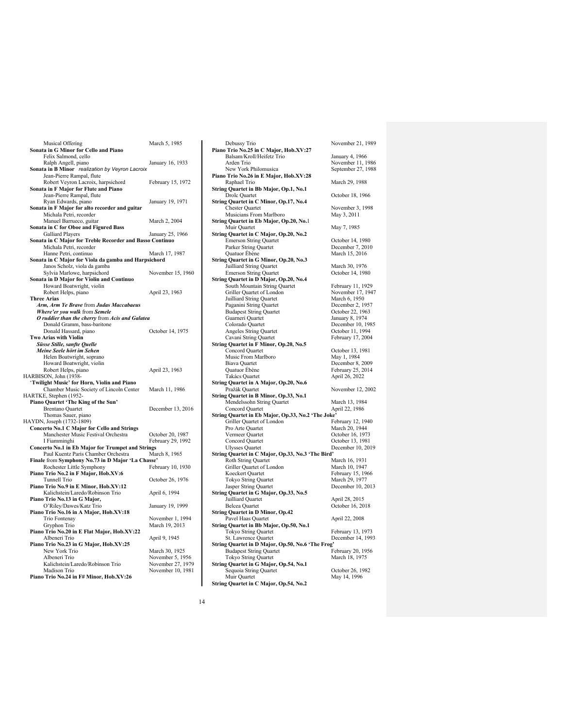Musical Offering March 5, 1985 **Sonata in G Minor for Cello and Piano** Felix Salmond, cello Ralph Angell, piano January 16, 1933 **Sonata in B Minor** *realization by Veyron Lacroix* Jean-Pierre Rampal, flute Robert Veyron Lacroix, harpsichord February 15, 1972 **Sonata in F Major for Flute and Piano** Jean-Pierre Rampal, flute Ryan Edwards, piano January 19, 1971 **Sonata in F Major for alto recorder and guitar** Michala Petri, recorder Manuel Barrueco, guitar March 2, 2004 **Sonata in C for Oboe and Figured Bass** January 25, 1966 **Sonata in C Major for Treble Recorder and Basso Continuo** Michala Petri, recorder Hanne Petri, continuo March 17, 1987 **Sonata in C Major for Viola da gamba and Harpsichord** Janos Scholz, viola da gamba Sylvia Marlowe, harpsichord November 15, 1960 **Sonata in D Major for Violin and Continuo** Howard Boatwright, violin Robert Helps, piano April 23, 1963 **Three Arias** *Arm, Arm Ye Brave* from *Judas Maccabaeus Where'er you walk* from *Semele O ruddier than the cherry* from *Acis and Galatea* Donald Gramm, bass-baritone Donald Hassard, piano October 14, 1975 **Two Arias with Violin** *Süsse Stille, sanfte Quelle Meine Seele hört im Sehen* Helen Boatwright, soprano Howard Boatwright, violin Robert Helps, piano April 23, 1963 HARBISON, John (1938- '**Twilight Music' for Horn, Violin and Piano** Chamber Music Society of Lincoln Center March 11, 1986 HARTKE, Stephen (1952- **Piano Quartet 'The King of the Sun'** Brentano Quartet Christian Counter Christian December 13, 2016 Thomas Sauer, piano HAYDN, Joseph (1732-1809) **Concerto No.1 C Major for Cello and Strings** Manchester Music Festival Orchestra October 20, 1987 I Fiamminghi<br> **Concerto No.1 in Eb Major for Trumpet and Strings**<br>
Paul Kuentz Paris Chamber Orchestra March 8, 1965 **Finale** from **Symphony No.73 in D Major 'La Chasse'** Rochester Little Symphony **Piano Trio No.2 in F Major, Hob.XV:6** October 26, 1976 **Piano Trio No.9 in E Minor, Hob.XV:12** Kalichstein/Laredo/Robinson Trio April 6, 1994 **Piano Trio No.13 in G Major,** O'Riley/Dawes/Katz Trio January 19, 1999 **Piano Trio No.16 in A Major, Hob.XV:18** Trio Fontenay November 1, 1994 Gryphon Trio March 19, 2013 **Piano Trio No.20 in E Flat Major, Hob.XV:22** Albeneri Trio April 9, 1945 **Piano Trio No.23 in G Major, Hob.XV:25** New York Trio March 30, 1925<br>Albeneri Trio Movember 5, 19. November 5, 1956<br>November 27, 1979 Kalichstein/Laredo/Robinson Trio<br>Madison Trio Movember 27, 1979<br>November 10, 1981 **Piano Trio No.24 in F# Minor, Hob.XV:26**

Debussy Trio November 21, 1989 **Piano Trio No.25 in C Major, Hob.XV:27** Balsam/Kroll/Heifetz Trio January 4, 1966<br>Arden Trio November 11, 1 Arden Trio November 11, 1986<br>New York Philomusica<br>New York Philomusica<br>New York Philomusica **Piano Trio No.26 in E Major, Hob.XV:28 String Quartet in Bb Major, Op.1, No.1 String Quartet in C Minor, Op.17, No.4** Musicians From Marlboro May 3, 2011 **String Quartet in Eb Major, Op.20, No.**1 Muir Quartet **in C Major, Op.20, No.2** May 7, 1985<br>**String Quartet in C Major, Op.20, No.2** Emerson String Quartet (Campbell 2015)<br>
December 7, 2010<br>
December 7, 2010 Parker String Quartet Quatuor Ébène March 15, 2016 **String Quartet in G Minor, Op.20, No.3** Juilliard String Quartet March 30, 1976 Emerson String Quartet **October 14, 1980**<br> **String Quartet in D Major, Op.20, No.4** South Mountain String Quartet February 11, 1929<br>Griller Quartet of London November 17, 1947 Griller Quartet of London November 17,<br>
Juilliard String Quartet March 6, 1950 Juilliard String Quartet<br>
Juilliard String Quartet<br>
Paganini String Quartet<br>
December 2, 1957 Paganini String Quartet<br>
Budanest String Quartet<br>
Cotober 22 1963 Budapest String Quartet Cuarter October 22, 1963<br>
Guarneri Quartet January 8, 1974 Guarneri Quartet<br>Colorado Quartet Angeles String Quartet **Canadian Corporation** October 11, 1994<br>
Cavani String Quartet February 17, 2004 Cavani String Quartet February 17, 2004<br> **String Quartet in F Minor, Op.20, No.5** Concord Quartet Concord Quartet Concord Quartet Concord Quartet Concord Quartet Concord Concord Concord Concord Concord Concord Concord Concord Concord Concord Concord Concord Concord Concord Concord Concord Concord Concor Music From Marlboro<br>Biava Quartet Biava Quartet December 8, 2009<br>
Ouatuor Ébène February 25, 2014 Takács Quartet **String Quartet in A Major, Op.20, No.6** Pražák Quartet November 12, 2002 **String Quartet in B Minor, Op.33, No.1** Mendelssohn String Quartet March 13, 1984 Concord Quartet April 22, 1986 **String Quartet in Eb Major, Op.33, No.2 'The Joke'** Griller Quartet of London February 12, 1940<br>Pro Arte Quartet March 20, 1944 Pro Arte Quartet<br>Vermeer Quartet Vermeer Quartet Concord Quartet Concord Quartet Concord Quartet Concord Quartet Concord Quartet Concord Concord Concord Concord Concord Concord Concord Concord Concord Concord Concord Concord Concord Concord Concord Concor Concord Quartet Concord Quartet Concord Quartet Concord December 10, 20 **String Quartet in C Major, Op.33, No.3 'The Bird'** Roth String Quartet Griller Quartet of London March 10, 1947<br>Koeckert Quartet February 15, 19 Tokyo String Quartet March 29, 1977<br>Jasper String Quartet December 10, 2013 Jasper String Quartet **String Quartet in G Major, Op.33, No.5** Juilliard Ouartet April 28, 2015 Belcea Quartet Corollars Corollars Corollars Corollars Corollars Corollars Corollars Corollars Corollars Corollars Corollars Corollars Corollars Corollars Corollars Corollars Corollars Corollars Corollars Corollars Corolla **String Quartet in D Minor, Op.42** Pavel Haas Quartet April 22, 2008 **String Quartet in Bb Major, Op.50, No.1** Tokyo String Quartet February 13, 1973<br>St. Lawrence Quartet February 13, 1973 **String Quartet in D Major, Op.50, No.6 'The Frog'** Budapest String Quartet February 20, 1956<br>Tokyo String Quartet March 18, 1975 Tokyo String Quartet **String Quartet in G Major, Op.54, No.1**<br>
Sequoia String Quartet October 26, 1982 Muir Quartet May 14, 1996 **String Quartet in C Major, Op.54, No.2**

September 27, 1988 March 29, 1988 October 18, 1966 November 3, 1998 December 10, 1985<br>October 11, 1994 February 25, 2014<br>April 26, 2022 December 10, 2019 February 15, 1966<br>March 29, 1977

December 14, 1993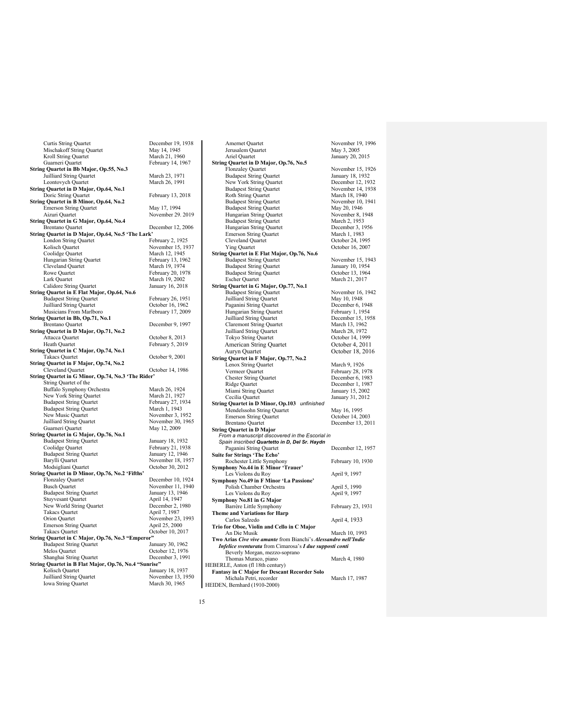| Curtis String Quartet                                                              | December 19, 1938                     |
|------------------------------------------------------------------------------------|---------------------------------------|
| Mischakoff String Quartet                                                          | May 14, 1945                          |
| Kroll String Quartet                                                               | March 21, 1960                        |
| Guarneri Quartet                                                                   | February 14, 1967                     |
| String Quartet in Bb Major, Op.55, No.3                                            |                                       |
| Juilliard String Quartet                                                           | March 23, 1971                        |
| Leontovych Quartet                                                                 | March 26, 1991                        |
| String Quartet in D Major, Op.64, No.1                                             |                                       |
| Doric String Quartet                                                               | February 13, 2018                     |
| String Quartet in B Minor, Op.64, No.2<br><b>Emerson String Quartet</b>            | May 17, 1994                          |
| Aizuri Quartet                                                                     | November 29. 2019                     |
| String Quartet in G Major, Op.64, No.4                                             |                                       |
| <b>Brentano Quartet</b>                                                            | December 12, 2006                     |
| String Quartet in D Major, Op.64, No.5 'The Lark'                                  |                                       |
| London String Quartet                                                              | February 2, 1925                      |
| Kolisch Quartet                                                                    | November 15, 1937                     |
| Coolidge Quartet                                                                   | March 12, 1945                        |
| Hungarian String Quartet                                                           | February 13, 1962                     |
| Cleveland Quartet                                                                  | March 19, 1974                        |
| Rowe Quartet<br>Lark Quartet                                                       | February 20, 1978                     |
|                                                                                    | March 19, 2002<br>January 16, 2018    |
| Calidore String Quartet<br>String Quartet in E Flat Major, Op.64, No.6             |                                       |
| <b>Budapest String Quartet</b>                                                     | February 26, 1951                     |
| Juilliard String Quartet                                                           | October 16, 1962                      |
| Musicians From Marlboro                                                            | February 17, 2009                     |
| String Quartet in Bb, Op.71, No.1                                                  |                                       |
| <b>Brentano Quartet</b>                                                            | December 9, 1997                      |
| String Quartet in D Major, Op.71, No.2                                             |                                       |
| Attacca Quartet                                                                    | October 8, 2013                       |
| <b>Heath Quartet</b>                                                               | February 5, 2019                      |
| String Quartet in C Major, Op.74, No.1<br>Takacs Quartet                           | October 9, 2001                       |
| String Quartet in F Major, Op.74, No.2                                             |                                       |
|                                                                                    |                                       |
|                                                                                    |                                       |
| Cleveland Quartet                                                                  | October 14, 1986                      |
| String Quartet in G Minor, Op.74, No.3 'The Rider'<br>String Quartet of the        |                                       |
| Buffalo Symphony Orchestra                                                         | March 26, 1924                        |
| New York String Quartet                                                            | March 21, 1927                        |
| <b>Budapest String Quartet</b>                                                     | February 27, 1934                     |
| <b>Budapest String Quartet</b>                                                     | March 1, 1943                         |
| New Music Quartet                                                                  | November 3, 1952                      |
| Juilliard String Quartet                                                           | November 30, 1965                     |
| Guarneri Quartet                                                                   | May 12, 2009                          |
| String Quartet in G Major, Op.76, No.1                                             |                                       |
| <b>Budapest String Quartet</b>                                                     | January 18, 1932                      |
| Coolidge Quartet                                                                   | February 21, 1938                     |
| <b>Budapest String Quartet</b>                                                     | January 12, 1946                      |
| Barylli Quartet<br>Modsigliani Quartet                                             | November 18, 1957<br>October 30, 2012 |
| String Quartet in D Minor, Op.76, No.2 'Fifths'                                    |                                       |
| <b>Flonzaley Quartet</b>                                                           | December 10, 1924                     |
| <b>Busch Quartet</b>                                                               | November 11, 1940                     |
| <b>Budapest String Quartet</b>                                                     | January 13, 1946                      |
| <b>Stuyvesant Quartet</b>                                                          | April 14, 1947                        |
| New World String Quartet                                                           | December 2, 1980                      |
| <b>Takacs Quartet</b>                                                              | April 7, 1987                         |
| Orion Quartet                                                                      | November 23, 1993                     |
| <b>Emerson String Quartet</b>                                                      | April 25, 2000                        |
| <b>Takacs Quartet</b>                                                              | October 10, 2017                      |
| String Quartet in C Major, Op.76, No.3 "Emperor"<br><b>Budapest String Quartet</b> | January 30, 1962                      |
| Melos Quartet                                                                      | October 12, 1976                      |
| Shanghai String Quartet                                                            | December 3, 1991                      |
| String Quartet in B Flat Major, Op.76, No.4 "Sunrise"                              |                                       |
| Kolisch Quartet                                                                    | January 18, 1937                      |
| Juilliard String Quartet<br>Iowa String Quartet                                    | November 13, 1950<br>March 30, 1965   |

Amernet Quartet November 19, 1996<br>Jerusalem Quartet May 3, 2005 Jerusalem Quartet Ariel Quartet January 20, 2015 **String Quartet in D Major, Op.76, No.5** Flonzaley Quartet November 15, 1926<br>
Budapest String Quartet January 18, 1932<br>
New York String Quartet December 12, 1932 Budapest String Quartet January 18, 1932 New York String Quartet December 12, 1932 Budapest String Quartet November 14, 1938<br>
Roth String Quartet March 18, 1940 Roth String Quartet March 18, 1940<br>Budapest String Quartet November 10, 1941 Budapest String Quartet May 20, 1946<br>
Hungarian String Quartet May 20, 1946<br>
Hungarian String Quartet November 8, 1948 Hungarian String Quartet November 8, 19<br>Budapest String Quartet March 2, 1953 Budapest String Quartet March 2, 1953<br>
Hungarian String Quartet December 3, 1956<br>
Emerson String Quartet March 1, 1983 Hungarian String Quartet Emerson String Quartet March 1, 1983<br>Cleveland Quartet Cotober 24, 1995 Cleveland Quartet<br>Ying Quartet **String Quartet in E Flat Major, Op.76, No.6**<br>Budapest String Quartet November 15, 1943 Budapest String Quartet January 10, 1954<br>Budapest String Quartet October 13, 1964 Budapest String Quartet October 13, 1964 Escher Quartet March 21, 2017 **String Quartet in G Major, Op.77, No.1** Budapest String Quartet November 16, 1942 Juilliard String Quartet May 10, 1948 Paganini String Quartet December 6, 1948<br>
Hungarian String Quartet February 1, 1954<br>
Juilliard String Quartet December 15, 1958 Hungarian String Quartet February 1, 1954 Juilliard String Quartet December 15, 1958 Claremont String Quartet March 13, 1962<br>
Juilliard String Quartet March 28, 1972 Juilliard String Quartet March 28, 1972<br>
Tokyo String Quartet Coctober 14, 1999 Tokyo String Quartet October 14, 1999<br>American String Quartet October 4, 2011 American String Quartet<br>Auryn Quartet **String Quartet in F Major, Op.77, No.2** Lenox String Quartet March 9, 1926<br>
Vermeer Quartet February 28, 19 Chester String Quartet<br>Ridge Ouartet Miami String Quartet<br>Cecilia Quartet **String Quartet in D Minor, Op.103** *unfinished* Mendelssohn String Quartet May 16, 1995<br>
Emerson String Quartet Coctober 14, 2003 Emerson String Quartet<br>Brentano Quartet **String Quartet in D Major**  *From a manuscript discovered in the Escorial in Spain inscribed Quartetto in D, Del Sr. Haydn* Paganini String Quartet December 12, 1957 **Suite for Strings 'The Echo'** Rochester Little Symphony February 10, 1930 **Symphony No.44 in E Minor 'Trauer'** Les Violons du Roy April 9, 1997 **Symphony No.49 in F Minor 'La Passione'** Polish Chamber Orchestra<br>
Les Violons du Roy<br>
April 9, 1997<br>
April 9, 1997 Les Violons du Roy **Symphony No.81 in G Major** Barrère Little Symphony February 23, 1931 **Theme and Variations for Harp** Carlos Salzedo April 4, 1933 **Trio for Oboe, Violin and Cello in C Major**  An Die Musik March 10, 1993 **Two Arias** *Cive vive amante* from Bianchi's *Alessandro nell'Indie Infelice sventurata* from Cimarosa's *I due supposti conti* Beverly Morgan, mezzo-soprano Thomas Muraco, piano March 4, 1980 HEBERLE, Anton (fl 18th century) **Fantasy in C Major for Descant Recorder Solo** Michala Petri, recorder March 17, 1987 HEIDEN, Bernhard (1910-2000)

October 16, 2007 October 18, 2016 February 28, 1978 December 6, 1983<br>December 1, 1987<br>January 15, 2002 January 31, 2012  $December 13, 2011$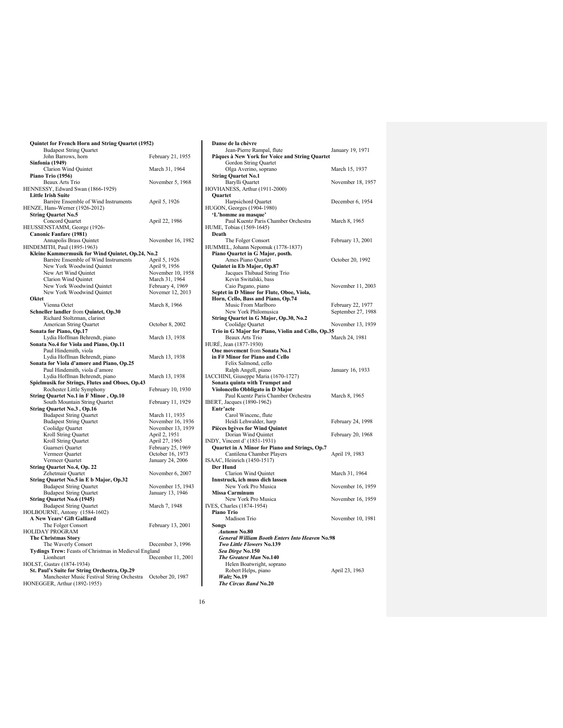| Quintet for French Horn and String Quartet (1952)                  |                   |
|--------------------------------------------------------------------|-------------------|
| <b>Budapest String Quartet</b>                                     |                   |
| John Barrows, horn                                                 | February 21, 1955 |
| <b>Sinfonia</b> (1949)                                             |                   |
| Clarion Wind Quintet                                               | March 31, 1964    |
| Piano Trio (1956)                                                  |                   |
| Beaux Arts Trio                                                    | November 5, 1968  |
| HENNESSY, Edward Swan (1866-1929)<br><b>Little Irish Suite</b>     |                   |
|                                                                    |                   |
| Barrère Ensemble of Wind Instruments                               | April 5, 1926     |
| HENZE, Hans-Werner (1926-2012)<br><b>String Quartet No.5</b>       |                   |
| Concord Quartet                                                    | April 22, 1986    |
| HEUSSENSTAMM, George (1926-                                        |                   |
| <b>Canonic Fanfare (1981)</b>                                      |                   |
| Annapolis Brass Quintet                                            | November 16, 1982 |
| HINDEMITH, Paul (1895-1963)                                        |                   |
| Kleine Kammermusik for Wind Quintet, Op.24, No.2                   |                   |
| Barrère Ensemble of Wind Instruments                               | April 5, 1926     |
| New York Woodwind Quintet                                          | April 9, 1956     |
| New Art Wind Quintet                                               | November 10, 1958 |
| Clarion Wind Quintet                                               | March 31, 1964    |
| New York Woodwind Quintet                                          | February 4, 1969  |
| New York Woodwind Quintet                                          | Novemer 12, 2013  |
| Oktet                                                              |                   |
| Vienna Octet                                                       | March 8, 1966     |
| Schneller landler from Quintet, Op.30                              |                   |
| Richard Stoltzman, clarinet                                        |                   |
| American String Quartet                                            | October 8, 2002   |
| Sonata for Piano, Op.17                                            |                   |
| Lydia Hoffman Behrendt, piano                                      | March 13, 1938    |
| Sonata No.4 for Viola and Piano, Op.11                             |                   |
| Paul Hindemith, viola                                              |                   |
| Lydia Hoffman Behrendt, piano                                      | March 13, 1938    |
| Sonata for Viola d'amore and Piano, Op.25                          |                   |
| Paul Hindemith, viola d'amore                                      |                   |
| Lydia Hoffman Behrendt, piano                                      | March 13, 1938    |
| Spielmusik for Strings, Flutes and Oboes, Op.43                    |                   |
| Rochester Little Symphony                                          | February 10, 1930 |
| String Quartet No.1 in F Minor, Op.10                              |                   |
| South Mountain String Quartet                                      | February 11, 1929 |
| String Quartet No.3, Op.16                                         |                   |
| <b>Budapest String Quartet</b>                                     | March 11, 1935    |
| <b>Budapest String Quartet</b>                                     | November 16, 1936 |
| Coolidge Quartet                                                   | November 13, 1939 |
| Kroll String Quartet                                               | April 2, 1951     |
| Kroll String Quartet                                               | April 27, 1965    |
| Guarneri Quartet                                                   | February 25, 1969 |
| Vermeer Quartet                                                    | October 16, 1973  |
| Vermeer Quartet                                                    | January 24, 2006  |
| <b>String Quartet No.4, Op. 22</b>                                 |                   |
| Zehetmair Quartet                                                  | November 6, 2007  |
| String Quartet No.5 in E b Major, Op.32                            |                   |
| <b>Budapest String Quartet</b>                                     | November 15, 1943 |
| <b>Budapest String Quartet</b>                                     | January 13, 1946  |
| <b>String Quartet No.6 (1945)</b>                                  |                   |
| <b>Budapest String Quartet</b>                                     | March 7, 1948     |
| HOLBOURNE, Antony (1584-1602)<br><b>A New Years' Gift Galliard</b> |                   |
| The Folger Consort                                                 | February 13, 2001 |
| HOLIDAY PROGRAM                                                    |                   |
| <b>The Christmas Story</b>                                         |                   |
| The Waverly Consort                                                | December 3, 1996  |
| Tydings Trew: Feasts of Christmas in Medieval England              |                   |
| Lionheart                                                          | December 11, 2001 |
| HOLST, Gustav (1874-1934)                                          |                   |
| St. Paul's Suite for String Orchestra, Op.29                       |                   |
| Manchester Music Festival String Orchestra                         | October 20, 1987  |
| HONEGGER, Arthur (1892-1955)                                       |                   |
|                                                                    |                   |

| Danse de la chèvre                                                             |                    |
|--------------------------------------------------------------------------------|--------------------|
| Jean-Pierre Rampal, flute                                                      | January 19, 1971   |
| Pâques à New York for Voice and String Quartet<br>Gordon String Quartet        |                    |
| Olga Averino, soprano                                                          | March 15, 1937     |
| <b>String Quartet No.1</b>                                                     |                    |
| Barylli Quartet                                                                | November 18, 1957  |
| HOVHANESS, Arthur (1911-2000)                                                  |                    |
| Quartet                                                                        |                    |
| Harpsichord Quartet                                                            | December 6, 1954   |
| HUGON, Georges (1904-1980)                                                     |                    |
| 'L'homme au masque'<br>Paul Kuentz Paris Chamber Orchestra                     | March 8, 1965      |
| HUME, Tobias (1569-1645)                                                       |                    |
| Death                                                                          |                    |
| The Folger Consort                                                             | February 13, 2001  |
| HUMMEL, Johann Nepomuk (1778-1837)                                             |                    |
| Piano Quartet in G Major, posth.                                               |                    |
| Ames Piano Quartet                                                             | October 20, 1992   |
| Quintet in Eb Major, Op.87                                                     |                    |
| Jacques Thibaud String Trio<br>Kevin Switalski, bass                           |                    |
| Caio Pagano, piano                                                             | November 11, 2003  |
| Septet in D Minor for Flute, Oboe, Viola,                                      |                    |
| Horn, Cello, Bass and Piano, Op.74                                             |                    |
| Music From Marlboro                                                            | February 22, 1977  |
| New York Philomusica                                                           | September 27, 1988 |
| String Quartet in G Major, Op.30, No.2                                         |                    |
| Coolidge Quartet                                                               | November 13, 1939  |
| Trio in G Major for Piano, Violin and Cello, Op.35<br>Beaux Arts Trio          | March 24, 1981     |
| HURÉ, Jean (1877-1930)                                                         |                    |
| One movement from Sonata No.1                                                  |                    |
| in F# Minor for Piano and Cello                                                |                    |
| Felix Salmond, cello                                                           |                    |
| Ralph Angell, piano                                                            | January 16, 1933   |
| IACCHINI, Giuseppe Maria (1670-1727)                                           |                    |
| Sonata quinta with Trumpet and<br>Violoncello Obbligato in D Major             |                    |
| Paul Kuentz Paris Chamber Orchestra                                            | March 8, 1965      |
| IBERT, Jacques (1890-1962)                                                     |                    |
| Entr'acte                                                                      |                    |
| Carol Wincenc, flute                                                           |                    |
| Heidi Lehwalder, harp                                                          | February 24, 1998  |
| Pièces brèves for Wind Quintet                                                 |                    |
| Dorian Wind Quintet                                                            | February 20, 1968  |
| INDY, Vincent d' (1851-1931)<br>Quartet in A Minor for Piano and Strings, Op.7 |                    |
| Cantilena Chamber Players                                                      | April 19, 1983     |
| ISAAC, Heinrich (1450-1517)                                                    |                    |
| Der Hund                                                                       |                    |
| Clarion Wind Quintet                                                           | March 31, 1964     |
| Innstruck, ich muss dich lassen                                                |                    |
| New York Pro Musica                                                            | November 16, 1959  |
| Missa Carminum<br>New York Pro Musica                                          | November 16, 1959  |
| IVES, Charles (1874-1954)                                                      |                    |
| Piano Trio                                                                     |                    |
| Madison Trio                                                                   | November 10, 1981  |
| Songs                                                                          |                    |
| <b>Autumn No.80</b>                                                            |                    |
| <b>General William Booth Enters Into Heaven No.98</b>                          |                    |
| Two Little Flowers No.139<br>Sea Dirge No.150                                  |                    |
| The Greatest Man No.140                                                        |                    |
| Helen Boatwright, soprano                                                      |                    |
| Robert Helps, piano                                                            | April 23, 1963     |
| Waltz No.19                                                                    |                    |
| The Circus Band No.20                                                          |                    |
|                                                                                |                    |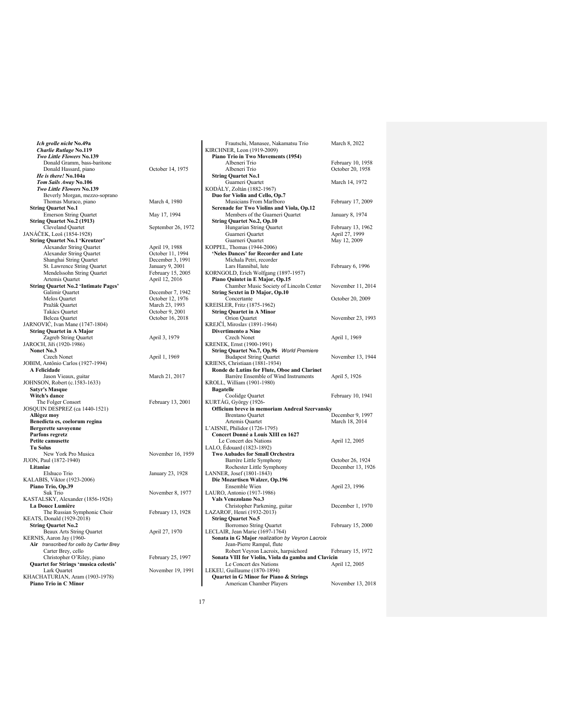| Ich grolle nicht No.49a                        |                                      |
|------------------------------------------------|--------------------------------------|
| <b>Charlie Rutlage No.119</b>                  |                                      |
| Two Little Flowers No.139                      |                                      |
| Donald Gramm, bass-baritone                    |                                      |
| Donald Hassard, piano                          | October 14, 1975                     |
| He is there! No.104a                           |                                      |
| Tom Sails Away No.106                          |                                      |
| Two Little Flowers No.139                      |                                      |
| Beverly Morgan, mezzo-soprano                  |                                      |
| Thomas Muraco, piano                           | March 4, 1980                        |
| <b>String Quartet No.1</b>                     |                                      |
| <b>Emerson String Quartet</b>                  | May 17, 1994                         |
| String Quartet No.2 (1913)                     |                                      |
| Cleveland Quartet                              | September 26, 197                    |
| JANÁČEK, Leoš (1854-1928)                      |                                      |
| <b>String Quartet No.1 'Kreutzer'</b>          |                                      |
| <b>Alexander String Quartet</b>                | April 19, 1988                       |
| Alexander String Quartet                       | October 11, 1994                     |
| Shanghai String Quartet                        | December 3, 1991                     |
| St. Lawrence String Quartet                    | January 9, 2001                      |
| Mendelssohn String Quartet                     | February 15, 2005                    |
| Artemis Quartet                                | April 12, 2016                       |
| <b>String Quartet No.2 'Intimate Pages'</b>    |                                      |
| Galimir Quartet                                | December 7, 1942<br>October 12, 1976 |
| Melos Quartet                                  |                                      |
| Pražák Quartet                                 | March 23, 1993                       |
| Takács Quartet                                 | October 9, 2001                      |
| Belcea Quartet                                 | October 16, 2018                     |
| JARNOVIĆ, Ivan Mane (1747-1804)                |                                      |
| <b>String Quartet in A Major</b>               |                                      |
| Zagreb String Quartet                          | April 3, 1979                        |
| JAROCH, Jiři (1920-1986)                       |                                      |
| Nonet No.3                                     |                                      |
| <b>Czech Nonet</b>                             | April 1, 1969                        |
| JOBIM, Antônio Carlos (1927-1994)              |                                      |
| A Felicidade                                   |                                      |
| Jason Vieaux, guitar                           | March 21, 2017                       |
| JOHNSON, Robert (c.1583-1633)                  |                                      |
| <b>Satyr's Masque</b>                          |                                      |
| Witch's dance                                  |                                      |
| The Folger Consort                             | February 13, 2001                    |
| JOSQUIN DESPREZ (ca 1440-1521)                 |                                      |
| Allégez moy                                    |                                      |
| Benedicta es, coelorum regina                  |                                      |
| <b>Bergerette savoyenne</b>                    |                                      |
| Parfons regretz                                |                                      |
| Petite camusette                               |                                      |
| <b>Tu Solus</b>                                |                                      |
| New York Pro Musica                            | November 16, 195                     |
| JUON, Paul (1872-1940)                         |                                      |
| Litaniae                                       |                                      |
| Elshuco Trio                                   | January 23, 1928                     |
| KALABIS, Viktor (1923-2006)                    |                                      |
| Piano Trio, Op.39                              |                                      |
| Suk Trio                                       | November 8, 1977                     |
| KASTALSKY, Alexander (1856-1926)               |                                      |
| La Douce Lumière                               |                                      |
| The Russian Symphonic Choir                    | February 13, 1928                    |
| KEATS, Donald (1929-2018)                      |                                      |
| <b>String Quartet No.2</b>                     |                                      |
| Beaux Arts String Quartet                      | April 27, 1970                       |
| KERNIS, Aaron Jay (1960-                       |                                      |
| Air transcribed for cello by Carter Brey       |                                      |
| Carter Brey, cello                             |                                      |
| Christopher O'Riley, piano                     | February 25, 1997                    |
| Quartet for Strings 'musica celestis'          |                                      |
| Lark Quartet<br>KHACHATURIAN, Aram (1903-1978) | November 19, 199                     |
| Piano Trio in C Minor                          |                                      |
|                                                |                                      |

|                    | Frautschi, Manasee, Nakamatsu Trio                               | March 8, 2022                         |
|--------------------|------------------------------------------------------------------|---------------------------------------|
|                    | KIRCHNER, Leon (1919-2009)<br>Piano Trio in Two Movements (1954) |                                       |
|                    | Albeneri Trio                                                    | February 10, 1958                     |
| October 14, 1975   | Albeneri Trio                                                    | October 20, 1958                      |
|                    | <b>String Quartet No.1</b>                                       |                                       |
|                    | Guarneri Quartet                                                 | March 14, 1972                        |
|                    | KODÁLY, Zoltán (1882-1967)                                       |                                       |
|                    | Duo for Violin and Cello, Op.7                                   |                                       |
| March 4, 1980      | Musicians From Marlboro                                          | February 17, 2009                     |
|                    | Serenade for Two Violins and Viola, Op.12                        |                                       |
| May 17, 1994       | Members of the Guarneri Quartet                                  | January 8, 1974                       |
|                    | <b>String Quartet No.2, Op.10</b>                                |                                       |
| September 26, 1972 | Hungarian String Quartet                                         | February 13, 1962                     |
|                    | Guarneri Quartet                                                 | April 27, 1999                        |
|                    | Guarneri Quartet                                                 | May 12, 2009                          |
| April 19, 1988     | KOPPEL, Thomas (1944-2006)                                       |                                       |
| October 11, 1994   | 'Neles Dances' for Recorder and Lute                             |                                       |
| December 3, 1991   | Michala Petri, recorder                                          |                                       |
| January 9, 2001    | Lars Hannibal, lute                                              | February 6, 1996                      |
| February 15, 2005  | KORNGOLD, Erich Wolfgang (1897-1957)                             |                                       |
| April 12, 2016     | Piano Quintet in E Major, Op.15                                  |                                       |
|                    | Chamber Music Society of Lincoln Center                          | November 11, 2014                     |
| December 7, 1942   | <b>String Sextet in D Major, Op.10</b>                           |                                       |
| October 12, 1976   | Concertante                                                      | October 20, 2009                      |
| March 23, 1993     | KREISLER, Fritz (1875-1962)                                      |                                       |
| October 9, 2001    | <b>String Quartet in A Minor</b>                                 |                                       |
| October 16, 2018   | Orion Quartet                                                    | November 23, 1993                     |
|                    | KREJČÍ, Miroslav (1891-1964)<br><b>Divertimento a Nine</b>       |                                       |
| April 3, 1979      | Czech Nonet                                                      | April 1, 1969                         |
|                    | KRENEK, Ernst (1900-1991)                                        |                                       |
|                    | String Quartet No.7, Op.96 World Premiere                        |                                       |
| April 1, 1969      | <b>Budapest String Quartet</b>                                   | November 13, 1944                     |
|                    | KRIENS, Christiaan (1881-1934)                                   |                                       |
|                    | Ronde de Lutins for Flute, Oboe and Clarinet                     |                                       |
| March 21, 2017     | Barrère Ensemble of Wind Instruments                             | April 5, 1926                         |
|                    | KROLL, William (1901-1980)                                       |                                       |
|                    | <b>Bagatelle</b>                                                 |                                       |
|                    | Coolidge Quartet                                                 | February 10, 1941                     |
| February 13, 2001  | KURTÁG, György (1926-                                            |                                       |
|                    | Officium breve in memoriam Andreal Szervansky                    |                                       |
|                    | <b>Brentano Quartet</b>                                          | December 9, 1997                      |
|                    | Artemis Quartet                                                  | March 18, 2014                        |
|                    | L'AISNE, Philidor (1726-1795)                                    |                                       |
|                    | Concert Donné a Louis XIII en 1627                               |                                       |
|                    | Le Concert des Nations                                           | April 12, 2005                        |
|                    | LALO, Édouard (1823-1892)                                        |                                       |
| November 16, 1959  | Two Aubades for Small Orchestra                                  |                                       |
|                    | Barrère Little Symphony<br>Rochester Little Symphony             | October 26, 1924<br>December 13, 1926 |
| January 23, 1928   | LANNER, Josef (1801-1843)                                        |                                       |
|                    | Die Mozartisen Walzer, Op.196                                    |                                       |
|                    | Ensemble Wien                                                    | April 23, 1996                        |
| November 8, 1977   | LAURO, Antonio (1917-1986)                                       |                                       |
|                    | Vals Venezolano No.3                                             |                                       |
|                    | Christopher Parkening, guitar                                    | December 1, 1970                      |
| February 13, 1928  | LAZAROF, Henri (1932-2013)                                       |                                       |
|                    | <b>String Quartet No.5</b>                                       |                                       |
|                    | Borromeo String Quartet                                          | February 15, 2000                     |
| April 27, 1970     | LECLAIR, Jean Marie (1697-1764)                                  |                                       |
|                    | Sonata in G Major realization by Veyron Lacroix                  |                                       |
|                    | Jean-Pierre Rampal, flute                                        |                                       |
|                    | Robert Veyron Lacroix, harpsichord                               | February 15, 1972                     |
| February 25, 1997  | Sonata VIII for Violin, Viola da gamba and Clavicin              |                                       |
|                    | Le Concert des Nations                                           | April 12, 2005                        |
| November 19, 1991  | LEKEU, Guillaume (1870-1894)                                     |                                       |
|                    | Quartet in G Minor for Piano & Strings                           |                                       |
|                    | American Chamber Players                                         | November 13, 2018                     |
|                    |                                                                  |                                       |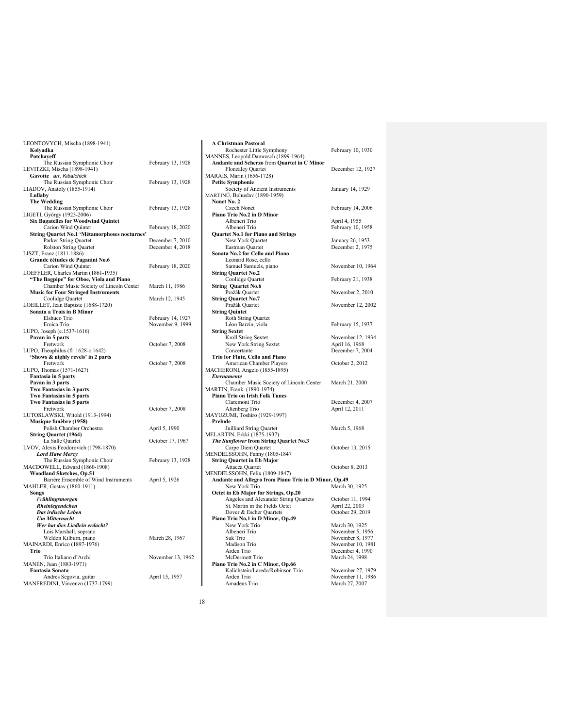| LEONTOVYCH, Mischa (1898-1941)                |                   |
|-----------------------------------------------|-------------------|
| Kolyadka                                      |                   |
| Potchayeff                                    |                   |
| The Russian Symphonic Choir                   | February 13, 1928 |
| LEVITZKI, Mischa (1898-1941)                  |                   |
| Gavotte arr. Kibalchick                       |                   |
| The Russian Symphonic Choir                   | February 13, 1928 |
| LIADOV, Anatoly (1855-1914)                   |                   |
| Lullaby                                       |                   |
| <b>The Wedding</b>                            |                   |
| The Russian Symphonic Choir                   | February 13, 1928 |
| LIGETI, György (1923-2006)                    |                   |
| <b>Six Bagatelles for Woodwind Quintet</b>    |                   |
| Carion Wind Quintet                           | February 18, 2020 |
| String Quartet No.1 'Métamorphoses nocturnes' |                   |
| Parker String Quartet                         | December 7, 2010  |
| <b>Rolston String Quartet</b>                 | December 4, 2018  |
| LISZT, Franz (1811-1886)                      |                   |
| Grande éétudes de Paganini No.6               |                   |
| Carion Wind Quintet                           | February 18, 2020 |
| LOEFFLER, Charles Martin (1861-1935)          |                   |
| "The Bagpipe" for Oboe, Viola and Piano       |                   |
| Chamber Music Society of Lincoln Center       | March 11, 1986    |
| <b>Music for Four Stringed Instruments</b>    |                   |
| Coolidge Quartet                              | March 12, 1945    |
| LOEILLET, Jean Baptiste (1688-1720)           |                   |
| Sonata a Trois in B Minor                     |                   |
| Elshuco Trio                                  | February 14, 1927 |
| Eroica Trio                                   | November 9, 1999  |
| LUPO, Joseph (c.1537-1616)                    |                   |
| Pavan in 5 parts                              |                   |
| Fretwork                                      | October 7, 2008   |
| LUPO, Theophilus (fl 1628-c.1642)             |                   |
| 'Shows & nighly revels' in 2 parts            |                   |
| Fretwork                                      | October 7, 2008   |
| LUPO, Thomas (1571-1627)                      |                   |
| Fantasia in 5 parts                           |                   |
| Pavan in 3 parts                              |                   |
| Two Fantasias in 3 parts                      |                   |
| Two Fantasias in 5 parts                      |                   |
| Two Fantasias in 5 parts                      |                   |
| Fretwork                                      | October 7, 2008   |
| LUTOSLAWSKI, Witold (1913-1994)               |                   |
| Musique funèbre (1958)                        |                   |
| Polish Chamber Orchestra                      | April 5, 1990     |
| <b>String Quartet (1964)</b>                  |                   |
| La Salle Quartet                              | October 17, 1967  |
| LVOV, Alexis Feodorovich (1798-1870)          |                   |
| <b>Lord Have Mercy</b>                        |                   |
| The Russian Symphonic Choir                   | February 13, 1928 |
| MACDOWELL, Edward (1860-1908)                 |                   |
| Woodland Sketches, Op.51                      |                   |
| Barrère Ensemble of Wind Instruments          | April 5, 1926     |
| MAHLER, Gustav (1860-1911)                    |                   |
| Songs                                         |                   |
| Frühlingsmorgen                               |                   |
| Rheinlegendchen                               |                   |
| Das irdische Leben                            |                   |
| <b>Um Mitternacht</b>                         |                   |
| Wer hat dies Liedlein erdacht?                |                   |
| Lois Marshall, soprano                        |                   |
| Weldon Kilburn, piano                         | March 28, 1967    |
| MAINARDI, Enrico (1897-1976)                  |                   |
| Trio                                          |                   |
| Trio Italiano d'Archi                         | November 13, 1962 |
| MANÉN, Juan (1883-1971)                       |                   |
| <b>Fantasia Sonata</b>                        |                   |
| Andres Segovia, guitar                        | April 15, 1957    |
| MANFREDINI, Vincenzo (1737-1799)              |                   |
|                                               |                   |

| A Christman Pastoral                                                    |                                    |
|-------------------------------------------------------------------------|------------------------------------|
| Rochester Little Symphony<br>MANNES, Leopold Damrosch (1899-1964)       | February 10, 1930                  |
| Andante and Scherzo from Quartet in C Minor                             |                                    |
| <b>Flonzaley Quartet</b>                                                | December 12, 1927                  |
| MARAIS, Marin (1656-1728)                                               |                                    |
| <b>Petite Symphonie</b>                                                 |                                    |
| Society of Ancient Instruments                                          | January 14, 1929                   |
| MARTINŮ, Bohuslav (1890-1959)                                           |                                    |
| <b>Nonet No. 2</b>                                                      |                                    |
| Czech Nonet                                                             | February 14, 2006                  |
| Piano Trio No.2 in D Minor                                              |                                    |
| Albeneri Trio                                                           | April 4, 1955                      |
| Albeneri Trio                                                           | February 10, 1958                  |
| Quartet No.1 for Piano and Strings                                      |                                    |
| New York Quartet                                                        | January 26, 1953                   |
| Eastman Quartet                                                         | December 2, 1975                   |
| Sonata No.2 for Cello and Piano                                         |                                    |
| Leonard Rose, cello                                                     |                                    |
| Samuel Samuels, piano                                                   | November 10, 1964                  |
| <b>String Quartet No.2</b><br>Coolidge Quartet                          |                                    |
| <b>String Quartet No.6</b>                                              | February 21, 1938                  |
| Pražák Quartet                                                          | November 2, 2010                   |
| <b>String Quartet No.7</b>                                              |                                    |
| Pražák Quartet                                                          | November 12, 2002                  |
| <b>String Quintet</b>                                                   |                                    |
| Roth String Quartet                                                     |                                    |
| Léon Barzin, viola                                                      | February 15, 1937                  |
| <b>String Sextet</b>                                                    |                                    |
| Kroll String Sextet                                                     | November 12, 1934                  |
| New York String Sextet                                                  | April 16, 1968                     |
| Concertante                                                             | December 7, 2004                   |
| Trio for Flute, Cello and Piano                                         |                                    |
| American Chamber Players                                                | October 2, 2012                    |
| MACHERONI, Angelo (1855-1895)                                           |                                    |
| <b>Eternamente</b>                                                      |                                    |
| Chamber Music Society of Lincoln Center                                 | March 21. 2000                     |
| MARTIN, Frank (1890-1974)<br>Piano Trio on Irish Folk Tunes             |                                    |
| Claremont Trio                                                          | December 4, 2007                   |
| Altenberg Trio                                                          | April 12, 2011                     |
| MAYUZUMI, Toshiro (1929-1997)                                           |                                    |
| Prelude                                                                 |                                    |
| Juilliard String Quartet                                                | March 5, 1968                      |
| MELARTIN, Erkki (1875-1937)                                             |                                    |
| The Sunflower from String Quartet No.3                                  |                                    |
| Carpe Diem Quartet                                                      | October 13, 2015                   |
| MENDELSSOHN, Fanny (1805-1847                                           |                                    |
| <b>String Quartet in Eb Major</b>                                       |                                    |
| Attacca Quartet                                                         | October 8, 2013                    |
| MENDELSSOHN, Felix (1809-1847)                                          |                                    |
| Andante and Allegro from Piano Trio in D Minor, Op.49                   |                                    |
| New York Trio                                                           | March 30, 1925                     |
| Octet in Eb Major for Strings, Op.20                                    |                                    |
| Angeles and Alexander String Quartets<br>St. Martin in the Fields Octet | October 11, 1994<br>April 22, 2003 |
| Dover & Escher Quartets                                                 | October 29, 2019                   |
| Piano Trio No,1 in D Minor, Op.49                                       |                                    |
| New York Trio                                                           | March 30, 1925                     |
| Albeneri Trio                                                           | November 5, 1956                   |
| Suk Trio                                                                | November 8, 1977                   |
| Madison Trio                                                            | November 10, 1981                  |
| Arden Trio                                                              | December 4, 1990                   |
| McDermott Trio                                                          | March 24, 1998                     |
| Piano Trio No.2 in C Minor, Op.66                                       |                                    |
| Kalichstein/Laredo/Robinson Trio                                        | November 27, 1979                  |
| Arden Trio                                                              | November 11, 1986                  |
| Amadeus Trio                                                            | March 27, 2007                     |
|                                                                         |                                    |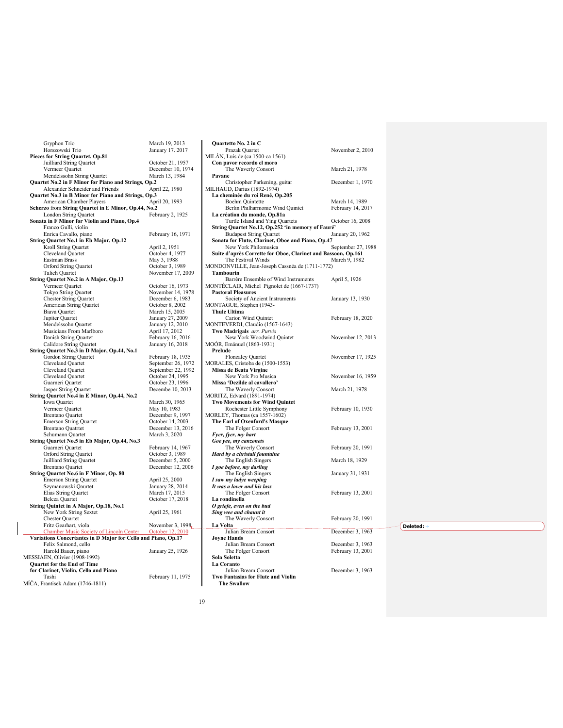| Gryphon Trio                                                                 | March 19, 2013                         |
|------------------------------------------------------------------------------|----------------------------------------|
| Horszowski Trio                                                              | January 17.2017                        |
| Pieces for String Quartet, Op.81                                             |                                        |
| Juilliard String Quartet                                                     | October 21, 1957                       |
| Vermeer Quartet                                                              | December 10, 1974                      |
| Mendelssohn String Quartet                                                   | March 13, 1984                         |
| Quartet No.2 in F Minor for Piano and Strings, Op.2                          |                                        |
| Alexander Schneider and Friends                                              | April 22, 1980                         |
| Quartet No.3 in B Minor for Piano and Strings, Op.3                          |                                        |
| American Chamber Players                                                     | April 20, 1993                         |
| Scherzo from String Quartet in E Minor, Op.44, No.2<br>London String Quartet | February 2, 1925                       |
| Sonata in F Minor for Violin and Piano, Op.4                                 |                                        |
| Franco Gulli, violin                                                         |                                        |
| Enrica Cavallo, piano                                                        | February 16, 1971                      |
| String Quartet No.1 in Eb Major, Op.12                                       |                                        |
| Kroll String Quartet                                                         | April 2, 1951                          |
| Cleveland Quartet                                                            | October 4, 1977                        |
| Eastman Brass                                                                | May 3, 1988                            |
| Orford String Quartet                                                        | October 3, 1989                        |
| <b>Talich Quartet</b>                                                        | November 17, 2009                      |
| String Quartet No.2 in A Major, Op.13                                        |                                        |
| Vermeer Quartet                                                              | October 16, 1973                       |
| <b>Tokyo String Quartet</b><br><b>Chester String Quartet</b>                 | November 14, 1978<br>December 6, 1983  |
| American String Quartet                                                      | October 8, 2002                        |
| Biava Quartet                                                                | March 15, 2005                         |
| Jupiter Quartet                                                              | January 27, 2009                       |
| Mendelssohn Quartet                                                          | January 12, 2010                       |
| Musicians From Marlboro                                                      | April 17, 2012                         |
| Danish String Quartet                                                        | February 16, 2016                      |
| Calidore String Quartet                                                      | January 16, 2018                       |
| String Quartet No.3 in D Major, Op.44, No.1                                  |                                        |
| Gordon String Quartet                                                        | February 18, 1935                      |
| Cleveland Quartet                                                            | September 26, 1972                     |
| Cleveland Quartet<br>Cleveland Quartet                                       | September 22, 1992<br>October 24, 1995 |
| Guarneri Quartet                                                             | October 23, 1996                       |
| Jasper String Quartet                                                        | Decembe 10, 2013                       |
| String Quartet No.4 in E Minor, Op.44, No.2                                  |                                        |
| Iowa Quartet                                                                 | March 30, 1965                         |
| Vermeer Quartet                                                              | May 10, 1983                           |
| <b>Brentano Quartet</b>                                                      | December 9, 1997                       |
| <b>Emerson String Quartet</b>                                                | October 14, 2003                       |
| <b>Brentano Quatrtet</b>                                                     | December 13, 2016                      |
| Schumann Quartet                                                             | March 3, 2020                          |
| String Quartet No.5 in Eb Major, Op.44, No.3<br>Guarneri Quartet             |                                        |
| Orford String Quartet                                                        | February 14, 1967<br>October 3, 1989   |
| Juilliard String Quartet                                                     | December 5, 2000                       |
| <b>Brentano Quartet</b>                                                      | December 12, 2006                      |
| String Quartet No.6 in F Minor, Op. 80                                       |                                        |
| <b>Emerson String Quartet</b>                                                | April 25, 2000                         |
| Szymanowski Qaurtet                                                          | January 28, 2014                       |
| Elias String Quartet                                                         | March 17, 2015                         |
| <b>Belcea</b> Quartet                                                        | October 17, 2018                       |
| String Quintet in A Major, Op.18, No.1                                       |                                        |
| New York String Sextet                                                       | April 25, 1961                         |
| <b>Chester Quartet</b>                                                       |                                        |
| Fritz Gearhart, viola<br><b>Chamber Music Society of Lincoln Center</b>      | November 3, 1998<br>October 12, 2010   |
| Variations Concertantes in D Major for Cello and Piano, Op.17                |                                        |
| Felix Salmond, cello                                                         |                                        |
| Harold Bauer, piano                                                          | January 25, 1926                       |
| MESSIAEN, Olivier (1908-1992)                                                |                                        |
| Quartet for the End of Time                                                  |                                        |
| for Clarinet, Violin, Cello and Piano                                        |                                        |
| Tashi                                                                        | February 11, 1975                      |
| MÍČA, Frantisek Adam (1746-1811)                                             |                                        |

| <b>Quartetto No. 2 in C</b>                                                         |                    |
|-------------------------------------------------------------------------------------|--------------------|
| Prazak Quartet                                                                      | November 2, 2010   |
| MILAN, Luis de (ca 1500-ca 1561)                                                    |                    |
| Con pavor recordo el moro                                                           | March 21, 1978     |
| The Waverly Consort<br>Pavane                                                       |                    |
| Christopher Parkening, guitar                                                       | December 1, 1970   |
| MILHAUD, Darius (1892-1974)                                                         |                    |
| La cheminée du roi René, Op.205                                                     |                    |
| <b>Boehm Quintette</b>                                                              | March 14, 1989     |
| Berlin Philharmonic Wind Quintet                                                    | February 14, 2017  |
| La création du monde, Op.81a                                                        |                    |
| Turtle Island and Ying Quartets                                                     | October 16, 2008   |
| String Quartet No.12, Op.252 'in memory of Fauré'<br><b>Budapest String Quartet</b> |                    |
| Sonata for Flute, Clarinet, Oboe and Piano, Op.47                                   | January 20, 1962   |
| New York Philomusica                                                                | September 27, 1988 |
| Suite d'après Corrette for Oboe, Clarinet and Bassoon, Op.161                       |                    |
| The Festival Winds                                                                  | March 9, 1982      |
| MONDONVILLE, Jean-Joseph Cassnéa de (1711-1772)                                     |                    |
| Tambourin                                                                           |                    |
| Barrère Ensemble of Wind Instruments                                                | April 5, 1926      |
| MONTÉCLAIR, Michel Pignolet de (1667-1737)                                          |                    |
| <b>Pastoral Pleasures</b>                                                           |                    |
| Society of Ancient Instruments<br>MONTAGUE, Stephen (1943-                          | January 13, 1930   |
| <b>Thule Ultima</b>                                                                 |                    |
| Carion Wind Quintet                                                                 | February 18, 2020  |
| MONTEVERDI, Claudio (1567-1643)                                                     |                    |
| Two Madrigals arr. Purvis                                                           |                    |
| New York Woodwind Quintet                                                           | November 12, 2013  |
| MOOR, Emánuel (1863-1931)                                                           |                    |
| Prelude                                                                             |                    |
| <b>Flonzaley Quartet</b>                                                            | November 17, 1925  |
| MORALES, Cristoba de (1500-1553)<br>Missa de Beata Virgine                          |                    |
| New York Pro Musica                                                                 | November 16, 1959  |
| Missa 'Dezilde al cavallero'                                                        |                    |
| The Waverly Consort                                                                 | March 21, 1978     |
| MORITZ, Edvard (1891-1974)                                                          |                    |
| Two Movements for Wind Quintet                                                      |                    |
| Rochester Little Symphony                                                           | February 10, 1930  |
| MORLEY, Thomas (ca 1557-1602)                                                       |                    |
| The Earl of Oxenford's Masque<br>The Folger Consort                                 | February 13, 2001  |
| Fyer, fyer, my hart                                                                 |                    |
| Goe yee, my canzonets                                                               |                    |
| The Waverly Consort                                                                 | Febraury 20, 1991  |
| Hard by a christall fountaine                                                       |                    |
| The English Singers                                                                 | March 18, 1929     |
| I goe before, my darling                                                            |                    |
| The English Singers                                                                 | January 31, 1931   |
| I saw my ladye weeping<br>It was a lover and his lass                               |                    |
| The Folger Consort                                                                  | February 13, 2001  |
| La rondinella                                                                       |                    |
| O griefe, even on the bud                                                           |                    |
| Sing wee and chaunt it                                                              |                    |
| The Waverly Consort                                                                 | February 20, 1991  |
| La Volta                                                                            |                    |
| Julian Bream Consort                                                                | December 3, 1963   |
| <b>Joyne Hands</b>                                                                  |                    |
| Julian Bream Consort                                                                | December 3, 1963   |
| The Folger Consort<br>Sola Soletta                                                  | February 13, 2001  |
| La Coranto                                                                          |                    |
| Julian Bream Consort                                                                | December 3, 1963   |
| Two Fantasias for Flute and Violin                                                  |                    |
| <b>The Swallow</b>                                                                  |                    |

**Deleted:** !

19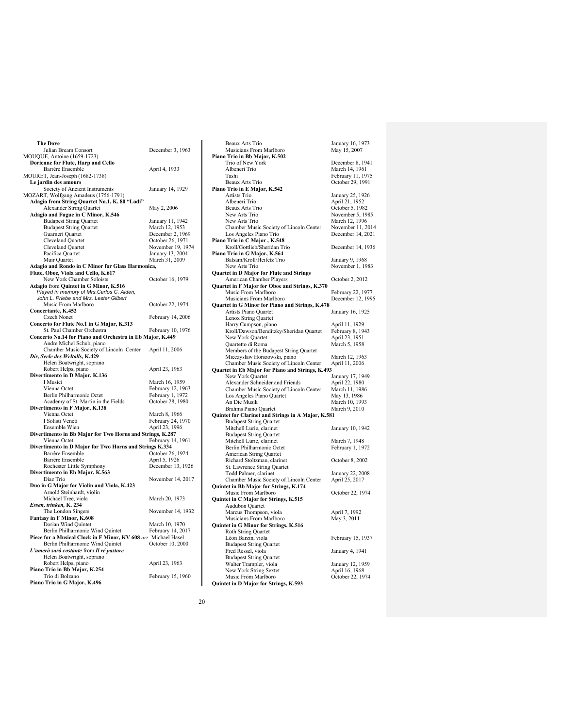| December 3, 1963<br>Dorienne for Flute, Harp and Cello<br>Barrère Ensemble<br>April 4, 1933<br>MOURET, Jean-Joseph (1682-1738)<br>Le jardin des amours<br>Society of Ancient Instruments<br>January 14, 1929<br>MOZART, Wolfgang Amadeus (1756-1791)<br>Adagio from String Quartet No.1, K. 80 "Lodi"<br><b>Alexander String Quartet</b><br>May 2, 2006<br>Adagio and Fugue in C Minor, K.546<br><b>Budapest String Quartet</b><br>January 11, 1942<br><b>Budapest String Quartet</b><br>March 12, 1953<br>Guarneri Quartet<br>December 2, 1969<br>Cleveland Quartet<br>October 26, 1971<br>November 19, 1974<br>Cleveland Quartet<br>January 13, 2004<br>Pacifica Quartet<br>Muir Quartet<br>March 31, 2009<br>Adagio and Rondo in C Minor for Glass Harmonica,<br>Flute, Oboe, Viola and Cello, K.617<br>New York Chamber Soloists<br>October 16, 1979<br>Adagio from Quintet in G Minor, K.516<br>Played in memory of Mrs.Carlos C. Alden,<br>John L. Priebe and Mrs. Lester Gilbert<br>Music From Marlboro<br>October 22, 1974<br>Concertante, K.452<br><b>Czech Nonet</b><br>February 14, 2006<br>Concerto for Flute No.1 in G Major, K.313<br>St. Paul Chamber Orchestra<br>February 10, 1976<br>Concerto No.14 for Piano and Orchestra in Eb Major, K.449<br>Andre Michel Schub, piano<br>Chamber Music Society of Lincoln Center<br>April 11, 2006<br>Dir, Seele des Weltalls, K.429<br>Helen Boatwright, soprano<br>Robert Helps, piano<br>April 23, 1963<br>Divertimento in D Major, K.136<br>I Musici<br>March 16, 1959<br>Vienna Octet<br>February 12, 1963<br>February 1, 1972<br>Berlin Philharmonic Octet<br>Academy of St. Martin in the Fields<br>October 28, 1980<br>Divertimento in F Major, K.138<br>Vienna Octet<br>March 8, 1966<br>I Solisti Veneti<br>February 24, 1970<br>Ensemble Wien<br>April 23, 1996<br>Divertimento in Bb Major for Two Horns and Strings, K.287<br>Vienna Octet<br>February 14, 1961<br>Divertimento in D Major for Two Horns and Strings K.334<br>Barrère Ensemble<br>October 26, 1924<br>Barrère Ensemble<br>April 5, 1926<br>Rochester Little Symphony<br>Divertimento in Eb Major, K.563<br>Diaz Trio<br>November 14, 2017<br>Duo in G Major for Violin and Viola, K.423<br>Arnold Steinhardt, violin<br>Michael Tree, viola<br>March 20, 1973<br>Essen, trinken, K. 234<br>November 14, 1932<br>The London Singers<br>Fantasy in F Minor, K.608<br>Dorian Wind Quintet<br>March 10, 1970<br>Berlin Philharmonic Wind Quintet<br>February 14, 2017<br>Piece for a Musical Clock in F Minor, KV 608 arr. Michael Hasel<br>Berlin Philharmonic Wind Quintet<br>October 10, 2000<br>L'amerò sarò costante from Il ré pastore<br>Helen Boatwright, soprano<br>Robert Helps, piano<br>April 23, 1963<br>Piano Trio in Bb Major, K.254<br>Trio di Bolzano<br>Piano Trio in G Major, K.496 | The Dove                    |                   |
|-----------------------------------------------------------------------------------------------------------------------------------------------------------------------------------------------------------------------------------------------------------------------------------------------------------------------------------------------------------------------------------------------------------------------------------------------------------------------------------------------------------------------------------------------------------------------------------------------------------------------------------------------------------------------------------------------------------------------------------------------------------------------------------------------------------------------------------------------------------------------------------------------------------------------------------------------------------------------------------------------------------------------------------------------------------------------------------------------------------------------------------------------------------------------------------------------------------------------------------------------------------------------------------------------------------------------------------------------------------------------------------------------------------------------------------------------------------------------------------------------------------------------------------------------------------------------------------------------------------------------------------------------------------------------------------------------------------------------------------------------------------------------------------------------------------------------------------------------------------------------------------------------------------------------------------------------------------------------------------------------------------------------------------------------------------------------------------------------------------------------------------------------------------------------------------------------------------------------------------------------------------------------------------------------------------------------------------------------------------------------------------------------------------------------------------------------------------------------------------------------------------------------------------------------------------------------------------------------------------------------------------------------------------------------------------------------------------------------------------------------------------------------------------------------------------------------------------------|-----------------------------|-------------------|
|                                                                                                                                                                                                                                                                                                                                                                                                                                                                                                                                                                                                                                                                                                                                                                                                                                                                                                                                                                                                                                                                                                                                                                                                                                                                                                                                                                                                                                                                                                                                                                                                                                                                                                                                                                                                                                                                                                                                                                                                                                                                                                                                                                                                                                                                                                                                                                                                                                                                                                                                                                                                                                                                                                                                                                                                                                         | Julian Bream Consort        |                   |
|                                                                                                                                                                                                                                                                                                                                                                                                                                                                                                                                                                                                                                                                                                                                                                                                                                                                                                                                                                                                                                                                                                                                                                                                                                                                                                                                                                                                                                                                                                                                                                                                                                                                                                                                                                                                                                                                                                                                                                                                                                                                                                                                                                                                                                                                                                                                                                                                                                                                                                                                                                                                                                                                                                                                                                                                                                         | MOUQUE, Antoine (1659-1723) |                   |
|                                                                                                                                                                                                                                                                                                                                                                                                                                                                                                                                                                                                                                                                                                                                                                                                                                                                                                                                                                                                                                                                                                                                                                                                                                                                                                                                                                                                                                                                                                                                                                                                                                                                                                                                                                                                                                                                                                                                                                                                                                                                                                                                                                                                                                                                                                                                                                                                                                                                                                                                                                                                                                                                                                                                                                                                                                         |                             |                   |
|                                                                                                                                                                                                                                                                                                                                                                                                                                                                                                                                                                                                                                                                                                                                                                                                                                                                                                                                                                                                                                                                                                                                                                                                                                                                                                                                                                                                                                                                                                                                                                                                                                                                                                                                                                                                                                                                                                                                                                                                                                                                                                                                                                                                                                                                                                                                                                                                                                                                                                                                                                                                                                                                                                                                                                                                                                         |                             |                   |
|                                                                                                                                                                                                                                                                                                                                                                                                                                                                                                                                                                                                                                                                                                                                                                                                                                                                                                                                                                                                                                                                                                                                                                                                                                                                                                                                                                                                                                                                                                                                                                                                                                                                                                                                                                                                                                                                                                                                                                                                                                                                                                                                                                                                                                                                                                                                                                                                                                                                                                                                                                                                                                                                                                                                                                                                                                         |                             |                   |
|                                                                                                                                                                                                                                                                                                                                                                                                                                                                                                                                                                                                                                                                                                                                                                                                                                                                                                                                                                                                                                                                                                                                                                                                                                                                                                                                                                                                                                                                                                                                                                                                                                                                                                                                                                                                                                                                                                                                                                                                                                                                                                                                                                                                                                                                                                                                                                                                                                                                                                                                                                                                                                                                                                                                                                                                                                         |                             |                   |
|                                                                                                                                                                                                                                                                                                                                                                                                                                                                                                                                                                                                                                                                                                                                                                                                                                                                                                                                                                                                                                                                                                                                                                                                                                                                                                                                                                                                                                                                                                                                                                                                                                                                                                                                                                                                                                                                                                                                                                                                                                                                                                                                                                                                                                                                                                                                                                                                                                                                                                                                                                                                                                                                                                                                                                                                                                         |                             |                   |
|                                                                                                                                                                                                                                                                                                                                                                                                                                                                                                                                                                                                                                                                                                                                                                                                                                                                                                                                                                                                                                                                                                                                                                                                                                                                                                                                                                                                                                                                                                                                                                                                                                                                                                                                                                                                                                                                                                                                                                                                                                                                                                                                                                                                                                                                                                                                                                                                                                                                                                                                                                                                                                                                                                                                                                                                                                         |                             |                   |
|                                                                                                                                                                                                                                                                                                                                                                                                                                                                                                                                                                                                                                                                                                                                                                                                                                                                                                                                                                                                                                                                                                                                                                                                                                                                                                                                                                                                                                                                                                                                                                                                                                                                                                                                                                                                                                                                                                                                                                                                                                                                                                                                                                                                                                                                                                                                                                                                                                                                                                                                                                                                                                                                                                                                                                                                                                         |                             |                   |
|                                                                                                                                                                                                                                                                                                                                                                                                                                                                                                                                                                                                                                                                                                                                                                                                                                                                                                                                                                                                                                                                                                                                                                                                                                                                                                                                                                                                                                                                                                                                                                                                                                                                                                                                                                                                                                                                                                                                                                                                                                                                                                                                                                                                                                                                                                                                                                                                                                                                                                                                                                                                                                                                                                                                                                                                                                         |                             |                   |
|                                                                                                                                                                                                                                                                                                                                                                                                                                                                                                                                                                                                                                                                                                                                                                                                                                                                                                                                                                                                                                                                                                                                                                                                                                                                                                                                                                                                                                                                                                                                                                                                                                                                                                                                                                                                                                                                                                                                                                                                                                                                                                                                                                                                                                                                                                                                                                                                                                                                                                                                                                                                                                                                                                                                                                                                                                         |                             |                   |
|                                                                                                                                                                                                                                                                                                                                                                                                                                                                                                                                                                                                                                                                                                                                                                                                                                                                                                                                                                                                                                                                                                                                                                                                                                                                                                                                                                                                                                                                                                                                                                                                                                                                                                                                                                                                                                                                                                                                                                                                                                                                                                                                                                                                                                                                                                                                                                                                                                                                                                                                                                                                                                                                                                                                                                                                                                         |                             |                   |
|                                                                                                                                                                                                                                                                                                                                                                                                                                                                                                                                                                                                                                                                                                                                                                                                                                                                                                                                                                                                                                                                                                                                                                                                                                                                                                                                                                                                                                                                                                                                                                                                                                                                                                                                                                                                                                                                                                                                                                                                                                                                                                                                                                                                                                                                                                                                                                                                                                                                                                                                                                                                                                                                                                                                                                                                                                         |                             |                   |
|                                                                                                                                                                                                                                                                                                                                                                                                                                                                                                                                                                                                                                                                                                                                                                                                                                                                                                                                                                                                                                                                                                                                                                                                                                                                                                                                                                                                                                                                                                                                                                                                                                                                                                                                                                                                                                                                                                                                                                                                                                                                                                                                                                                                                                                                                                                                                                                                                                                                                                                                                                                                                                                                                                                                                                                                                                         |                             |                   |
|                                                                                                                                                                                                                                                                                                                                                                                                                                                                                                                                                                                                                                                                                                                                                                                                                                                                                                                                                                                                                                                                                                                                                                                                                                                                                                                                                                                                                                                                                                                                                                                                                                                                                                                                                                                                                                                                                                                                                                                                                                                                                                                                                                                                                                                                                                                                                                                                                                                                                                                                                                                                                                                                                                                                                                                                                                         |                             |                   |
|                                                                                                                                                                                                                                                                                                                                                                                                                                                                                                                                                                                                                                                                                                                                                                                                                                                                                                                                                                                                                                                                                                                                                                                                                                                                                                                                                                                                                                                                                                                                                                                                                                                                                                                                                                                                                                                                                                                                                                                                                                                                                                                                                                                                                                                                                                                                                                                                                                                                                                                                                                                                                                                                                                                                                                                                                                         |                             |                   |
|                                                                                                                                                                                                                                                                                                                                                                                                                                                                                                                                                                                                                                                                                                                                                                                                                                                                                                                                                                                                                                                                                                                                                                                                                                                                                                                                                                                                                                                                                                                                                                                                                                                                                                                                                                                                                                                                                                                                                                                                                                                                                                                                                                                                                                                                                                                                                                                                                                                                                                                                                                                                                                                                                                                                                                                                                                         |                             |                   |
|                                                                                                                                                                                                                                                                                                                                                                                                                                                                                                                                                                                                                                                                                                                                                                                                                                                                                                                                                                                                                                                                                                                                                                                                                                                                                                                                                                                                                                                                                                                                                                                                                                                                                                                                                                                                                                                                                                                                                                                                                                                                                                                                                                                                                                                                                                                                                                                                                                                                                                                                                                                                                                                                                                                                                                                                                                         |                             |                   |
|                                                                                                                                                                                                                                                                                                                                                                                                                                                                                                                                                                                                                                                                                                                                                                                                                                                                                                                                                                                                                                                                                                                                                                                                                                                                                                                                                                                                                                                                                                                                                                                                                                                                                                                                                                                                                                                                                                                                                                                                                                                                                                                                                                                                                                                                                                                                                                                                                                                                                                                                                                                                                                                                                                                                                                                                                                         |                             |                   |
|                                                                                                                                                                                                                                                                                                                                                                                                                                                                                                                                                                                                                                                                                                                                                                                                                                                                                                                                                                                                                                                                                                                                                                                                                                                                                                                                                                                                                                                                                                                                                                                                                                                                                                                                                                                                                                                                                                                                                                                                                                                                                                                                                                                                                                                                                                                                                                                                                                                                                                                                                                                                                                                                                                                                                                                                                                         |                             |                   |
|                                                                                                                                                                                                                                                                                                                                                                                                                                                                                                                                                                                                                                                                                                                                                                                                                                                                                                                                                                                                                                                                                                                                                                                                                                                                                                                                                                                                                                                                                                                                                                                                                                                                                                                                                                                                                                                                                                                                                                                                                                                                                                                                                                                                                                                                                                                                                                                                                                                                                                                                                                                                                                                                                                                                                                                                                                         |                             |                   |
|                                                                                                                                                                                                                                                                                                                                                                                                                                                                                                                                                                                                                                                                                                                                                                                                                                                                                                                                                                                                                                                                                                                                                                                                                                                                                                                                                                                                                                                                                                                                                                                                                                                                                                                                                                                                                                                                                                                                                                                                                                                                                                                                                                                                                                                                                                                                                                                                                                                                                                                                                                                                                                                                                                                                                                                                                                         |                             |                   |
|                                                                                                                                                                                                                                                                                                                                                                                                                                                                                                                                                                                                                                                                                                                                                                                                                                                                                                                                                                                                                                                                                                                                                                                                                                                                                                                                                                                                                                                                                                                                                                                                                                                                                                                                                                                                                                                                                                                                                                                                                                                                                                                                                                                                                                                                                                                                                                                                                                                                                                                                                                                                                                                                                                                                                                                                                                         |                             |                   |
|                                                                                                                                                                                                                                                                                                                                                                                                                                                                                                                                                                                                                                                                                                                                                                                                                                                                                                                                                                                                                                                                                                                                                                                                                                                                                                                                                                                                                                                                                                                                                                                                                                                                                                                                                                                                                                                                                                                                                                                                                                                                                                                                                                                                                                                                                                                                                                                                                                                                                                                                                                                                                                                                                                                                                                                                                                         |                             |                   |
|                                                                                                                                                                                                                                                                                                                                                                                                                                                                                                                                                                                                                                                                                                                                                                                                                                                                                                                                                                                                                                                                                                                                                                                                                                                                                                                                                                                                                                                                                                                                                                                                                                                                                                                                                                                                                                                                                                                                                                                                                                                                                                                                                                                                                                                                                                                                                                                                                                                                                                                                                                                                                                                                                                                                                                                                                                         |                             |                   |
|                                                                                                                                                                                                                                                                                                                                                                                                                                                                                                                                                                                                                                                                                                                                                                                                                                                                                                                                                                                                                                                                                                                                                                                                                                                                                                                                                                                                                                                                                                                                                                                                                                                                                                                                                                                                                                                                                                                                                                                                                                                                                                                                                                                                                                                                                                                                                                                                                                                                                                                                                                                                                                                                                                                                                                                                                                         |                             |                   |
|                                                                                                                                                                                                                                                                                                                                                                                                                                                                                                                                                                                                                                                                                                                                                                                                                                                                                                                                                                                                                                                                                                                                                                                                                                                                                                                                                                                                                                                                                                                                                                                                                                                                                                                                                                                                                                                                                                                                                                                                                                                                                                                                                                                                                                                                                                                                                                                                                                                                                                                                                                                                                                                                                                                                                                                                                                         |                             |                   |
|                                                                                                                                                                                                                                                                                                                                                                                                                                                                                                                                                                                                                                                                                                                                                                                                                                                                                                                                                                                                                                                                                                                                                                                                                                                                                                                                                                                                                                                                                                                                                                                                                                                                                                                                                                                                                                                                                                                                                                                                                                                                                                                                                                                                                                                                                                                                                                                                                                                                                                                                                                                                                                                                                                                                                                                                                                         |                             |                   |
|                                                                                                                                                                                                                                                                                                                                                                                                                                                                                                                                                                                                                                                                                                                                                                                                                                                                                                                                                                                                                                                                                                                                                                                                                                                                                                                                                                                                                                                                                                                                                                                                                                                                                                                                                                                                                                                                                                                                                                                                                                                                                                                                                                                                                                                                                                                                                                                                                                                                                                                                                                                                                                                                                                                                                                                                                                         |                             |                   |
|                                                                                                                                                                                                                                                                                                                                                                                                                                                                                                                                                                                                                                                                                                                                                                                                                                                                                                                                                                                                                                                                                                                                                                                                                                                                                                                                                                                                                                                                                                                                                                                                                                                                                                                                                                                                                                                                                                                                                                                                                                                                                                                                                                                                                                                                                                                                                                                                                                                                                                                                                                                                                                                                                                                                                                                                                                         |                             |                   |
|                                                                                                                                                                                                                                                                                                                                                                                                                                                                                                                                                                                                                                                                                                                                                                                                                                                                                                                                                                                                                                                                                                                                                                                                                                                                                                                                                                                                                                                                                                                                                                                                                                                                                                                                                                                                                                                                                                                                                                                                                                                                                                                                                                                                                                                                                                                                                                                                                                                                                                                                                                                                                                                                                                                                                                                                                                         |                             |                   |
|                                                                                                                                                                                                                                                                                                                                                                                                                                                                                                                                                                                                                                                                                                                                                                                                                                                                                                                                                                                                                                                                                                                                                                                                                                                                                                                                                                                                                                                                                                                                                                                                                                                                                                                                                                                                                                                                                                                                                                                                                                                                                                                                                                                                                                                                                                                                                                                                                                                                                                                                                                                                                                                                                                                                                                                                                                         |                             |                   |
|                                                                                                                                                                                                                                                                                                                                                                                                                                                                                                                                                                                                                                                                                                                                                                                                                                                                                                                                                                                                                                                                                                                                                                                                                                                                                                                                                                                                                                                                                                                                                                                                                                                                                                                                                                                                                                                                                                                                                                                                                                                                                                                                                                                                                                                                                                                                                                                                                                                                                                                                                                                                                                                                                                                                                                                                                                         |                             |                   |
|                                                                                                                                                                                                                                                                                                                                                                                                                                                                                                                                                                                                                                                                                                                                                                                                                                                                                                                                                                                                                                                                                                                                                                                                                                                                                                                                                                                                                                                                                                                                                                                                                                                                                                                                                                                                                                                                                                                                                                                                                                                                                                                                                                                                                                                                                                                                                                                                                                                                                                                                                                                                                                                                                                                                                                                                                                         |                             |                   |
|                                                                                                                                                                                                                                                                                                                                                                                                                                                                                                                                                                                                                                                                                                                                                                                                                                                                                                                                                                                                                                                                                                                                                                                                                                                                                                                                                                                                                                                                                                                                                                                                                                                                                                                                                                                                                                                                                                                                                                                                                                                                                                                                                                                                                                                                                                                                                                                                                                                                                                                                                                                                                                                                                                                                                                                                                                         |                             |                   |
|                                                                                                                                                                                                                                                                                                                                                                                                                                                                                                                                                                                                                                                                                                                                                                                                                                                                                                                                                                                                                                                                                                                                                                                                                                                                                                                                                                                                                                                                                                                                                                                                                                                                                                                                                                                                                                                                                                                                                                                                                                                                                                                                                                                                                                                                                                                                                                                                                                                                                                                                                                                                                                                                                                                                                                                                                                         |                             |                   |
|                                                                                                                                                                                                                                                                                                                                                                                                                                                                                                                                                                                                                                                                                                                                                                                                                                                                                                                                                                                                                                                                                                                                                                                                                                                                                                                                                                                                                                                                                                                                                                                                                                                                                                                                                                                                                                                                                                                                                                                                                                                                                                                                                                                                                                                                                                                                                                                                                                                                                                                                                                                                                                                                                                                                                                                                                                         |                             |                   |
|                                                                                                                                                                                                                                                                                                                                                                                                                                                                                                                                                                                                                                                                                                                                                                                                                                                                                                                                                                                                                                                                                                                                                                                                                                                                                                                                                                                                                                                                                                                                                                                                                                                                                                                                                                                                                                                                                                                                                                                                                                                                                                                                                                                                                                                                                                                                                                                                                                                                                                                                                                                                                                                                                                                                                                                                                                         |                             |                   |
|                                                                                                                                                                                                                                                                                                                                                                                                                                                                                                                                                                                                                                                                                                                                                                                                                                                                                                                                                                                                                                                                                                                                                                                                                                                                                                                                                                                                                                                                                                                                                                                                                                                                                                                                                                                                                                                                                                                                                                                                                                                                                                                                                                                                                                                                                                                                                                                                                                                                                                                                                                                                                                                                                                                                                                                                                                         |                             |                   |
|                                                                                                                                                                                                                                                                                                                                                                                                                                                                                                                                                                                                                                                                                                                                                                                                                                                                                                                                                                                                                                                                                                                                                                                                                                                                                                                                                                                                                                                                                                                                                                                                                                                                                                                                                                                                                                                                                                                                                                                                                                                                                                                                                                                                                                                                                                                                                                                                                                                                                                                                                                                                                                                                                                                                                                                                                                         |                             |                   |
|                                                                                                                                                                                                                                                                                                                                                                                                                                                                                                                                                                                                                                                                                                                                                                                                                                                                                                                                                                                                                                                                                                                                                                                                                                                                                                                                                                                                                                                                                                                                                                                                                                                                                                                                                                                                                                                                                                                                                                                                                                                                                                                                                                                                                                                                                                                                                                                                                                                                                                                                                                                                                                                                                                                                                                                                                                         |                             |                   |
|                                                                                                                                                                                                                                                                                                                                                                                                                                                                                                                                                                                                                                                                                                                                                                                                                                                                                                                                                                                                                                                                                                                                                                                                                                                                                                                                                                                                                                                                                                                                                                                                                                                                                                                                                                                                                                                                                                                                                                                                                                                                                                                                                                                                                                                                                                                                                                                                                                                                                                                                                                                                                                                                                                                                                                                                                                         |                             |                   |
|                                                                                                                                                                                                                                                                                                                                                                                                                                                                                                                                                                                                                                                                                                                                                                                                                                                                                                                                                                                                                                                                                                                                                                                                                                                                                                                                                                                                                                                                                                                                                                                                                                                                                                                                                                                                                                                                                                                                                                                                                                                                                                                                                                                                                                                                                                                                                                                                                                                                                                                                                                                                                                                                                                                                                                                                                                         |                             |                   |
|                                                                                                                                                                                                                                                                                                                                                                                                                                                                                                                                                                                                                                                                                                                                                                                                                                                                                                                                                                                                                                                                                                                                                                                                                                                                                                                                                                                                                                                                                                                                                                                                                                                                                                                                                                                                                                                                                                                                                                                                                                                                                                                                                                                                                                                                                                                                                                                                                                                                                                                                                                                                                                                                                                                                                                                                                                         |                             |                   |
|                                                                                                                                                                                                                                                                                                                                                                                                                                                                                                                                                                                                                                                                                                                                                                                                                                                                                                                                                                                                                                                                                                                                                                                                                                                                                                                                                                                                                                                                                                                                                                                                                                                                                                                                                                                                                                                                                                                                                                                                                                                                                                                                                                                                                                                                                                                                                                                                                                                                                                                                                                                                                                                                                                                                                                                                                                         |                             |                   |
|                                                                                                                                                                                                                                                                                                                                                                                                                                                                                                                                                                                                                                                                                                                                                                                                                                                                                                                                                                                                                                                                                                                                                                                                                                                                                                                                                                                                                                                                                                                                                                                                                                                                                                                                                                                                                                                                                                                                                                                                                                                                                                                                                                                                                                                                                                                                                                                                                                                                                                                                                                                                                                                                                                                                                                                                                                         |                             |                   |
|                                                                                                                                                                                                                                                                                                                                                                                                                                                                                                                                                                                                                                                                                                                                                                                                                                                                                                                                                                                                                                                                                                                                                                                                                                                                                                                                                                                                                                                                                                                                                                                                                                                                                                                                                                                                                                                                                                                                                                                                                                                                                                                                                                                                                                                                                                                                                                                                                                                                                                                                                                                                                                                                                                                                                                                                                                         |                             |                   |
|                                                                                                                                                                                                                                                                                                                                                                                                                                                                                                                                                                                                                                                                                                                                                                                                                                                                                                                                                                                                                                                                                                                                                                                                                                                                                                                                                                                                                                                                                                                                                                                                                                                                                                                                                                                                                                                                                                                                                                                                                                                                                                                                                                                                                                                                                                                                                                                                                                                                                                                                                                                                                                                                                                                                                                                                                                         |                             |                   |
|                                                                                                                                                                                                                                                                                                                                                                                                                                                                                                                                                                                                                                                                                                                                                                                                                                                                                                                                                                                                                                                                                                                                                                                                                                                                                                                                                                                                                                                                                                                                                                                                                                                                                                                                                                                                                                                                                                                                                                                                                                                                                                                                                                                                                                                                                                                                                                                                                                                                                                                                                                                                                                                                                                                                                                                                                                         |                             |                   |
|                                                                                                                                                                                                                                                                                                                                                                                                                                                                                                                                                                                                                                                                                                                                                                                                                                                                                                                                                                                                                                                                                                                                                                                                                                                                                                                                                                                                                                                                                                                                                                                                                                                                                                                                                                                                                                                                                                                                                                                                                                                                                                                                                                                                                                                                                                                                                                                                                                                                                                                                                                                                                                                                                                                                                                                                                                         |                             |                   |
|                                                                                                                                                                                                                                                                                                                                                                                                                                                                                                                                                                                                                                                                                                                                                                                                                                                                                                                                                                                                                                                                                                                                                                                                                                                                                                                                                                                                                                                                                                                                                                                                                                                                                                                                                                                                                                                                                                                                                                                                                                                                                                                                                                                                                                                                                                                                                                                                                                                                                                                                                                                                                                                                                                                                                                                                                                         |                             |                   |
|                                                                                                                                                                                                                                                                                                                                                                                                                                                                                                                                                                                                                                                                                                                                                                                                                                                                                                                                                                                                                                                                                                                                                                                                                                                                                                                                                                                                                                                                                                                                                                                                                                                                                                                                                                                                                                                                                                                                                                                                                                                                                                                                                                                                                                                                                                                                                                                                                                                                                                                                                                                                                                                                                                                                                                                                                                         |                             |                   |
|                                                                                                                                                                                                                                                                                                                                                                                                                                                                                                                                                                                                                                                                                                                                                                                                                                                                                                                                                                                                                                                                                                                                                                                                                                                                                                                                                                                                                                                                                                                                                                                                                                                                                                                                                                                                                                                                                                                                                                                                                                                                                                                                                                                                                                                                                                                                                                                                                                                                                                                                                                                                                                                                                                                                                                                                                                         |                             | December 13, 1926 |
|                                                                                                                                                                                                                                                                                                                                                                                                                                                                                                                                                                                                                                                                                                                                                                                                                                                                                                                                                                                                                                                                                                                                                                                                                                                                                                                                                                                                                                                                                                                                                                                                                                                                                                                                                                                                                                                                                                                                                                                                                                                                                                                                                                                                                                                                                                                                                                                                                                                                                                                                                                                                                                                                                                                                                                                                                                         |                             |                   |
|                                                                                                                                                                                                                                                                                                                                                                                                                                                                                                                                                                                                                                                                                                                                                                                                                                                                                                                                                                                                                                                                                                                                                                                                                                                                                                                                                                                                                                                                                                                                                                                                                                                                                                                                                                                                                                                                                                                                                                                                                                                                                                                                                                                                                                                                                                                                                                                                                                                                                                                                                                                                                                                                                                                                                                                                                                         |                             |                   |
|                                                                                                                                                                                                                                                                                                                                                                                                                                                                                                                                                                                                                                                                                                                                                                                                                                                                                                                                                                                                                                                                                                                                                                                                                                                                                                                                                                                                                                                                                                                                                                                                                                                                                                                                                                                                                                                                                                                                                                                                                                                                                                                                                                                                                                                                                                                                                                                                                                                                                                                                                                                                                                                                                                                                                                                                                                         |                             |                   |
|                                                                                                                                                                                                                                                                                                                                                                                                                                                                                                                                                                                                                                                                                                                                                                                                                                                                                                                                                                                                                                                                                                                                                                                                                                                                                                                                                                                                                                                                                                                                                                                                                                                                                                                                                                                                                                                                                                                                                                                                                                                                                                                                                                                                                                                                                                                                                                                                                                                                                                                                                                                                                                                                                                                                                                                                                                         |                             |                   |
|                                                                                                                                                                                                                                                                                                                                                                                                                                                                                                                                                                                                                                                                                                                                                                                                                                                                                                                                                                                                                                                                                                                                                                                                                                                                                                                                                                                                                                                                                                                                                                                                                                                                                                                                                                                                                                                                                                                                                                                                                                                                                                                                                                                                                                                                                                                                                                                                                                                                                                                                                                                                                                                                                                                                                                                                                                         |                             |                   |
|                                                                                                                                                                                                                                                                                                                                                                                                                                                                                                                                                                                                                                                                                                                                                                                                                                                                                                                                                                                                                                                                                                                                                                                                                                                                                                                                                                                                                                                                                                                                                                                                                                                                                                                                                                                                                                                                                                                                                                                                                                                                                                                                                                                                                                                                                                                                                                                                                                                                                                                                                                                                                                                                                                                                                                                                                                         |                             |                   |
|                                                                                                                                                                                                                                                                                                                                                                                                                                                                                                                                                                                                                                                                                                                                                                                                                                                                                                                                                                                                                                                                                                                                                                                                                                                                                                                                                                                                                                                                                                                                                                                                                                                                                                                                                                                                                                                                                                                                                                                                                                                                                                                                                                                                                                                                                                                                                                                                                                                                                                                                                                                                                                                                                                                                                                                                                                         |                             |                   |
|                                                                                                                                                                                                                                                                                                                                                                                                                                                                                                                                                                                                                                                                                                                                                                                                                                                                                                                                                                                                                                                                                                                                                                                                                                                                                                                                                                                                                                                                                                                                                                                                                                                                                                                                                                                                                                                                                                                                                                                                                                                                                                                                                                                                                                                                                                                                                                                                                                                                                                                                                                                                                                                                                                                                                                                                                                         |                             |                   |
|                                                                                                                                                                                                                                                                                                                                                                                                                                                                                                                                                                                                                                                                                                                                                                                                                                                                                                                                                                                                                                                                                                                                                                                                                                                                                                                                                                                                                                                                                                                                                                                                                                                                                                                                                                                                                                                                                                                                                                                                                                                                                                                                                                                                                                                                                                                                                                                                                                                                                                                                                                                                                                                                                                                                                                                                                                         |                             |                   |
|                                                                                                                                                                                                                                                                                                                                                                                                                                                                                                                                                                                                                                                                                                                                                                                                                                                                                                                                                                                                                                                                                                                                                                                                                                                                                                                                                                                                                                                                                                                                                                                                                                                                                                                                                                                                                                                                                                                                                                                                                                                                                                                                                                                                                                                                                                                                                                                                                                                                                                                                                                                                                                                                                                                                                                                                                                         |                             |                   |
|                                                                                                                                                                                                                                                                                                                                                                                                                                                                                                                                                                                                                                                                                                                                                                                                                                                                                                                                                                                                                                                                                                                                                                                                                                                                                                                                                                                                                                                                                                                                                                                                                                                                                                                                                                                                                                                                                                                                                                                                                                                                                                                                                                                                                                                                                                                                                                                                                                                                                                                                                                                                                                                                                                                                                                                                                                         |                             |                   |
|                                                                                                                                                                                                                                                                                                                                                                                                                                                                                                                                                                                                                                                                                                                                                                                                                                                                                                                                                                                                                                                                                                                                                                                                                                                                                                                                                                                                                                                                                                                                                                                                                                                                                                                                                                                                                                                                                                                                                                                                                                                                                                                                                                                                                                                                                                                                                                                                                                                                                                                                                                                                                                                                                                                                                                                                                                         |                             |                   |
|                                                                                                                                                                                                                                                                                                                                                                                                                                                                                                                                                                                                                                                                                                                                                                                                                                                                                                                                                                                                                                                                                                                                                                                                                                                                                                                                                                                                                                                                                                                                                                                                                                                                                                                                                                                                                                                                                                                                                                                                                                                                                                                                                                                                                                                                                                                                                                                                                                                                                                                                                                                                                                                                                                                                                                                                                                         |                             |                   |
|                                                                                                                                                                                                                                                                                                                                                                                                                                                                                                                                                                                                                                                                                                                                                                                                                                                                                                                                                                                                                                                                                                                                                                                                                                                                                                                                                                                                                                                                                                                                                                                                                                                                                                                                                                                                                                                                                                                                                                                                                                                                                                                                                                                                                                                                                                                                                                                                                                                                                                                                                                                                                                                                                                                                                                                                                                         |                             |                   |
|                                                                                                                                                                                                                                                                                                                                                                                                                                                                                                                                                                                                                                                                                                                                                                                                                                                                                                                                                                                                                                                                                                                                                                                                                                                                                                                                                                                                                                                                                                                                                                                                                                                                                                                                                                                                                                                                                                                                                                                                                                                                                                                                                                                                                                                                                                                                                                                                                                                                                                                                                                                                                                                                                                                                                                                                                                         |                             |                   |
|                                                                                                                                                                                                                                                                                                                                                                                                                                                                                                                                                                                                                                                                                                                                                                                                                                                                                                                                                                                                                                                                                                                                                                                                                                                                                                                                                                                                                                                                                                                                                                                                                                                                                                                                                                                                                                                                                                                                                                                                                                                                                                                                                                                                                                                                                                                                                                                                                                                                                                                                                                                                                                                                                                                                                                                                                                         |                             |                   |
|                                                                                                                                                                                                                                                                                                                                                                                                                                                                                                                                                                                                                                                                                                                                                                                                                                                                                                                                                                                                                                                                                                                                                                                                                                                                                                                                                                                                                                                                                                                                                                                                                                                                                                                                                                                                                                                                                                                                                                                                                                                                                                                                                                                                                                                                                                                                                                                                                                                                                                                                                                                                                                                                                                                                                                                                                                         |                             |                   |
|                                                                                                                                                                                                                                                                                                                                                                                                                                                                                                                                                                                                                                                                                                                                                                                                                                                                                                                                                                                                                                                                                                                                                                                                                                                                                                                                                                                                                                                                                                                                                                                                                                                                                                                                                                                                                                                                                                                                                                                                                                                                                                                                                                                                                                                                                                                                                                                                                                                                                                                                                                                                                                                                                                                                                                                                                                         |                             | February 15, 1960 |
|                                                                                                                                                                                                                                                                                                                                                                                                                                                                                                                                                                                                                                                                                                                                                                                                                                                                                                                                                                                                                                                                                                                                                                                                                                                                                                                                                                                                                                                                                                                                                                                                                                                                                                                                                                                                                                                                                                                                                                                                                                                                                                                                                                                                                                                                                                                                                                                                                                                                                                                                                                                                                                                                                                                                                                                                                                         |                             |                   |

| Beaux Arts Trio                                    | January 16, 1973             |
|----------------------------------------------------|------------------------------|
| Musicians From Marlboro                            | May 15, 2007                 |
| Piano Trio in Bb Major, K.502                      |                              |
| Trio of New York                                   | December 8, 1941             |
| Albeneri Trio                                      |                              |
|                                                    | March 14, 1961               |
| Tashi                                              | February 11, 1975            |
| Beaux Arts Trio                                    | October 29, 1991             |
| Piano Trio in E Major, K.542                       |                              |
| Artists Trio                                       | January 25, 1926             |
| Albeneri Trio                                      | April 21, 1952               |
| Beaux Arts Trio                                    | October 5, 1982              |
| New Arts Trio                                      | November 5, 1985             |
| New Arts Trio                                      | March 12, 1996               |
| Chamber Music Society of Lincoln Center            | November 11, 2014            |
| Los Angeles Piano Trio                             | December 14, 2021            |
|                                                    |                              |
| Piano Trio in C Major, K.548                       |                              |
| Kroll/Gottlieb/Sheridan Trio                       | December 14, 1936            |
| Piano Trio in G Major, K.564                       |                              |
| Balsam/Kroll/Heifetz Trio                          | January 9, 1968              |
| New Arts Trio                                      | November 1, 1983             |
| Quartet in D Major for Flute and Strings           |                              |
| American Chamber Players                           | October 2, 2012              |
| Quartet in F Major for Oboe and Strings, K.370     |                              |
| Music From Marlboro                                | February 22, 1977            |
| Musicians From Marlboro                            | December 12, 1995            |
| Quartet in G Minor for Piano and Strings, K.478    |                              |
|                                                    |                              |
| Artists Piano Quartet                              | January 16, 1925             |
| Lenox String Quartet                               |                              |
| Harry Cumpson, piano                               | April 11, 1929               |
| Kroll/Dawson/Benditzky/Sheridan Quartet            | February 8, 1943             |
| New York Quartet                                   | April 23, 1951               |
| Quartetto di Roma                                  | March 5, 1958                |
| Members of the Budapest String Quartet             |                              |
| Mieczysław Horszowski, piano                       | March 12, 1963               |
| Chamber Music Society of Lincoln Center            | April 11, 2006               |
| Quartet in Eb Major for Piano and Strings, K.493   |                              |
| New York Quartet                                   | January 17, 1949             |
|                                                    |                              |
| Alexander Schneider and Friends                    | April 22, 1980               |
| Chamber Music Society of Lincoln Center            | March 11, 1986               |
| Los Angeles Piano Quartet                          | May 13, 1986                 |
| An Die Musik                                       | March 10, 1993               |
| Brahms Piano Quartet                               | March 9, 2010                |
| Quintet for Clarinet and Strings in A Major, K.581 |                              |
| <b>Budapest String Quartet</b>                     |                              |
| Mitchell Lurie, clarinet                           | January 10, 1942             |
| <b>Budapest String Quartet</b>                     |                              |
| Mitchell Lurie, clarinet                           | March 7, 1948                |
| Berlin Philharmonic Octet                          |                              |
|                                                    | February 1, 1972             |
| American String Quartet                            |                              |
| Richard Stoltzman, clarinet                        | October 8, 2002              |
| St. Lawrence String Quartet                        |                              |
| Todd Palmer, clarinet                              | January 22, 2008             |
| Chamber Music Society of Lincoln Center            | April 25, 2017               |
| Quintet in Bb Major for Strings, K.174             |                              |
| Music From Marlboro                                | October 22, 1974             |
| Quintet in C Major for Strings, K.515              |                              |
| Audubon Quartet                                    |                              |
| Marcus Thompson, viola                             |                              |
|                                                    | April 7, 1992<br>May 3, 2011 |
| Musicians From Marlboro                            |                              |
| Quintet in G Minor for Strings, K.516              |                              |
| Roth String Quartet                                |                              |
| Léon Barzin, viola                                 | February 15, 1937            |
| <b>Budapest String Quartet</b>                     |                              |
| Fred Ressel, viola                                 | January 4, 1941              |
| <b>Budapest String Quartet</b>                     |                              |
| Walter Trampler, viola                             | January 12, 1959             |
| New York String Sextet                             | April 16, 1968               |
| Music From Marlboro                                | October 22, 1974             |
| Quintet in D Major for Strings, K.593              |                              |
|                                                    |                              |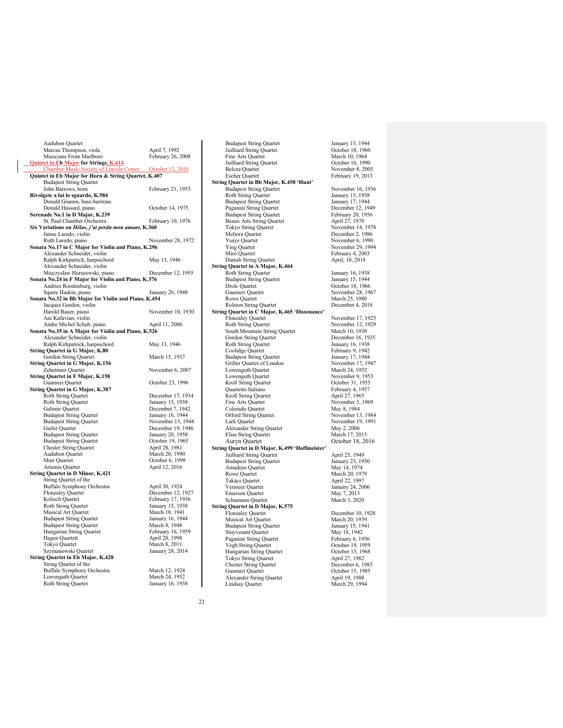| auuoon guuriot<br>Marcus Thompson, viola<br>Musicians From Marlboro                                                   | April 7, 1992<br>February 26, 2008    |
|-----------------------------------------------------------------------------------------------------------------------|---------------------------------------|
| <b>Quintet in Eb Major for Strings, K.614</b><br>Chamber Music Society of Lincoln Center  October 12, 2010            |                                       |
| Quintet in Eb Major for Horn & String Quartet, K.407<br><b>Budapest String Quartet</b>                                |                                       |
| John Barrows, horn<br>Rivolgete a lui lo sguardo, K.584                                                               | February 21, 1955                     |
| Donald Gramm, bass-baritone<br>Donald Hassard, piano                                                                  | October 14, 1975                      |
| Serenade No.1 in D Major, K.239<br>St. Paul Chamber Orchestra<br>Six Variations on Hélas, j'ai perdu mon amant, K.360 | February 10, 1976                     |
| Jaime Laredo, violin<br>Ruth Laredo, piano                                                                            | November 28, 1972                     |
| Sonata No.17 in C Major for Violin and Piano, K.296                                                                   |                                       |
| Alexander Schneider, violin<br>Ralph Kirkpatrick, harpsichord<br>Alexander Schneider, violin                          | May 13, 1946                          |
| Mieczyslaw Horszowski, piano<br>Sonata No.24 in F Major for Violin and Piano, K.376                                   | December 12, 1955                     |
| Andries Roodenburg, violin<br>Squire Haskin, piano                                                                    | January 26, 1948                      |
| Sonata No.32 in Bb Major for Violin and Piano, K.454<br>Jacques Gordon, violin                                        |                                       |
| Harold Bauer, piano<br>Ani Kafavian, violin                                                                           | November 10, 1930                     |
| Andre Michel Schub, piano<br>Sonata No.35 in A Major for Violin and Piano, K.526<br>Alexander Schneider, violin       | April 11, 2006                        |
| Ralph Kirkpatrick, harpsichord<br><b>String Quartet in G Major, K.80</b>                                              | May 13, 1946                          |
| Gordon String Quartet<br>String Quartet in G Major, K.156                                                             | March 15, 1937                        |
| Zehetmair Quartet<br><b>String Quartet in F Major, K.158</b>                                                          | November 6, 2007                      |
| Guarneri Quartet                                                                                                      | October 23, 1996                      |
| <b>String Quartet in G Major, K.387</b><br>Roth String Quartet                                                        | December 17, 1934                     |
| Roth String Quartet                                                                                                   | January 15, 1938                      |
| Galimir Quartet                                                                                                       | Decembet 7, 1942                      |
| <b>Budapest String Quartet</b>                                                                                        | January 16, 1944                      |
| <b>Budapest String Quartet</b>                                                                                        | November 13, 1944                     |
| Guilet Quartet<br><b>Budapest String Quartet</b>                                                                      | December 19, 1946<br>January 20, 1958 |
| <b>Budapest String Quartet</b>                                                                                        | October 19, 1965                      |
| <b>Chester String Quartet</b>                                                                                         | April 28, 1981                        |
| Audubon Quartet                                                                                                       | March 20, 1990                        |
| Muir Quartet                                                                                                          | October 6, 1998                       |
| Artemis Quartet<br><b>String Quartet in D Minor, K.421</b>                                                            | April 12, 2016                        |
| String Quartet of the                                                                                                 |                                       |
| Buffalo Symphony Orchestra                                                                                            | April 30, 1924                        |
| <b>Flonzaley Quartet</b>                                                                                              | December 12, 1927                     |
| Kolisch Quartet                                                                                                       | February 17, 1936                     |
| Roth String Quartet                                                                                                   | January 15, 1938                      |
| Musical Art Quartet<br><b>Budapest String Quartet</b>                                                                 | March 18, 1941<br>January 16, 1944    |
| <b>Budapest String Quartet</b>                                                                                        | March 8, 1948                         |
| Hungarian String Quartet                                                                                              | February 16, 1959                     |
| Hagen Quartett                                                                                                        | April 28, 1998                        |
| Tokyo Quartet                                                                                                         | March 8, 2011                         |
| Szymanowski Quartet                                                                                                   | January 28, 2014                      |
| <b>String Quartet in Eb Major, K.428</b><br>String Quartet of the                                                     |                                       |
| Buffalo Symphony Orchestra                                                                                            | March 12, 1924                        |
| Lowenguth Quartet                                                                                                     | March 24, 1952                        |
| Roth String Quartet                                                                                                   | January 16, 1938                      |
|                                                                                                                       |                                       |

Audubon Quartet

Budapest String Quartet January 15, 1944<br>Juilliard String Quartet Corober 18, 1960 Juilliard String Quartet **Calculary Control** October 18, 1964<br>Fine Arts Quartet March 10, 1964 Fine Arts Quartet March 10, 1964<br>Juilliard String Quartet Cotober 16, 1990 Juilliard String Quartet<br>Belcea Quartet Belcea Quartet November 8, 2005<br>
February 19, 2013<br>
February 19, 2013 **String Quartet in Bb Major, K.458 'Hunt'** Budapest String Quartet November 16, 1936<br>
Roth String Quartet January 15, 1938<br>
Budapest String Quartet January 17, 1944 Roth String Quartet January 15, 1938 Budapest String Quartet January 17, 1944 Paganini String Quartet December 12, 1949<br>Budapest String Quartet Tebruary 20, 1956<br>Beaux Arts String Quartet April 27, 1970 Budapest String Quartet February 20, 1956<br>Beaux Arts String Quartet April 27, 1970 Tokyo String Quartet November 14, 1978<br>
Meliora Quartet December 2, 1986 Meliora Quartet December 2, 1986<br>
Ysaye Quartet November 6, 1990 Ysaye Quartet November 6, 1990<br>
Ying Quartet November 29, 1994<br>
November 29, 1994 Miró Quartet February 4, 2003<br>
Danish String Quartet April, 10, 2018 Danish String Quartet **String Quartet in A Major, K.464** Roth String Quartet January 16, 1938 Budapest String Quartet January 15, 1944 Path String Quartet January 16, 1938<br>
Budapest String Quartet January 15, 1944<br>
Drolc Quartet October 18, 1966<br>
Guarneri Quartet November 28, 1966 Guarneri Quartet November 28, 1967<br>
Rowe Quartet March 25, 1980 Rolston String Quartet December 4, 2018<br> **String Quartet in C Major, K.465 'Dissonance'**<br>
Flonzaley Quartet November 17, 1925 Roth String Quartet November 12, 1929<br>
South Mountain String Quartet March 10, 1930 South Mountain String Quartet March 10, 1930<br>Gordon String Quartet December 16, 1935 Gordon String Quartet Roth String Quartet<br>Coolidge Quartet Budapest String Quartet January 17, 1944<br>
Griller Quartet of London<br>
17, 1947<br>
Lowenguth Quartet March 24, 1952 Griller Quartet of London November 17, 1947 Lowenguth Quartet March 24, 1952 Lowenguth Quartet November 9, 1953<br>Kroll String Quartet October 31, 1955 Kroll String Quartet Quartetto Italiano February 4, 1957<br>Kroll String Quartet April 27, 1965 Kroll String Quartet<br>Fine Arts Quartet Colorado Quartet May 8, 1984<br>Orford String Quartet November 13, 1984 Orford String Quartet<br>Lark Ouartet Alexander String Quartet May 2, 2006<br>
Elias String Quartet March 17, 2015 Auryn Quartet October 18, 2016 **String Quartet in D Major, K.499 'Hoffmeister'** Juilliard String Quartet April 25, 1949 Budapest String Quartet January 23, 1950 April 2., 1949<br>
Budapest String Quartet<br>
Amadeus Quartet<br>
Amadeus Quartet<br>
Rowe Ouartet<br>
March 20. 1979 Rowe Quartet March 20, 197<br>
Takács Quartet April 22, 1997 Takács Quartet<br>Vermeer Quartet Emerson Quartet May 7, 2013<br>Schumann Quartet March 3, 2020 Schumann Quartet **String Quartet in D Major, K.575**<br>Flonzalev Quartet Musical Art Quartet March 20, 1939<br>
Budapest String Quartet January 15, 1941<br>
Stuyvesant Quartet May 18, 1942 Budapest String Quartet Stuyvesant Quartet May 18, 1942<br>
Paganini String Quartet February 6, 1956 Paganini String Quartet February 6, 1956<br>
Vegh String Quartet Cocober 19, 1959 Vegh String Quartet October 19, 1959 Hungarian String Quartet October 15, 1968 Tokyo String Quartet April 27, 1982 Chester String Quartet<br>Guarneri Quartet Alexander String Quartet Lindsay Quartet

February 19, 2013 November 29, 1994 March 25, 1980<br>December 4, 2018 January 16, 1938<br>February 9, 1942<br>January 17, 1944 November 3, 1969<br>May 8, 1984 November 19, 1991<br>May 2, 2006 January 24, 2006<br>May 7, 2013 December 10, 1928<br>March 20, 1939 December 6, 1983<br>October 15, 1985<br>April 19, 1988<br>March 29, 1994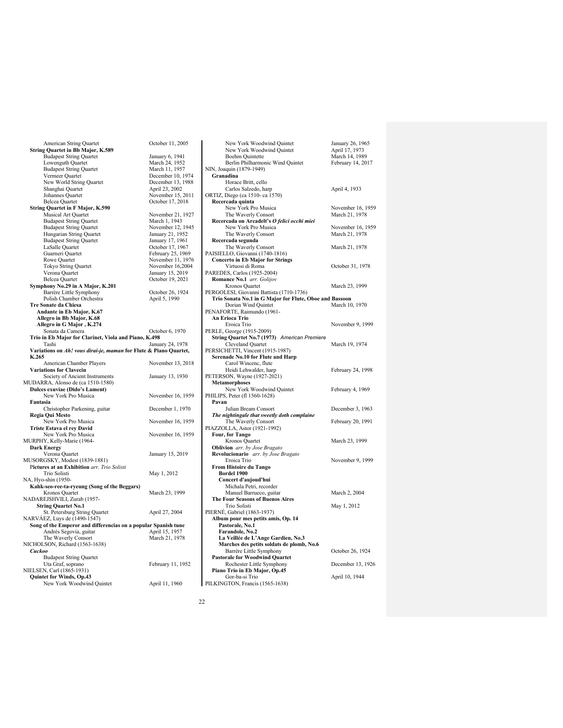| American String Quartet                                           | October 11, 2005  |
|-------------------------------------------------------------------|-------------------|
| String Quartet in Bb Major, K.589                                 |                   |
| <b>Budapest String Quartet</b>                                    | January 6, 1941   |
| Lowenguth Quartet                                                 | March 24, 1952    |
| <b>Budapest String Quartet</b>                                    | March 11, 1957    |
| Vermeer Quartet                                                   | December 10, 1974 |
| New World String Quartet                                          | December 13, 1988 |
| Shanghai Quartet                                                  | April 23, 2002    |
| Johannes Quartet                                                  | November 15, 2011 |
| <b>Belcea</b> Quartet                                             | October 17, 2018  |
| <b>String Quartet in F Major, K.590</b>                           |                   |
| Musical Art Quartet                                               | November 21, 1927 |
| <b>Budapest String Quartet</b>                                    | March 1, 1943     |
|                                                                   |                   |
| <b>Budapest String Quartet</b>                                    | November 12, 1945 |
| Hungarian String Quartet                                          | January 21, 1952  |
| <b>Budapest String Quartet</b>                                    | January 17, 1961  |
| LaSalle Quartet                                                   | October 17, 1967  |
| Guarneri Quartet                                                  | February 25, 1969 |
| Rowe Quartet                                                      | November 11, 1976 |
| Tokyo String Quartet                                              | November 16,2004  |
| Verona Quartet                                                    | January 15, 2019  |
| <b>Belcea</b> Quartet                                             | October 19, 2021  |
| Symphony No.29 in A Major, K.201                                  |                   |
| Barrère Little Symphony                                           | October 26, 1924  |
| Polish Chamber Orchestra                                          | April 5, 1990     |
| Tre Sonate da Chiesa                                              |                   |
| Andante in Eb Major, K.67                                         |                   |
|                                                                   |                   |
| Allegro in Bb Major, K.68                                         |                   |
| Allegro in G Major, K.274                                         |                   |
| Sonata da Camera                                                  | October 6, 1970   |
| Trio in Eb Major for Clarinet, Viola and Piano, K.498             |                   |
| Tashi                                                             | January 24, 1978  |
| Variations on Ah! vous dirai-je, maman for Flute & Piano Quartet, |                   |
|                                                                   |                   |
| K.265                                                             |                   |
| American Chamber Players                                          | November 13, 2018 |
| <b>Variations for Clavecin</b>                                    |                   |
| Society of Ancient Instruments                                    | January 13, 1930  |
| MUDARRA, Alonso de (ca 1510-1580)                                 |                   |
|                                                                   |                   |
| Dulces exuviae (Dido's Lament)                                    |                   |
| New York Pro Musica                                               | November 16, 1959 |
| Fantasia                                                          |                   |
| Christopher Parkening, guitar                                     | December 1, 1970  |
| Regia Qui Mesto                                                   |                   |
| New York Pro Musica                                               | November 16, 1959 |
| Triste Estava el rey David                                        |                   |
| New York Pro Musica                                               | November 16, 1959 |
| MURPHY, Kelly-Marie (1964-                                        |                   |
| <b>Dark Energy</b>                                                |                   |
| Verona Quartet                                                    | January 15, 2019  |
| MUSORGSKY, Modest (1839-1881)                                     |                   |
| Pictures at an Exhibition arr. Trio Solisti                       |                   |
| Trio Solisti                                                      | May 1, 2012       |
| NA, Hyo-shin (1950-                                               |                   |
| Kahk-seo-ree-ta-ryeung (Song of the Beggars)                      |                   |
| Kronos Quartet                                                    | March 23, 1999    |
|                                                                   |                   |
| NADAREJSHVILI, Zurab (1957-                                       |                   |
| <b>String Quartet No.1</b>                                        |                   |
| St. Petersburg String Quartet                                     | April 27, 2004    |
| NARVÁEZ, Luys de (1490-1547)                                      |                   |
| Song of the Emperor and differencias on a popular Spanish tune    |                   |
| Andrés Segovia, guitar                                            | April 15, 1957    |
| The Waverly Consort                                               | March 21, 1978    |
| NICHOLSON, Richard (1563-1638)                                    |                   |
| Cuckoo                                                            |                   |
| <b>Budapest String Quartet</b>                                    |                   |
| Uta Graf, soprano                                                 | February 11, 1952 |
| NIELSEN, Carl (1865-1931)                                         |                   |
| Quintet for Winds, Op.43<br>New York Woodwind Quintet             | April 11, 1960    |

| New York Woodwind Quintet<br>New York Woodwind Quintet                                              | January 26, 1965<br>April 17, 1973  |
|-----------------------------------------------------------------------------------------------------|-------------------------------------|
| <b>Boehm Quintette</b>                                                                              | March 14, 1989                      |
| Berlin Philharmonic Wind Quintet                                                                    | February 14, 2017                   |
| NIN, Joaquin (1879-1949)                                                                            |                                     |
| Granadina                                                                                           |                                     |
| Horace Britt, cello<br>Carlos Salzedo, harp                                                         | April 4, 1933                       |
| ORTIZ, Diego (ca 1510- ca 1570)                                                                     |                                     |
| Recercada quinta                                                                                    |                                     |
| New York Pro Musica                                                                                 | November 16, 1959                   |
| The Waverly Consort                                                                                 | March 21, 1978                      |
| Recercada on Arcadelt's O felici occhi miei                                                         |                                     |
| New York Pro Musica                                                                                 | November 16, 1959                   |
| The Waverly Consort                                                                                 | March 21, 1978                      |
| Recercada segunda                                                                                   |                                     |
| The Waverly Consort                                                                                 | March 21, 1978                      |
| PAISIELLO, Giovanni (1740-1816)                                                                     |                                     |
| <b>Concerto in Eb Major for Strings</b>                                                             |                                     |
| Virtuosi di Roma                                                                                    | October 31, 1978                    |
| PAREDES, Carlos (1925-2004)                                                                         |                                     |
| Romance No.1 arr. Golijov                                                                           |                                     |
| Kronos Quartet                                                                                      | March 23, 1999                      |
| PERGOLESI, Giovanni Battista (1710-1736)<br>Trio Sonata No.1 in G Major for Flute, Oboe and Bassoon |                                     |
| Dorian Wind Quintet                                                                                 | March 10, 1970                      |
| PENAFORTE, Raimundo (1961-                                                                          |                                     |
| An Erioca Trio                                                                                      |                                     |
| Eroica Trio                                                                                         | November 9, 1999                    |
| PERLE, George (1915-2009)                                                                           |                                     |
| String Quartet No.7 (1973) American Premiere                                                        |                                     |
| Cleveland Quartet                                                                                   | March 19, 1974                      |
| PERSICHETTI, Vincent (1915-1987)                                                                    |                                     |
| Serenade No.10 for Flute and Harp                                                                   |                                     |
| Carol Wincenc, flute                                                                                |                                     |
| Heidi Lehwalder, harp                                                                               | February 24, 1998                   |
| PETERSON, Wayne (1927-2021)                                                                         |                                     |
| <b>Metamorphoses</b>                                                                                |                                     |
| New York Woodwind Quintet                                                                           | February 4, 1969                    |
| PHILIPS, Peter (fl 1560-1628)                                                                       |                                     |
| Pavan<br>Julian Bream Consort                                                                       | December 3, 1963                    |
| The nightingale that sweetly doth complaine                                                         |                                     |
| The Waverly Consort                                                                                 | February 20, 1991                   |
| PIAZZOLLA, Astor (1921-1992)                                                                        |                                     |
| Four, for Tango                                                                                     |                                     |
| Kronos Quartet                                                                                      | March 23, 1999                      |
| Oblivion arr. by Jose Bragato                                                                       |                                     |
| Revolucionario arr. by Jose Bragato                                                                 |                                     |
| Eroica Trio                                                                                         | November 9, 1999                    |
| From Histoire du Tango                                                                              |                                     |
| Bordel 1900                                                                                         |                                     |
| Concert d'aujoud'hui                                                                                |                                     |
| Michala Petri, recorder                                                                             |                                     |
|                                                                                                     |                                     |
| Manuel Barrueco, guitar                                                                             | March 2, 2004                       |
| The Four Seasons of Buenos Aires                                                                    |                                     |
| Trio Solisti                                                                                        | May 1, 2012                         |
| PIERNÉ, Gabriel (1863-1937)                                                                         |                                     |
| Album pour mes petits amis, Op. 14                                                                  |                                     |
| Pastorale, No.1                                                                                     |                                     |
| Farandole, No.2                                                                                     |                                     |
| La Veillée de L'Ange Gardien, No.3                                                                  |                                     |
| Marches des petits soldats de plomb, No.6                                                           |                                     |
| Barrère Little Symphony                                                                             | October 26, 1924                    |
| <b>Pastorale for Woodwind Quartet</b><br>Rochester Little Symphony                                  |                                     |
| Piano Trio in Eb Major, Op.45                                                                       |                                     |
| Gor-ba-si Trio                                                                                      | December 13, 1926<br>April 10, 1944 |
| PILKINGTON, Francis (1565-1638)                                                                     |                                     |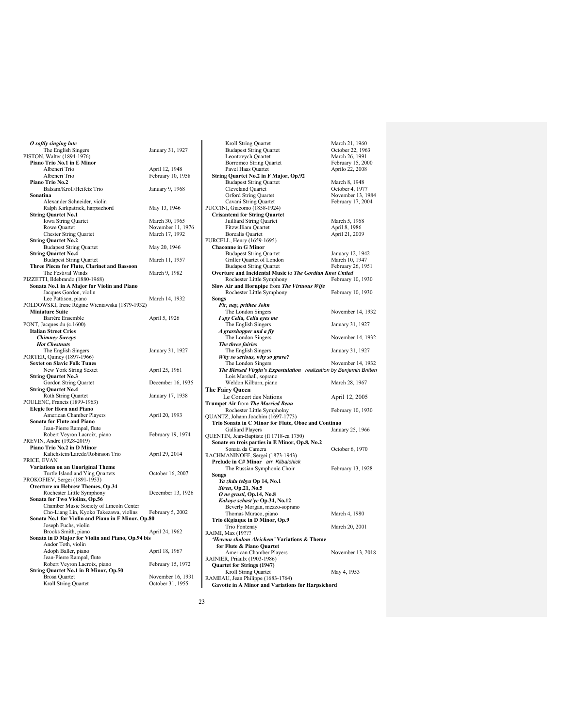| O softly singing lute                                    |                                     |
|----------------------------------------------------------|-------------------------------------|
| The English Singers                                      | January 31, 1927                    |
| PISTON, Walter (1894-1976)<br>Piano Trio No.1 in E Minor |                                     |
| Albeneri Trio                                            |                                     |
| Albeneri Trio                                            | April 12, 1948<br>February 10, 1958 |
| Piano Trio No.2                                          |                                     |
| Balsam/Kroll/Heifetz Trio                                | January 9, 1968                     |
| Sonatina                                                 |                                     |
| Alexander Schneider, violin                              |                                     |
| Ralph Kirkpatrick, harpsichord                           | May 13, 1946                        |
| <b>String Quartet No.1</b>                               |                                     |
| Iowa String Quartet                                      | March 30, 1965                      |
| Rowe Quartet                                             | November 11, 1976                   |
| <b>Chester String Quartet</b>                            | March 17, 1992                      |
| <b>String Quartet No.2</b>                               |                                     |
| <b>Budapest String Quartet</b>                           | May 20, 1946                        |
| <b>String Quartet No.4</b>                               |                                     |
| <b>Budapest String Quartet</b>                           | March 11, 1957                      |
| Three Pieces for Flute, Clarinet and Bassoon             |                                     |
| The Festival Winds                                       | March 9, 1982                       |
| PIZZETTI, Ildebrando (1880-1968)                         |                                     |
| Sonata No.1 in A Major for Violin and Piano              |                                     |
| Jacques Gordon, violin                                   |                                     |
| Lee Pattison, piano                                      | March 14, 1932                      |
| POLDOWSKI, Irene Régine Wieniawska (1879-1932)           |                                     |
| <b>Miniature Suite</b>                                   |                                     |
| Barrère Ensemble                                         | April 5, 1926                       |
| PONT, Jacques du (c.1600)                                |                                     |
| <b>Italian Street Cries</b>                              |                                     |
| <b>Chimney Sweeps</b>                                    |                                     |
| <b>Hot Chestnuts</b>                                     |                                     |
| The English Singers                                      | January 31, 1927                    |
| PORTER, Quincy (1897-1966)                               |                                     |
| <b>Sextet on Slavic Folk Tunes</b>                       |                                     |
| New York String Sextet                                   | April 25, 1961                      |
| <b>String Quartet No.3</b>                               |                                     |
| Gordon String Quartet                                    | December 16, 1935                   |
| <b>String Quartet No.4</b>                               |                                     |
| Roth String Quartet                                      | January 17, 1938                    |
| POULENC, Francis (1899-1963)                             |                                     |
| <b>Elegie for Horn and Piano</b>                         |                                     |
| American Chamber Players                                 | April 20, 1993                      |
| <b>Sonata for Flute and Piano</b>                        |                                     |
| Jean-Pierre Rampal, flute                                |                                     |
| Robert Veyron Lacroix, piano                             | February 19, 1974                   |
| PREVIN, André (1928-2019)<br>Piano Trio No.2 in D Minor  |                                     |
| Kalichstein/Laredo/Robinson Trio                         | April 29, 2014                      |
| PRICE, EVAN                                              |                                     |
| Variations on an Unoriginal Theme                        |                                     |
| Turtle Island and Ying Quartets                          | October 16, 2007                    |
| PROKOFIEV, Sergei (1891-1953)                            |                                     |
| Overture on Hebrew Themes, Op.34                         |                                     |
| Rochester Little Symphony                                | December 13, 1926                   |
| Sonata for Two Violins, Op.56                            |                                     |
| Chamber Music Society of Lincoln Center                  |                                     |
| Cho-Liang Lin, Kyoko Takezawa, violins                   | February 5, 2002                    |
| Sonata No.1 for Violin and Piano in F Minor, Op.80       |                                     |
| Joseph Fuchs, violin                                     |                                     |
| Brooks Smith, piano                                      | April 24, 1962                      |
| Sonata in D Major for Violin and Piano, Op.94 bis        |                                     |
| Andor Toth, violin                                       |                                     |
| Adoph Baller, piano                                      | April 18, 1967                      |
| Jean-Pierre Rampal, flute                                |                                     |
| Robert Veyron Lacroix, piano                             | February 15, 1972                   |
| String Quartet No.1 in B Minor, Op.50                    |                                     |
| <b>Brosa Quartet</b>                                     | November 16, 1931                   |
| Kroll String Quartet                                     | October 31, 1955                    |

| Kroll String Quartet                                               | March 21, 1960    |
|--------------------------------------------------------------------|-------------------|
| <b>Budapest String Quartet</b>                                     | October 22, 1963  |
| Leontovych Quartet                                                 | March 26, 1991    |
| Borromeo String Quartet                                            | February 15, 2000 |
| Pavel Haas Quartet                                                 | Aprilo 22, 2008   |
| String Quartet No.2 in F Major, Op.92                              |                   |
| <b>Budapest String Quartet</b>                                     | March 8, 1948     |
| Cleveland Quartet                                                  | October 4, 1977   |
| Orford String Quartet                                              | November 13, 1984 |
| Cavani String Quartet                                              | February 17, 2004 |
| PUCCINI, Giacomo (1858-1924)                                       |                   |
| <b>Crisantemi for String Quartet</b>                               |                   |
| Juilliard String Quartet                                           | March 5, 1968     |
| Fitzwilliam Quartet                                                | April 8, 1986     |
| <b>Borealis Quartet</b>                                            | April 21, 2009    |
| PURCELL, Henry (1659-1695)                                         |                   |
| <b>Chaconne in G Minor</b>                                         |                   |
| <b>Budapest String Quartet</b>                                     | January 12, 1942  |
| Griller Quartet of London                                          | March 10, 1947    |
| <b>Budapest String Quartet</b>                                     | February 26, 1951 |
| Overture and Incidental Music to The Gordian Knot Untied           |                   |
| Rochester Little Symphony                                          | February 10, 1930 |
| Slow Air and Hornpipe from The Virtuous Wife                       |                   |
| Rochester Little Symphony                                          | February 10, 1930 |
| <b>Songs</b>                                                       |                   |
| Fir, nay, prithee John                                             |                   |
| The London Singers                                                 | November 14, 1932 |
| I spy Celia, Celia eyes me                                         |                   |
| The English Singers                                                | January 31, 1927  |
| A grasshopper and a fly                                            |                   |
| The London Singers                                                 | November 14, 1932 |
| The three fairies                                                  |                   |
| The English Singers                                                | January 31, 1927  |
| Why so serious, why so grave?                                      |                   |
| The London Singers                                                 | November 14, 1932 |
| The Blessed Virgin's Expostulation realization by Benjamin Britten |                   |
| Lois Marshall, soprano                                             |                   |
| Weldon Kilburn, piano                                              | March 28, 1967    |
| The Fairy Queen                                                    |                   |
| Le Concert des Nations                                             | April 12, 2005    |
| Trumpet Air from The Married Beau                                  |                   |
| Rochester Little Sympholny                                         | February 10, 1930 |
| QUANTZ, Johann Joachim (1697-1773)                                 |                   |
| Trio Sonata in C Minor for Flute, Oboe and Continuo                |                   |
| Galliard Players                                                   | January 25, 1966  |
| QUENTIN, Jean-Baptiste (fl 1718-ca 1750)                           |                   |
| Sonate en trois parties in E Minor, Op.8, No.2                     |                   |
| Sonata da Camera                                                   | October 6, 1970   |
| RACHMANINOFF, Sergei (1873-1943)                                   |                   |
| Prelude in C# Minor arr. Kilbalchick                               |                   |
| The Russian Symphonic Choir                                        | February 13, 1928 |
| Songs                                                              |                   |
| Ya zhdu tebya Op 14, No.1                                          |                   |
| Siren, Op.21, No.5                                                 |                   |
| O ne grusti, Op.14, No.8                                           |                   |
| Kakoye schast'ye Op.34, No.12                                      |                   |
| Beverly Morgan, mezzo-soprano                                      |                   |
| Thomas Muraco, piano                                               | March 4, 1980     |
| Trio élégiaque in D Minor, Op.9                                    |                   |
| Trio Fontenay                                                      | March 20, 2001    |
| RAIMI, Max (19???                                                  |                   |
| 'Hevenu shalom Aleichem' Variations & Theme                        |                   |
| for Flute & Piano Quartet                                          |                   |
| American Chamber Players                                           | November 13, 2018 |
| RAINIER, Priaulx (1903-1986)                                       |                   |
| Quartet for Strings (1947)                                         |                   |
| Kroll String Quartet                                               | May 4, 1953       |
| RAMEAU, Jean Philippe (1683-1764)                                  |                   |
| Gavotte in A Minor and Variations for Harpsichord                  |                   |
|                                                                    |                   |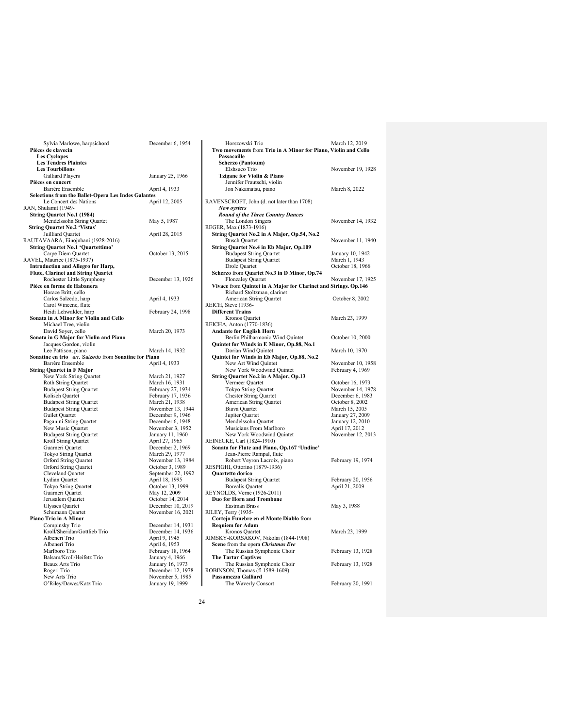| Sylvia Marlowe, harpsichord                           | December 6, 1954   |
|-------------------------------------------------------|--------------------|
| Pièces de clavecin                                    |                    |
| <b>Les Cyclopes</b>                                   |                    |
| <b>Les Tendres Plaintes</b>                           |                    |
| <b>Les Tourbillons</b>                                |                    |
| <b>Galliard Players</b>                               | January 25, 1966   |
| Pièces en concert                                     |                    |
| Barrère Ensemble                                      | April 4, 1933      |
| Selections from the Ballet-Opera Les Indes Galantes   |                    |
| Le Concert des Nations                                | April 12, 2005     |
| RAN, Shulamit (1949-                                  |                    |
| <b>String Quartet No.1 (1984)</b>                     |                    |
| Mendelssohn String Quartet                            | May 5, 1987        |
|                                                       |                    |
| <b>String Quartet No.2 'Vistas'</b>                   |                    |
| Juilliard Quartet                                     | April 28, 2015     |
| RAUTAVAARA, Einojuhani (1928-2016)                    |                    |
| <b>String Quartet No.1 'Quartettimo'</b>              |                    |
| Carpe Diem Quartet                                    | October 13, 2015   |
| RAVEL, Maurice (1875-1937)                            |                    |
| Introduction and Allegro for Harp,                    |                    |
| <b>Flute, Clarinet and String Quartet</b>             |                    |
| Rochester Little Symphony                             | December 13, 1926  |
| Piéce en forme de Habanera                            |                    |
| Horace Britt, cello                                   |                    |
| Carlos Salzedo, harp                                  | April 4, 1933      |
|                                                       |                    |
| Carol Wincenc, flute                                  |                    |
| Heidi Lehwalder, harp                                 | February 24, 1998  |
| Sonata in A Minor for Violin and Cello                |                    |
| Michael Tree, violin                                  |                    |
| David Soyer, cello                                    | March 20, 1973     |
| Sonata in G Major for Violin and Piano                |                    |
| Jacques Gordon, violin                                |                    |
| Lee Pattison, piano                                   | March 14, 1932     |
| Sonatine en trio arr. Salzedo from Sonatine for Piano |                    |
| Barrère Ensemble                                      | April 4, 1933      |
| <b>String Quartet in F Major</b>                      |                    |
| New York String Quartet                               | March 21, 1927     |
| Roth String Quartet                                   | March 16, 1931     |
| <b>Budapest String Quartet</b>                        | February 27, 1934  |
| Kolisch Quartet                                       | February 17, 1936  |
| <b>Budapest String Quartet</b>                        |                    |
|                                                       |                    |
|                                                       | March 21, 1938     |
| <b>Budapest String Quartet</b>                        | November 13, 1944  |
| Guilet Quartet                                        | December 9, 1946   |
| Paganini String Quartet                               | December 6, 1948   |
| New Music Quartet                                     | November 3, 1952   |
| <b>Budapest String Quartet</b>                        | January 11, 1960   |
| Kroll String Quartet                                  | April 27, 1965     |
| Guarneri Quartet                                      | December 2, 1969   |
|                                                       | March 29, 1977     |
| Tokyo String Quartet                                  |                    |
| Orford String Quartet                                 | November 13, 1984  |
| Orford String Quartet                                 | October 3, 1989    |
| Cleveland Quartet                                     | September 22, 1992 |
| Lydian Quartet                                        | April 18, 1995     |
| <b>Tokyo String Quartet</b>                           | October 13, 1999   |
| Guarneri Quartet                                      | May 12, 2009       |
| Jerusalem Quartet                                     | October 14, 2014   |
| <b>Ulysses Quartet</b>                                | December 10, 2019  |
| Schumann Quartet                                      | November 16, 2021  |
| Piano Trio in A Minor                                 |                    |
|                                                       | December 14, 1931  |
| Compinsky Trio<br>Kroll/Sheridan/Gottlieb Trio        | December 14, 1936  |
| Albeneri Trio                                         |                    |
| Albeneri Trio                                         | April 9, 1945      |
|                                                       | April 6, 1953      |
| Marlboro Trio                                         | February 18, 1964  |
| Balsam/Kroll/Heifetz Trio                             | January 4, 1966    |
| Beaux Arts Trio                                       | January 16, 1973   |
| Rogeri Trio                                           | December 12, 1978  |
| New Arts Trio                                         | November 5, 1985   |
| O'Riley/Dawes/Katz Trio                               | January 19, 1999   |

| Horszowski Trio<br>Two movements from Trio in A Minor for Piano, Violin and Cello<br>Passacaille                          | March 12, 2019                        |
|---------------------------------------------------------------------------------------------------------------------------|---------------------------------------|
| Scherzo (Pantoum)                                                                                                         |                                       |
| Elshsuco Trio                                                                                                             | November 19, 1928                     |
| Tzigane for Violin & Piano                                                                                                |                                       |
| Jennifer Frautschi, violin                                                                                                |                                       |
| Jon Nakamatsu, piano                                                                                                      | March 8, 2022                         |
| RAVENSCROFT, John (d. not later than 1708)<br>New oysters                                                                 |                                       |
| <b>Round of the Three Country Dances</b>                                                                                  |                                       |
| The London Singers                                                                                                        | November 14, 1932                     |
| REGER, Max (1873-1916)                                                                                                    |                                       |
| String Quartet No.2 in A Major, Op.54, No.2                                                                               |                                       |
| <b>Busch Quartet</b>                                                                                                      | November 11, 1940                     |
| String Quartet No.4 in Eb Major, Op.109                                                                                   |                                       |
| <b>Budapest String Quartet</b>                                                                                            | January 10, 1942                      |
| <b>Budapest String Quartet</b>                                                                                            | March 1, 1943                         |
| Drolc Quartet                                                                                                             | October 18, 1966                      |
| Scherzo from Quartet No.3 in D Minor, Op.74                                                                               |                                       |
| <b>Flonzaley Quartet</b>                                                                                                  | November 17, 1925                     |
| Vivace from Quintet in A Major for Clarinet and Strings. Op.146<br>Richard Stoltzman, clarinet<br>American String Quartet | October 8, 2002                       |
| REICH, Steve (1936-                                                                                                       |                                       |
| <b>Different Trains</b>                                                                                                   |                                       |
| Kronos Quartet                                                                                                            | March 23, 1999                        |
| REICHA, Anton (1770-1836)                                                                                                 |                                       |
| <b>Andante for English Horn</b>                                                                                           |                                       |
| Berlin Philharmonic Wind Quintet                                                                                          | October 10, 2000                      |
| Quintet for Winds in E Minor, Op.88, No.1                                                                                 |                                       |
| Dorian Wind Quintet                                                                                                       | March 10, 1970                        |
| Quintet for Winds in Eb Major, Op.88, No.2                                                                                |                                       |
| New Art Wind Quintet                                                                                                      | November 10, 1958                     |
| New York Woodwind Quintet                                                                                                 | February 4, 1969                      |
| String Quartet No.2 in A Major, Op.13                                                                                     |                                       |
| Vermeer Quartet                                                                                                           | October 16, 1973<br>November 14, 1978 |
| Tokyo String Quartet                                                                                                      | December 6, 1983                      |
| <b>Chester String Quartet</b><br>American String Quartet                                                                  |                                       |
| <b>Biava Quartet</b>                                                                                                      | October 8, 2002<br>March 15, 2005     |
| Jupiter Quartet                                                                                                           | January 27, 2009                      |
| Mendelssohn Quartet                                                                                                       | January 12, 2010                      |
| Musicians From Marlboro                                                                                                   | April 17, 2012                        |
| New York Woodwind Quintet                                                                                                 | November 12, 2013                     |
| REINECKE, Carl (1824-1910)                                                                                                |                                       |
| Sonata for Flute and Piano, Op.167 'Undine'                                                                               |                                       |
| Jean-Pierre Rampal, flute                                                                                                 |                                       |
| Robert Veyron Lacroix, piano                                                                                              | February 19, 1974                     |
| RESPIGHI, Ottorino (1879-1936)                                                                                            |                                       |
| Quartetto dorico                                                                                                          |                                       |
| <b>Budapest String Quartet</b>                                                                                            | February 20, 1956                     |
| <b>Borealis Quartet</b>                                                                                                   | April 21, 2009                        |
| REYNOLDS, Verne (1926-2011)                                                                                               |                                       |
| <b>Duo for Horn and Trombone</b>                                                                                          |                                       |
| Eastman Brass                                                                                                             | May 3, 1988                           |
| RILEY, Terry (1935-<br>Cortejo Funebre en el Monte Diablo from                                                            |                                       |
| <b>Requiem for Adam</b>                                                                                                   |                                       |
| Kronos Quartet                                                                                                            | March 23, 1999                        |
| RIMSKY-KORSAKOV, Nikolai (1844-1908)                                                                                      |                                       |
| Scene from the opera Christmas Eve                                                                                        |                                       |
| The Russian Symphonic Choir                                                                                               | February 13, 1928                     |
| <b>The Tartar Captives</b>                                                                                                |                                       |
| The Russian Symphonic Choir                                                                                               | February 13, 1928                     |
| ROBINSON, Thomas (fl 1589-1609)                                                                                           |                                       |
| Passamezzo Galliard                                                                                                       |                                       |
| The Waverly Consort                                                                                                       | February 20, 1991                     |
|                                                                                                                           |                                       |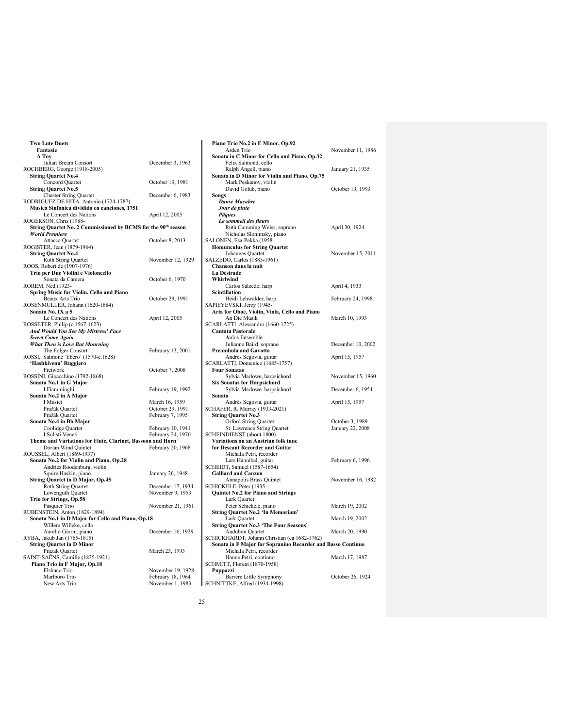| <b>Two Lute Duets</b>                                                                               |                                       |
|-----------------------------------------------------------------------------------------------------|---------------------------------------|
| Fantasie                                                                                            |                                       |
| A Toy                                                                                               |                                       |
| Julian Bream Consort                                                                                | December 3, 1963                      |
| ROCHBERG, George (1918-2005)                                                                        |                                       |
| <b>String Quartet No.4</b>                                                                          |                                       |
| Concord Quartet                                                                                     | October 13, 1981                      |
| <b>String Quartet No.5</b>                                                                          |                                       |
| <b>Chester String Quartet</b>                                                                       | December 6, 1983                      |
| RODRIGUEZ DE HITA. Antonio (1724-1787)                                                              |                                       |
| Musica Sinfonica dividida en canciones, 1751                                                        |                                       |
| Le Concert des Nations                                                                              | April 12, 2005                        |
| ROGERSON, Chris (1988-<br>String Quartet No. 2 Commissioned by BCMS for the 90 <sup>th</sup> season |                                       |
| <b>World Premiere</b>                                                                               |                                       |
|                                                                                                     |                                       |
| Attacca Quartet<br>ROGISTER, Jean (1879-1964)                                                       | October 8, 2013                       |
|                                                                                                     |                                       |
| <b>String Quartet No.4</b>                                                                          |                                       |
| Roth String Quartet<br>ROOS, Robert de (1907-1976)                                                  | November 12, 1929                     |
| Trio per Due Violini e Violoncello                                                                  |                                       |
| Sonata da Camera                                                                                    | October 6, 1970                       |
| ROREM, Ned (1923-                                                                                   |                                       |
|                                                                                                     |                                       |
| Spring Music for Violin, Cello and Piano<br>Beaux Arts Trio                                         | October 29, 1991                      |
| ROSENMULLER, Johann (1620-1684)                                                                     |                                       |
| Sonata No. IX a 5                                                                                   |                                       |
|                                                                                                     |                                       |
| Le Concert des Nations                                                                              | April 12, 2005                        |
| ROSSETER, Philip (c.1567-1623)                                                                      |                                       |
| And Would You See My Mistress' Face                                                                 |                                       |
| <b>Sweet Come Again</b>                                                                             |                                       |
| <b>What Then is Love But Mourning</b>                                                               |                                       |
| The Folger Consort                                                                                  | February 13, 2001                     |
| ROSSI, Salmone 'Ebero' (1570-c.1628)                                                                |                                       |
| 'Hashkivenu' Ruggiero                                                                               |                                       |
| Fretwork                                                                                            | October 7, 2008                       |
| ROSSINI, Gioacchino (1792-1868)<br>Sonata No.1 in G Major                                           |                                       |
|                                                                                                     |                                       |
| I Fiamminghi<br>Sonata No.2 in A Major                                                              | February 19, 1992                     |
| I Musici                                                                                            | March 16, 1959                        |
| Pražák Quartet                                                                                      | October 29, 1991                      |
| Pražák Quartet                                                                                      | February 7, 1995                      |
| Sonata No.4 in Bb Major                                                                             |                                       |
| Coolidge Quartet                                                                                    | February 10, 1941                     |
| I Solisti Veneti                                                                                    | February 24, 1970                     |
| Theme and Variations for Flute, Clarinet, Bassoon and Horn                                          |                                       |
|                                                                                                     |                                       |
| Dorian Wind Quintet                                                                                 | February 20, 1968                     |
| ROUSSEL, Albert (1869-1937)<br>Sonata No.2 for Violin and Piano, Op.28                              |                                       |
| Andries Roodenburg, violin                                                                          |                                       |
| Squire Haskin, piano                                                                                | January 26, 1948                      |
| <b>String Quartet in D Major, Op.45</b>                                                             |                                       |
| <b>Roth String Quartet</b>                                                                          | December 17, 1934                     |
| Lowenguth Quartet                                                                                   | November 9, 1953                      |
| Trio for Strings, Op.58                                                                             |                                       |
| Pasquier Trio                                                                                       | November 21, 1961                     |
| RUBENSTEIN, Anton (1829-1894)                                                                       |                                       |
| Sonata No.1 in D Major for Cello and Piano, Op.18                                                   |                                       |
| Willem Willeke, cello                                                                               |                                       |
|                                                                                                     |                                       |
|                                                                                                     |                                       |
| Aurelio Giorni, piano                                                                               | December 16, 1929                     |
| RYBA, Jakub Jan (1765-1815)                                                                         |                                       |
| <b>String Quartet in D Minor</b>                                                                    |                                       |
| Prazak Quartet                                                                                      | March 23, 1993                        |
| SAINT-SAËNS, Camille (1835-1921)                                                                    |                                       |
| Piano Trio in F Major, Op.18                                                                        |                                       |
| Elshuco Trio                                                                                        | November 19, 1928                     |
| Marlboro Trio<br>New Arts Trio                                                                      | February 18, 1964<br>November 1, 1983 |

| Piano Trio No.2 in E Minor, Op.92                                                      |                   |
|----------------------------------------------------------------------------------------|-------------------|
| Arden Trio<br>Sonata in C Minor for Cello and Piano, Op.32                             | November 11, 1986 |
| Felix Salmond, cello                                                                   |                   |
| Ralph Angell, piano                                                                    | January 21, 1935  |
| Sonata in D Minor for Violin and Piano, Op.75                                          |                   |
| Mark Peskanov, violin<br>David Golub, piano                                            | October 19, 1993  |
| Songs                                                                                  |                   |
| <b>Danse Macabre</b>                                                                   |                   |
| Jour de pluie                                                                          |                   |
| Pâques                                                                                 |                   |
| Le sommeil des fleurs<br>Ruth Cumming Weiss, soprano                                   | April 30, 1924    |
| Nicholas Slonimsky, piano                                                              |                   |
| SALONEN, Esa-Pekka (1958-                                                              |                   |
| <b>Homunculus for String Quartet</b>                                                   |                   |
| Johannes Quartet                                                                       | November 15, 2011 |
| SALZEDO, Carlos (1885-1961)<br>Chanson dans la nuit                                    |                   |
| La Désirade                                                                            |                   |
| Whirlwind                                                                              |                   |
| Carlos Salzedo, harp                                                                   | April 4, 1933     |
| <b>Scintillation</b>                                                                   |                   |
| Heidi Lehwalder, harp<br>SAPIEYEVSKI, Jerzy (1945-                                     | February 24, 1998 |
| Aria for Oboe, Violin, Viola, Cello and Piano                                          |                   |
| An Die Musik                                                                           | March 10, 1993    |
| SCARLATTI, Alessandro (1660-1725)                                                      |                   |
| <b>Cantata Pastorale</b>                                                               |                   |
| <b>Aulos Ensemble</b>                                                                  |                   |
| Julianne Baird, soprano<br><b>Preambula and Gavotta</b>                                | December 10, 2002 |
| Andrés Segovia, guitar                                                                 | April 15, 1957    |
| SCARLATTI, Domenico (1685-1757)                                                        |                   |
| <b>Four Sonatas</b>                                                                    |                   |
| Sylvia Marlowe, harpsichord                                                            | November 15, 1960 |
| <b>Six Sonatas for Harpsichord</b><br>Sylvia Marlowe. harpsichord                      | December 6, 1954  |
| Sonata                                                                                 |                   |
| Andrés Segovia, guitar                                                                 | April 15, 1957    |
| SCHAFER, R. Murray (1933-2021)                                                         |                   |
| <b>String Quartet No.3</b><br>Orford String Quartet                                    | October 3, 1989   |
| St. Lawrence String Quartet                                                            | January 22, 2008  |
| SCHEINDIENST (about 1800)                                                              |                   |
| Variations on an Austrian folk tune                                                    |                   |
| for Descant Recorder and Guitar                                                        |                   |
| Michala Petri, recorder                                                                |                   |
| Lars Hannibal, guitar<br>SCHEIDT, Samuel (1587-1654)                                   | February 6, 1996  |
| <b>Galliard and Canzon</b>                                                             |                   |
| Annapolis Brass Quintet                                                                | November 16, 1982 |
| SCHICKELE, Peter (1935-                                                                |                   |
| Quintet No.2 for Piano and Strings                                                     |                   |
| Lark Quartet<br>Peter Schickele, piano                                                 | March 19, 2002    |
| String Quartet No.2 'In Memoriam'                                                      |                   |
| Lark Quartet                                                                           | March 19, 2002    |
| <b>String Quartet No.3 'The Four Seasons'</b>                                          |                   |
| Audubon Quartet                                                                        | March 20, 1990    |
| SCHICKHARDT, Johann Christian (ca 1682-1762)                                           |                   |
| Sonata in F Major for Sopranino Recorder and Basso Continuo<br>Michala Petri, recorder |                   |
| Hanne Petri, continuo                                                                  | March 17, 1987    |
| SCHMITT, Florent (1870-1958)                                                           |                   |
| Puppazzi                                                                               |                   |
| Barrère Little Symphony                                                                | October 26, 1924  |
| SCHNITTKE, Alfred (1934-1998)                                                          |                   |
|                                                                                        |                   |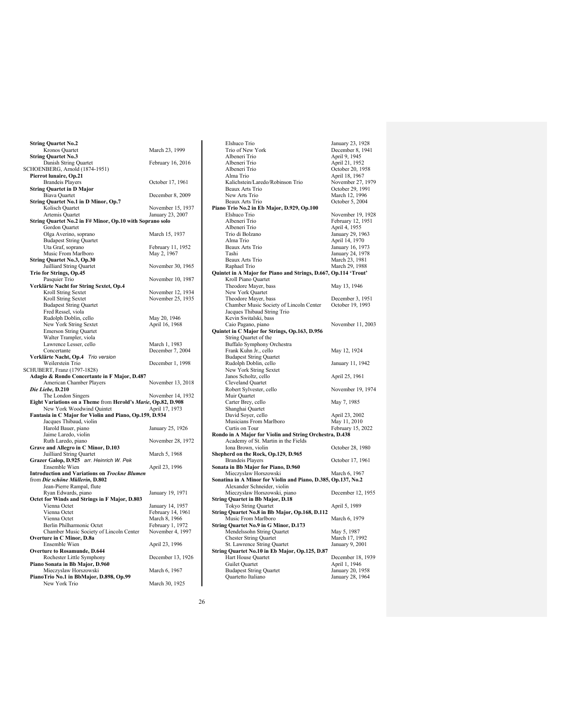| <b>String Quartet No.2</b>                                                              |                                      |
|-----------------------------------------------------------------------------------------|--------------------------------------|
| Kronos Quartet                                                                          | March 23, 1999                       |
| <b>String Quartet No.3</b>                                                              |                                      |
| Danish String Quartet<br>SCHOENBERG, Arnold (1874-1951)                                 | February 16, 2016                    |
| Pierrot lunaire, Op.21                                                                  |                                      |
| <b>Brandeis Players</b>                                                                 | October 17, 1961                     |
| <b>String Quartet in D Major</b>                                                        |                                      |
| <b>Biava Quartet</b>                                                                    | December 8, 2009                     |
| String Quartet No.1 in D Minor, Op.7                                                    |                                      |
| Kolisch Quartet                                                                         | November 15, 1937                    |
| Artemis Quartet<br>String Quartet No.2 in F# Minor, Op.10 with Soprano solo             | January 23, 2007                     |
| Gordon Quartet                                                                          |                                      |
| Olga Averino, soprano                                                                   | March 15, 1937                       |
| <b>Budapest String Quartet</b>                                                          |                                      |
| Uta Graf, soprano                                                                       | February 11, 1952                    |
| Music From Marlboro                                                                     | May 2, 1967                          |
| String Quartet No.3, Op.30                                                              |                                      |
| Juilliard String Quartet<br>Trio for Strings, Op.45                                     | November 30, 1965                    |
| Pasquier Trio                                                                           | November 10, 1987                    |
| Verklärte Nacht for String Sextet, Op.4                                                 |                                      |
| Kroll String Sextet                                                                     | November 12, 1934                    |
| Kroll String Sextet                                                                     | November 25, 1935                    |
| <b>Budapest String Quartet</b>                                                          |                                      |
| Fred Ressel, viola                                                                      |                                      |
| Rudolph Doblin, cello<br>New York String Sextet                                         | May 20, 1946<br>April 16, 1968       |
| <b>Emerson String Quartet</b>                                                           |                                      |
| Walter Trampler, viola                                                                  |                                      |
| Lawrence Lesser, cello                                                                  | March 1, 1983                        |
| Concertante                                                                             | December 7, 2004                     |
| Verklärte Nacht, Op.4 Trio version                                                      |                                      |
| Weilerstein Trio                                                                        | December 1, 1998                     |
| SCHUBERT, Franz (1797-1828)<br>Adagio & Rondo Concertante in F Major, D.487             |                                      |
| American Chamber Players                                                                | November 13, 2018                    |
| Die Liebe, D.210                                                                        |                                      |
| The London Singers                                                                      | November 14, 1932                    |
| Eight Variations on a Theme from Herold's Marie, Op.82, D.908                           |                                      |
| New York Woodwind Quintet                                                               | April 17, 1973                       |
| Fantasia in C Major for Violin and Piano, Op.159, D.934                                 |                                      |
| Jacques Thibaud, violin<br>Harold Bauer, piano                                          |                                      |
| Jaime Laredo, violin                                                                    | January 25, 1926                     |
| Ruth Laredo, piano                                                                      | November 28, 1972                    |
| Grave and Allegro in C Minor, D.103                                                     |                                      |
| Juilliard String Quartet                                                                | March 5, 1968                        |
| Grazer Galop, D.925<br>arr. Heinrich W. Pek                                             |                                      |
| Ensemble Wien                                                                           | April 23, 1996                       |
| <b>Introduction and Variations on Trockne Blumen</b><br>from Die schöne Müllerin, D.802 |                                      |
| Jean-Pierre Rampal, flute                                                               |                                      |
| Ryan Edwards, piano                                                                     | January 19, 1971                     |
| Octet for Winds and Strings in F Major, D.803                                           |                                      |
| Vienna Octet                                                                            | January 14, 1957                     |
| Vienna Octet                                                                            | February 14, 1961                    |
| Vienna Octet<br>Berlin Philharmonic Octet                                               | March 8, 1966                        |
| Chamber Music Society of Lincoln Center                                                 | February 1, 1972<br>November 4, 1997 |
| Overture in C Minor, D.8a                                                               |                                      |
| Ensemble Wien                                                                           |                                      |
| <b>Overture to Rosamunde, D.644</b>                                                     | April 23, 1996                       |
|                                                                                         |                                      |
| Rochester Little Symphony                                                               | December 13, 1926                    |
| Piano Sonata in Bb Major, D.960                                                         |                                      |
| Mieczyslaw Horszowski                                                                   | March 6, 1967                        |
| PianoTrio No.1 in BbMajor, D.898, Op.99<br>New York Trio                                | March 30, 1925                       |

| Elshuco Trio                                                            | January 23, 1928  |
|-------------------------------------------------------------------------|-------------------|
| Trio of New York                                                        | December 8, 1941  |
| Albeneri Trio                                                           | April 9, 1945     |
| Albeneri Trio                                                           | April 21, 1952    |
| Albeneri Trio                                                           | October 20, 1958  |
| Alma Trio                                                               | April 18, 1967    |
| Kalichstein/Laredo/Robinson Trio                                        | November 27, 1979 |
| Beaux Arts Trio                                                         | October 29, 1991  |
| New Arts Trio                                                           | March 12, 1996    |
| Beaux Arts Trio                                                         | October 5, 2004   |
| Piano Trio No.2 in Eb Major, D.929, Op.100<br>Elshuco Trio              | November 19, 1928 |
| Albeneri Trio                                                           | February 12, 1951 |
| Albeneri Trio                                                           | April 4, 1955     |
| Trio di Bolzano                                                         | January 29, 1963  |
| Alma Trio                                                               | April 14, 1970    |
| Beaux Arts Trio                                                         | January 16, 1973  |
| Tashi                                                                   | January 24, 1978  |
| Beaux Arts Trio                                                         | March 23, 1981    |
| Raphael Trio                                                            | March 29, 1988    |
| Quintet in A Major for Piano and Strings, D.667, Op.114 'Trout'         |                   |
| Kroll Piano Quartet                                                     |                   |
| Theodore Mayer, bass                                                    | May 13, 1946      |
| New York Quartet                                                        |                   |
| Theodore Mayer, bass                                                    | December 3, 1951  |
| Chamber Music Society of Lincoln Center                                 | October 19, 1993  |
| Jacques Thibaud String Trio<br>Kevin Switalski, bass                    |                   |
| Caio Pagano, piano                                                      | November 11, 2003 |
| Quintet in C Major for Strings, Op.163, D.956                           |                   |
| String Quartet of the                                                   |                   |
| Buffalo Symphony Orchestra                                              |                   |
| Frank Kuhn Jr., cello                                                   | May 12, 1924      |
| <b>Budapest String Quartet</b>                                          |                   |
| Rudolph Doblin, cello                                                   | January 11, 1942  |
| New York String Sextet                                                  |                   |
| Janos Scholtz, cello                                                    | April 25, 1961    |
| Cleveland Quartet                                                       |                   |
| Robert Sylvester, cello                                                 | November 19, 1974 |
| Muir Quartet                                                            |                   |
| Carter Brey, cello<br>Shanghai Quartet                                  | May 7, 1985       |
| David Soyer, cello                                                      | April 23, 2002    |
| Musicians From Marlboro                                                 | May 11, 2010      |
| Curtis on Tour                                                          | February 15, 2022 |
| Rondo in A Major for Violin and String Orchestra, D.438                 |                   |
| Academy of St. Martin in the Fields                                     |                   |
| Iona Brown, violin                                                      | October 28, 1980  |
| Shepherd on the Rock, Op.129, D.965                                     |                   |
| <b>Brandeis Players</b>                                                 | October 17, 1961  |
| Sonata in Bb Major for Piano, D.960                                     |                   |
| Mieczyslaw Horszowski                                                   | March 6, 1967     |
| Sonatina in A Minor for Violin and Piano, D.385, Op.137, No.2           |                   |
| Alexander Schneider, violin                                             |                   |
| Mieczysław Horszowski, piano<br><b>String Quartet in Bb Major, D.18</b> | December 12, 1955 |
| Tokyo String Quartet                                                    | April 5, 1989     |
| String Quartet No.8 in Bb Major, Op.168, D.112                          |                   |
| Music From Marlboro                                                     | March 6, 1979     |
| String Quartet No.9 in G Minor, D.173                                   |                   |
| Mendelssohn String Quartet                                              | May 5, 1987       |
| <b>Chester String Quartet</b>                                           | March 17, 1992    |
| St. Lawrence String Quartet                                             | January 9, 2001   |
| String Quartet No.10 in Eb Major, Op.125, D.87                          |                   |
| Hart House Quartet                                                      | December 18, 1939 |
| <b>Guilet Quartet</b>                                                   | April 1, 1946     |
| <b>Budapest String Quartet</b>                                          | January 20, 1958  |
| Quartetto Italiano                                                      | January 28, 1964  |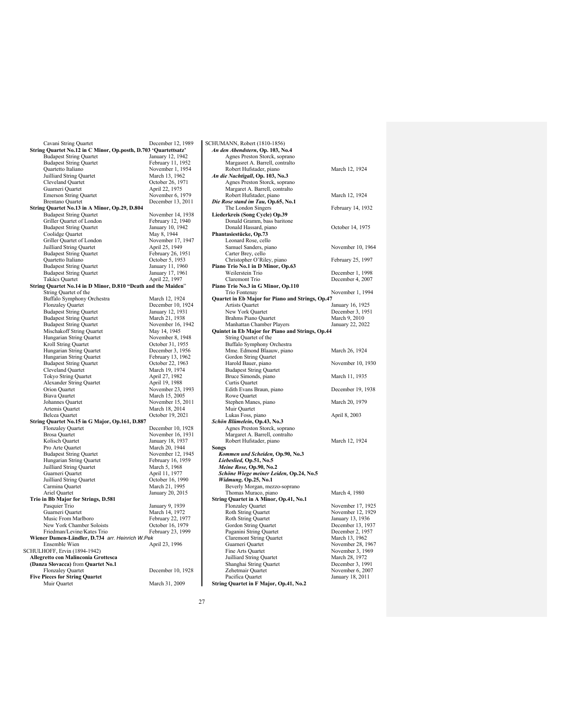| Cavani String Quartet                                                     | December 12, 1989                    |
|---------------------------------------------------------------------------|--------------------------------------|
| String Quartet No.12 in C Minor, Op.posth, D.703 'Quartettsatz'           |                                      |
| <b>Budapest String Quartet</b>                                            | January 12, 1942                     |
| <b>Budapest String Quartet</b>                                            | February 11, 1952                    |
| Quartetto Italiano                                                        | November 1, 1954                     |
| Juilliard String Quartet                                                  | March 13, 1962                       |
| Cleveland Quartet                                                         | October 26, 1971                     |
| Guarneri Quartet                                                          | April 22, 1975                       |
| <b>Emerson String Quartet</b>                                             | November 6, 1979                     |
| <b>Brentano Quartet</b>                                                   | December 13, 2011                    |
| String Quartet No.13 in A Minor, Op.29, D.804                             |                                      |
| <b>Budapest String Quartet</b>                                            | November 14, 1938                    |
| Griller Quartet of London                                                 | February 12, 1940                    |
| <b>Budapest String Quartet</b>                                            | January 10, 1942                     |
| Coolidge Quartet                                                          | May 8, 1944                          |
| Griller Quartet of London                                                 | November 17, 1947                    |
| Juilliard String Quartet                                                  | April 25, 1949                       |
| <b>Budapest String Quartet</b>                                            | February 26, 1951                    |
| Quartetto Italiano                                                        | October 5, 1953                      |
| <b>Budapest String Quartet</b>                                            | January 11, 1960                     |
| <b>Budapest String Quartet</b>                                            | January 17, 1961                     |
| Takács Quartet                                                            | April 22, 1997                       |
| String Quartet No.14 in D Minor, D.810 "Death and the Maiden"             |                                      |
| String Quartet of the                                                     |                                      |
| Buffalo Symphony Orchestra                                                | March 12, 1924                       |
| <b>Flonzaley Quartet</b>                                                  | December 10, 1924                    |
| <b>Budapest String Quartet</b>                                            | January 12, 1931                     |
| <b>Budapest String Quartet</b>                                            | March 21, 1938                       |
| <b>Budapest String Quartet</b>                                            | November 16, 1942                    |
| Mischakoff String Quartet                                                 | May 14, 1945                         |
| Hungarian String Quartet                                                  | November 8, 1948<br>October 31, 1955 |
| Kroll String Quartet<br>Hungarian String Quartet                          | December 3, 1956                     |
| Hungarian String Quartet                                                  | February 13, 1962                    |
| <b>Budapest String Quartet</b>                                            |                                      |
| Cleveland Quartet                                                         | October 22, 1963<br>March 19, 1974   |
| <b>Tokyo String Quartet</b>                                               | April 27, 1982                       |
| Alexander String Quartet                                                  | April 19, 1988                       |
| Orion Quartet                                                             | November 23, 1993                    |
| <b>Biava Qaurtet</b>                                                      | March 15, 2005                       |
| Johannes Quartet                                                          | November 15, 2011                    |
| Artemis Quartet                                                           | March 18, 2014                       |
| <b>Belcea</b> Quartet                                                     | October 19, 2021                     |
| String Quartet No.15 in G Major, Op.161, D.887                            |                                      |
| <b>Flonzaley Quartet</b>                                                  | December 10, 1928                    |
| <b>Brosa Quartet</b>                                                      | November 16, 1931                    |
| Kolisch Quartet                                                           | January 18, 1937                     |
| Pro Arte Quartet                                                          | March 20, 1944                       |
| <b>Budapest String Quartet</b>                                            | November 12, 1945                    |
| Hungarian String Quartet                                                  | February 16, 1959                    |
| Juilliard String Quartet                                                  | March 5, 1968                        |
| Guarneri Quartet                                                          | April 11, 1977                       |
| Juilliard String Quartet                                                  | October 16, 1990                     |
| Carmina Quartet                                                           | March 21, 1995                       |
| Ariel Quartet                                                             | January 20, 2015                     |
| Trio in Bb Major for Strings, D.581                                       |                                      |
| Pasquier Trio                                                             | January 9, 1939                      |
| Guarneri Quartet                                                          | March 14, 1972                       |
| Music From Marlboro                                                       | February 22, 1977                    |
| New York Chamber Soloists                                                 | October 16, 1979                     |
| Friedman/Levine/Kates Trio                                                | February 23, 1999                    |
| Wiener Damen-Ländler, D.734 arr. Heinrich W.Pek                           |                                      |
| Ensemble Wien                                                             | April 23, 1996                       |
| SCHULHOFF, Ervin (1894-1942)                                              |                                      |
| Allegretto con Malinconia Grottesca<br>(Danza Slovacca) from Quartet No.1 |                                      |
| <b>Flonzaley Quartet</b>                                                  | December 10, 1928                    |
| <b>Five Pieces for String Quartet</b>                                     |                                      |
| Muir Quartet                                                              | March 31, 2009                       |
|                                                                           |                                      |

| SCHUMANN, Robert (1810-1856)                                   |                   |
|----------------------------------------------------------------|-------------------|
| An den Abendstern, Op. 103, No.4                               |                   |
| Agnes Preston Storck, soprano                                  |                   |
| Margasret A. Barrell, contralto                                |                   |
| Robert Hufstader, piano                                        | March 12, 1924    |
| An die Nachtigall, Op. 103, No.3                               |                   |
| Agnes Preston Storck, soprano                                  |                   |
| Margaret A. Barrell, contralto                                 |                   |
| Robert Hufstader, piano                                        | March 12, 1924    |
| Die Rose stand im Tau, Op.65, No.1<br>The London Singers       | February 14, 1932 |
| Liederkreis (Song Cycle) Op.39                                 |                   |
| Donald Gramm, bass baritone                                    |                   |
| Donald Hassard, piano                                          | October 14, 1975  |
| Phantasiestücke, Op.73                                         |                   |
| Leonard Rose, cello                                            |                   |
| Samuel Sanders, piano                                          | November 10, 1964 |
| Carter Brey, cello                                             |                   |
| Christopher O'Riley, piano                                     | February 25, 1997 |
| Piano Trio No.1 in D Minor, Op.63                              |                   |
| Weilerstein Trio                                               | December 1, 1998  |
| Claremont Trio                                                 | December 4, 2007  |
| Piano Trio No.3 in G Minor, Op.110                             |                   |
| Trio Fontenay                                                  | November 1, 1994  |
| Quartet in Eb Major for Piano and Strings, Op.47               |                   |
| <b>Artists Quartet</b>                                         | January 16, 1925  |
| New York Quartet                                               | December 3, 1951  |
| <b>Brahms Piano Quartet</b>                                    | March 9, 2010     |
| Manhattan Chamber Players                                      | January 22, 2022  |
| Quintet in Eb Major for Piano and Strings, Op.44               |                   |
| String Quartet of the                                          |                   |
| Buffalo Symphony Orchestra                                     | March 26, 1924    |
| Mme. Edmond Blaauw, piano<br>Gordon String Quartet             |                   |
| Harold Bauer, piano                                            | November 10, 1930 |
| <b>Budapest String Quartet</b>                                 |                   |
| Bruce Simonds, piano                                           | March 11, 1935    |
| Curtis Quartet                                                 |                   |
| Edith Evans Braun, piano                                       | December 19, 1938 |
| Rowe Quartet                                                   |                   |
| Stephen Manes, piano                                           | March 20, 1979    |
| Muir Quartet                                                   |                   |
| Lukas Foss, piano                                              | April 8, 2003     |
| Schön Blümelein, Op.43, No.3                                   |                   |
| Agnes Preston Storck, soprano                                  |                   |
| Margaret A. Barrell, contralto                                 |                   |
| Robert Hufstader, piano                                        | March 12, 1924    |
| Songs                                                          |                   |
| Kommen und Scheiden, Op.90, No.3                               |                   |
| Liebeslied, Op.51, No.5                                        |                   |
| Meine Rose, Op.90, No.2                                        |                   |
| Schöne Wiege meiner Leiden, Op.24, No.5                        |                   |
| Widmung, Op.25, No.1                                           |                   |
| Beverly Morgan, mezzo-soprano                                  | March 4, 1980     |
| Thomas Muraco, piano<br>String Quartet in A Minor, Op.41, No.1 |                   |
| <b>Flonzaley Quartet</b>                                       | November 17, 1925 |
| Roth String Quartet                                            | November 12, 1929 |
| Roth String Quartet                                            | January 13, 1936  |
| Gordon String Quartet                                          | December 13, 1937 |
| Paganini String Quartet                                        | December 2, 1957  |
| <b>Claremont String Quartet</b>                                | March 13, 1962    |
| Guarneri Quartet                                               | November 28, 1967 |
| Fine Arts Quartet                                              | November 3, 1969  |
| Juilliard String Quartet                                       | March 28, 1972    |
| Shanghai String Quartet                                        | December 3, 1991  |
| Zehetmair Quartet                                              | November 6, 2007  |
| Pacifica Quartet                                               | January 18, 2011  |
| String Quartet in F Major, Op.41, No.2                         |                   |
|                                                                |                   |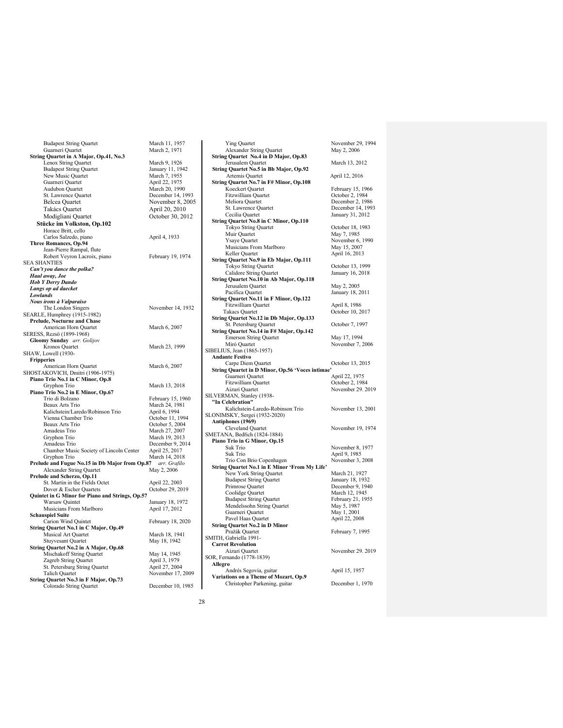Budapest String Quartet March 11, 1957<br>
Guarneri Quartet March 2, 1971 Guarneri Quartet **String Quartet in A Major, Op.41, No.3** Lenox String Quartet March 9, 1926<br>Budapest String Quartet Manuary 11, 1942 Budapest String Quartet<br>New Music Ouartet March 7, 1955<br>April 22, 1975 Guarneri Quartet April 22, 1975<br>Audubon Quartet March 20, 1990 Audubon Quartet<br>St. Lawrence Ouartet St. Lawrence Quartet December 14, 1993<br>Belcea Quartet November 8, 2005 November 8, 2005 Takács Quartet April 20, 2010<br>Modigliani Quartet Cotober 30, 2012 Modigliani Quartet **Stücke im Volkston, Op.102** Horace Britt, cello Carlos Salzedo, piano April 4, 1933 **Three Romances, Op.94** Jean-Pierre Rampal, flute Robert Veyron Lacroix, piano February 19, 1974 SEA SHANTIES *Can't you dance the polka? Haul away, Joe Hob Y Derry Dando Langs op ad daecket Lowlands Nous irons à Valparaiso* The London Singers November 14, 1932 SEARLE, Humphrey (1915-1982) **Prelude, Nocturne and Chase** American Horn Quartet March 6, 2007 SERESS, Rezsö (1899-1968) **Gloomy Sunday** *arr. Golijov* Kronos Quartet March 23, 1999 SHAW, Lowell (1930- **Fripperies** American Horn Quartet March 6, 2007 SHOSTAKOVICH, Dmitri (1906-1975) **Piano Trio No.1 in C Minor, Op.8** March 13, 2018 **Piano Trio No.2 in E Minor, Op.67** February 15, 1960<br>March 24, 1981 Beaux Arts Trio March 24, 198<br>Kalichstein/Laredo/Robinson Trio April 6, 1994 Kalichstein/Laredo/Robinson Trio April 6, 1994 Vienna Chamber Trio October 11, 1994 Beaux Arts Trio Corober 5, 2004<br>Amadeus Trio March 27, 2007 Amadeus Trio March 27, 2007<br>Gryphon Trio March 19. 2013 Gryphon Trio March 19, 2013<br>Amadeus Trio December 9, 20  $December 9, 2014$ <br>April 25, 2017 Chamber Music Society of Lincoln Center Gryphon Trio March 14, 2018<br>Ide and Fugue No.15 in Db Major from Op.87 arr. Grafilo **Prelude and Fugue No.15 in Db Major from Op.87** *arr. Grafilo* Alexander String Quartet **Prelude and Scherzo, Op.11** St. Martin in the Fields Octet April 22, 2003<br>Dover & Escher Quartets October 29, 2019 Dover & Escher Quartets **Quintet in G Minor for Piano and Strings, Op.57** January 18, 1972<br>April 17, 2012 Musicians From Marlboro **Schauspiel Suite** Carion Wind Quintet February 18, 2020 **String Quartet No.1 in C Major, Op.49** Musical Art Quartet March 18, 1941<br>
Musical Art Quartet May 18, 1942<br>
May 18, 1942 Stuyvesant Quartet **String Quartet No.2 in A Major, Op.68**<br>Mischakoff String Quartet May 14, 1945 Zagreb String Quartet April 3, 1979<br>
St. Petersburg String Quartet April 27, 2004 St. Petersburg String Quartet<br>Talich Quartet November 17, 2009 **String Quartet No.3 in F Major, Op.73** Colorado String Quartet December 10, 1985

Ying Quartet November 29, 1994<br>Alexander String Quartet May 2, 2006 Alexander String Quartet **String Quartet No.4 in D Major, Op.83** Jerusalem Quartet March 13, 2012 **String Quartet No.5 in Bb Major, Op.92**<br>Artemis Quartet Artemis Quartet **April 12, 2016**<br>**String Quartet No.7 in F# Minor, Op.108** Koeckert Quartet February 15, 1966<br>Fitzwilliam Quartet Fitzwilliam October 2, 1984 Fitzwilliam Quartet<br>Meliora Quartet December 2, 1986<br>December 14, 1993 St. Lawrence Quartet Cecilia Quartet January 31, 2012 **String Quartet No.8 in C Minor, Op.110** Tokyo String Quartet <sup>T</sup><br>Tokyo String Quartet **October 18, 1983**<br>Muir Quartet May 7, 1985 Muir Quartet<br>Ysaye Quartet November 6, 1990<br>May 15, 2007 Musicians From Marlboro Keller Quartet April 16, 2013 **String Quartet No.9 in Eb Major, Op.111** Tokyo String Quartet October 13, 1999 Calidore String Quartet **January 16, 2018**<br> **String Quartet No.10 in Ab Major, Op.118** Jerusalem Quartet May 2, 2005 January 18, 2011 **String Quartet No.11 in F Minor, Op.122** Fitzwilliam Quartet April 8, 1986<br>Takacs Quartet April 8, 1986<br>October 10, 2017 Takacs Quartet **No.12 in Db Major, Op.133** October 10, 2017 St. Petersburg Quartet **October 7, 1997**<br> **String Quartet No.14 in F# Major, Op.142** Emerson String Quartet<br>
May 17, 1994<br>
Miró Quartet Movember 7, 2006 Miró Quartet November 7, 2006 SIBELIUS, Jean (1865-1957) **Andante Festivo** Carpe Diem Quartet October 13, 2015 **String Quartet in D Minor, Op.56 'Voces intimae'**<br>Guarneri Quartet April 22, 1975 Guarneri Quartet April 22, 1975 Fitzwilliam Quartet Aizuri Quartet November 29. 2019 SILVERMAN, Stanley (1938-**"In Celebration"** Kalichstein-Laredo-Robinson Trio November 13, 2001 SLONIMSKY, Sergei (1932-2020) **Antiphones (1969)** November 19, 1974 SMETANA, Bedřich (1824-1884) **Piano Trio in G Minor, Op.15** Suk Trio November 8, 1977<br>
Suk Trio April 9, 1985 Suk Trio Con Brio Copenhagen<br>
Trio Con Brio Copenhagen<br> **String Quartet No.1 in E Minor 'From My Life'**<br> **String Quartet No.1 in E Minor 'From My Life'** New York String Quartet March 21, 1927<br>Budapest String Quartet January 18, 1932 Budapest String Quartet **Franch Communist Communist Communist** January 18, 1932<br>Primrose Quartet **December 9**, 1940 Coolidge Quartet March 12, 1945<br>Budapest String Quartet February 21, 1955 Budapest String Quartet February 21,<br>Mendelssohn String Quartet May 5, 1987 Mendelssohn String Quartet May 5, 1987<br>Guarneri Quartet May 1, 2001 Guarneri Quartet May 1, 2001<br>Pavel Haas Quartet May 1, 2008 Pavel Haas Quartet **String Quartet No.2 in D Minor** Pražák Quartet February 7, 1995 SMITH, Gabriella 1991- **Carrot Revolution** November 29. 2019 SOR, Fernando (1778-1839) **Allegro** Andrés Segovia, guitar April 15, 1957 **Variations on a Theme of Mozart, Op.9**  Christopher Parkening, guitar December 1, 1970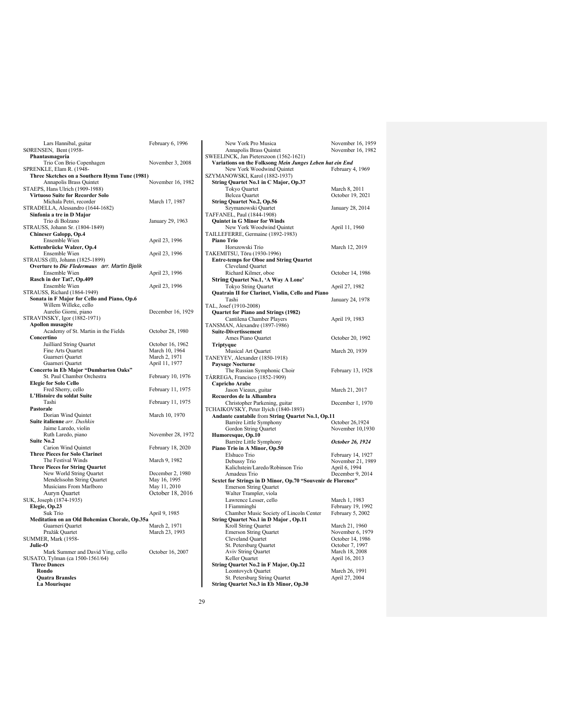| Lars Hannibal, guitar                                      | February 6, 1996                |
|------------------------------------------------------------|---------------------------------|
| SØRENSEN, Bent (1958-                                      |                                 |
| Phantasmagoria                                             |                                 |
| Trio Con Brio Copenhagen                                   | November 3, 2008                |
| SPRENKLE, Elam R. (1948-                                   |                                 |
| Three Sketches on a Southern Hymn Tune (1981)              |                                 |
| Annapolis Brass Quintet<br>STAEPS, Hans Ulrich (1909-1988) | November 16, 1982               |
| Virtuoso Suite for Recorder Solo                           |                                 |
| Michala Petri, recorder                                    | March 17, 1987                  |
| STRADELLA, Alessandro (1644-1682)                          |                                 |
| Sinfonia a tre in D Major                                  |                                 |
| Trio di Bolzano                                            | January 29, 1963                |
| STRAUSS, Johann Sr. (1804-1849)                            |                                 |
| <b>Chineser Galopp, Op.4</b>                               |                                 |
| Ensemble Wien                                              | April 23, 1996                  |
| Kettenbrücke Walzer, Op.4                                  |                                 |
| Ensemble Wien                                              | April 23, 1996                  |
| STRAUSS (II), Johann (1825-1899)                           |                                 |
| Overture to Die Fledermaus arr. Martin Bjelik              |                                 |
| Ensemble Wien<br>Rasch in der Tat?, Op.409                 | April 23, 1996                  |
| Ensemble Wien                                              | April 23, 1996                  |
| STRAUSS, Richard (1864-1949)                               |                                 |
| Sonata in F Major for Cello and Piano, Op.6                |                                 |
| Willem Willeke, cello                                      |                                 |
| Aurelio Giorni, piano                                      | December 16, 1929               |
| STRAVINSKY, Igor (1882-1971)                               |                                 |
| Apollon musagète                                           |                                 |
| Academy of St. Martin in the Fields                        | October 28, 1980                |
| Concertino                                                 |                                 |
| Juilliard String Quartet                                   | October 16, 1962                |
| Fine Arts Quartet<br>Guarneri Quartet                      | March 10, 1964<br>March 2, 1971 |
| Guarneri Quartet                                           | April 11, 1977                  |
| Concerto in Eb Major "Dumbarton Oaks"                      |                                 |
| St. Paul Chamber Orchestra                                 | February 10, 1976               |
| <b>Elegie for Solo Cello</b>                               |                                 |
| Fred Sherry, cello                                         | February 11, 1975               |
| L'Histoire du soldat Suite                                 |                                 |
| Tashi                                                      | February 11, 1975               |
| Pastorale                                                  |                                 |
| Dorian Wind Quintet<br>Suite italienne arr. Dushkin        | March 10, 1970                  |
| Jaime Laredo, violin                                       |                                 |
| Ruth Laredo, piano                                         | November 28, 1972               |
| Suite No.2                                                 |                                 |
| Carion Wind Quintet                                        | February 18, 2020               |
| <b>Three Pieces for Solo Clarinet</b>                      |                                 |
| The Festival Winds                                         | March 9, 1982                   |
| <b>Three Pieces for String Quartet</b>                     |                                 |
| New World String Quartet                                   | December 2, 1980                |
| Mendelssohn String Quartet                                 | May 16, 1995                    |
| Musicians From Marlboro                                    | May 11, 2010                    |
| Auryn Quartet                                              | October 18, 2016                |
| SUK, Joseph (1874-1935)                                    |                                 |
| Elegie, Op.23<br>Suk Trio                                  | April 9, 1985                   |
| Meditation on an Old Bohemian Chorale, Op.35a              |                                 |
| Guarneri Quartet                                           | March 2, 1971                   |
| Pražák Quartet                                             | March 23, 1993                  |
| SUMMER, Mark (1958-                                        |                                 |
| Julie-O                                                    |                                 |
| Mark Summer and David Ying, cello                          | October 16, 2007                |
| SUSATO, Tylman (ca 1500-1561/64)                           |                                 |
| <b>Three Dances</b><br>Rondo                               |                                 |
| <b>Quatra Bransles</b>                                     |                                 |
| <b>La Mourisque</b>                                        |                                 |
|                                                            |                                 |

| New York Pro Musica                                                                        | November 16, 1959 |
|--------------------------------------------------------------------------------------------|-------------------|
| Annapolis Brass Quintet                                                                    | November 16, 1982 |
| SWEELINCK, Jan Pieterszoon (1562-1621)                                                     |                   |
| Variations on the Folksong Mein Junges Leben hat ein End                                   |                   |
| New York Woodwind Quintet                                                                  | February 4, 1969  |
| SZYMANOWSKI, Karol (1882-1937)                                                             |                   |
| String Quartet No.1 in C Major, Op.37                                                      |                   |
| Tokyo Quartet                                                                              | March 8, 2011     |
| <b>Belcea</b> Quartet<br><b>String Quartet No.2, Op.56</b>                                 | October 19, 2021  |
| Szymanowski Quartet                                                                        | January 28, 2014  |
| TAFFANEL, Paul (1844-1908)                                                                 |                   |
| <b>Quintet in G Minor for Winds</b>                                                        |                   |
| New York Woodwind Quintet                                                                  | April 11, 1960    |
| TAILLEFERRE, Germaine (1892-1983)                                                          |                   |
| Piano Trio                                                                                 |                   |
| Horszowski Trio                                                                            | March 12, 2019    |
| TAKEMITSU, Tōru (1930-1996)                                                                |                   |
| <b>Entre-temps for Oboe and String Quartet</b>                                             |                   |
| Cleveland Quartet                                                                          |                   |
| Richard Kilmer, oboe                                                                       | October 14, 1986  |
| String Quartet No.1, 'A Way A Lone'                                                        |                   |
| Tokyo String Quartet                                                                       | April 27, 1982    |
| Quatrain II for Clarinet, Violin, Cello and Piano                                          |                   |
| Tashi                                                                                      | January 24, 1978  |
| TAL, Josef (1910-2008)<br>Quartet for Piano and Strings (1982)                             |                   |
| Cantilena Chamber Players                                                                  | April 19, 1983    |
| TANSMAN, Alexandre (1897-1986)                                                             |                   |
| <b>Suite-Divertissement</b>                                                                |                   |
| Ames Piano Quartet                                                                         | October 20, 1992  |
| Triptyque                                                                                  |                   |
| Musical Art Quartet                                                                        | March 20, 1939    |
| TANEYEV, Alexander (1850-1918)                                                             |                   |
| <b>Paysage Nocturne</b>                                                                    |                   |
| The Russian Symphonic Choir                                                                | February 13, 1928 |
| TÁRREGA, Francisco (1852-1909)                                                             |                   |
| Capricho Arabe                                                                             |                   |
| Jason Vieaux, guitar                                                                       | March 21, 2017    |
| Recuerdos de la Alhambra                                                                   |                   |
| Christopher Parkening, guitar                                                              | December 1, 1970  |
| TCHAIKOVSKY, Peter Ilyich (1840-1893)<br>Andante cantabile from String Quartet No.1, Op.11 |                   |
| Barrère Little Symphony                                                                    | October 26,1924   |
| Gordon String Quartet                                                                      | November 10,1930  |
| Humoresque, Op.10                                                                          |                   |
| Barrère Little Symphony                                                                    | October 26, 1924  |
| Piano Trio in A Minor, Op.50                                                               |                   |
| Elshuco Trio                                                                               | February 14, 1927 |
| Debussy Trio                                                                               | November 21, 1989 |
| Kalichstein/Laredo/Robinson Trio                                                           | April 6, 1994     |
| Amadeus Trio                                                                               | December 9, 2014  |
| Sextet for Strings in D Minor, Op.70 "Souvenir de Florence"                                |                   |
| <b>Emerson String Quartet</b>                                                              |                   |
| Walter Trampler, viola                                                                     |                   |
| Lawrence Lesser, cello                                                                     | March 1, 1983     |
| I Fiamminghi                                                                               | February 19, 1992 |
| Chamber Music Society of Lincoln Center<br>String Quartet No.1 in D Major, Op.11           | February 5, 2002  |
| Kroll String Quartet                                                                       | March 21, 1960    |
| <b>Emerson String Quartet</b>                                                              | November 6, 1979  |
| Cleveland Quartet                                                                          | October 14, 1986  |
| St. Petersburg Quartet                                                                     | October 7, 1997   |
| <b>Aviv String Quartet</b>                                                                 | March 18, 2008    |
| Keller Quartet                                                                             | April 16, 2013    |
| String Quartet No.2 in F Major, Op.22                                                      |                   |
| Leontovych Quartet                                                                         | March 26, 1991    |
| St. Petersburg String Quartet                                                              | April 27, 2004    |
| String Quartet No.3 in Eb Minor, Op.30                                                     |                   |
|                                                                                            |                   |
|                                                                                            |                   |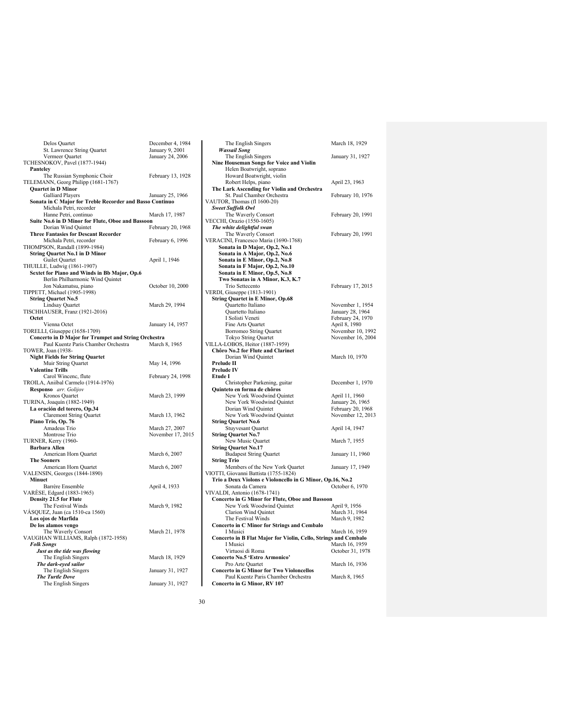| Delos Quartet                                               | December 4, 1984  |
|-------------------------------------------------------------|-------------------|
| St. Lawrence String Quartet                                 | January 9, 2001   |
| Vermeer Quartet                                             | January 24, 2006  |
| TCHESNOKOV, Pavel (1877-1944)                               |                   |
| Pantelev                                                    |                   |
| The Russian Symphonic Choir                                 | February 13, 1928 |
| TELEMANN, Georg Philipp (1681-1767)                         |                   |
| <b>Quartet in D Minor</b>                                   |                   |
| <b>Galliard Players</b>                                     | January 25, 1966  |
| Sonata in C Major for Treble Recorder and Basso Continuo    |                   |
| Michala Petri, recorder                                     |                   |
| Hanne Petri, continuo                                       | March 17, 1987    |
| Suite No.6 in D Minor for Flute, Oboe and Bassoon           |                   |
| Dorian Wind Quintet                                         | February 20, 1968 |
| <b>Three Fantasies for Descant Recorder</b>                 |                   |
| Michala Petri, recorder                                     | February 6, 1996  |
| THOMPSON, Randall (1899-1984)                               |                   |
| <b>String Quartet No.1 in D Minor</b>                       |                   |
| <b>Guilet Quartet</b>                                       | April 1, 1946     |
| THUILLE, Ludwig (1861-1907)                                 |                   |
| Sextet for Piano and Winds in Bb Major, Op.6                |                   |
| Berlin Philharmonic Wind Quintet                            |                   |
| Jon Nakamatsu, piano                                        | October 10, 2000  |
| TIPPETT, Michael (1905-1998)                                |                   |
| <b>String Quartet No.5</b>                                  |                   |
| Lindsay Quartet                                             | March 29, 1994    |
| TISCHHAUSER, Franz (1921-2016)                              |                   |
| Octet                                                       |                   |
| Vienna Octet                                                | January 14, 1957  |
| TORELLI, Giuseppe (1658-1709)                               |                   |
| <b>Concerto in D Major for Trumpet and String Orchestra</b> |                   |
| Paul Kuentz Paris Chamber Orchestra                         | March 8, 1965     |
| TOWER, Joan (1938-                                          |                   |
| <b>Night Fields for String Quartet</b>                      |                   |
| Muir String Quartet<br><b>Valentine Trills</b>              | May 14, 1996      |
| Carol Wincenc, flute                                        | February 24, 1998 |
| TROILA, Aniíbal Carmelo (1914-1976)                         |                   |
| Responso arr. Golijov                                       |                   |
| Kronos Quartet                                              | March 23, 1999    |
| TURINA, Joaquín (1882-1949)                                 |                   |
| La oración del torero, Op.34                                |                   |
| <b>Claremont String Quartet</b>                             | March 13, 1962    |
| Piano Trio, Op. 76                                          |                   |
| Amadeus Trio                                                | March 27, 2007    |
| Montrose Trio                                               | November 17, 2015 |
| TURNER, Kerry (1960-                                        |                   |
| <b>Barbara Allen</b>                                        |                   |
| American Horn Quartet                                       | March 6, 2007     |
| <b>The Sooners</b>                                          |                   |
| American Horn Quartet                                       | March 6, 2007     |
| VALENSIN, Georges (1844-1890)                               |                   |
| Minuet                                                      |                   |
| Barrère Ensemble                                            | April 4, 1933     |
| VARÉSE, Edgard (1883-1965)                                  |                   |
| Density 21.5 for Flute                                      |                   |
| The Festival Winds                                          | March 9, 1982     |
| VÁSQUEZ, Juan (ca 1510-ca 1560)                             |                   |
| Los ojos de Marfida                                         |                   |
| De los alamos vengo                                         |                   |
| The Waverly Consort                                         | March 21, 1978    |
| VAUGHAN WILLIAMS, Ralph (1872-1958)                         |                   |
| <b>Folk Songs</b>                                           |                   |
| Just as the tide was flowing                                |                   |
| The English Singers                                         | March 18, 1929    |
| The dark-eyed sailor                                        |                   |
| The English Singers                                         | January 31, 1927  |
| <b>The Turtle Dove</b>                                      |                   |
| The English Singers                                         | January 31, 1927  |
|                                                             |                   |

| The English Singers                                                                 | March 18, 1929                     |
|-------------------------------------------------------------------------------------|------------------------------------|
| <b>Wassail Song</b><br>The English Singers                                          | January 31, 1927                   |
| Nine Houseman Songs for Voice and Violin                                            |                                    |
| Helen Boatwright, soprano                                                           |                                    |
| Howard Boatwright, violin                                                           |                                    |
| Robert Helps, piano                                                                 | April 23, 1963                     |
| The Lark Ascending for Violin and Orchestra<br>St. Paul Chamber Orchestra           | February 10, 1976                  |
| VAUTOR, Thomas (fl 1600-20)                                                         |                                    |
| Sweet Suffolk Owl                                                                   |                                    |
| The Waverly Consort                                                                 | February 20, 1991                  |
| VECCHI, Orazio (1550-1605)                                                          |                                    |
| The white delightful swan<br>The Waverly Consort                                    |                                    |
| VERACINI, Francesco Maria (1690-1768)                                               | February 20, 1991                  |
| Sonata in D Major, Op.2, No.1                                                       |                                    |
| Sonata in A Major, Op.2, No.6                                                       |                                    |
| Sonata in E Minor, Op.2, No.8                                                       |                                    |
| Sonata in F Major, Op.2, No.10                                                      |                                    |
| Sonata in E Minor, Op.5, No.8<br>Two Sonatas in A Minor, K.3, K.7                   |                                    |
| Trio Settecento                                                                     | February 17, 2015                  |
| VERDI, Giuseppe (1813-1901)                                                         |                                    |
| <b>String Quartet in E Minor, Op.68</b>                                             |                                    |
| Quartetto Italiano                                                                  | November 1, 1954                   |
| Ouartetto Italiano<br>I Solisti Veneti                                              | January 28, 1964                   |
| Fine Arts Quartet                                                                   | February 24, 1970<br>April 8, 1980 |
| <b>Borromeo String Quartet</b>                                                      | November 10, 1992                  |
| Tokyo String Quartet                                                                | November 16, 2004                  |
| VILLA-LOBOS, Heitor (1887-1959)                                                     |                                    |
| Chôro No.2 for Flute and Clarinet<br>Dorian Wind Quintet                            | March 10, 1970                     |
| Prelude II                                                                          |                                    |
| Prelude IV                                                                          |                                    |
| Etude I                                                                             |                                    |
| Christopher Parkening, guitar                                                       | December 1, 1970                   |
| Quinteto en forma de chôros<br>New York Woodwind Quintet                            | April 11, 1960                     |
| New York Woodwind Quintet                                                           | January 26, 1965                   |
| Dorian Wind Quintet                                                                 | February 20, 1968                  |
| New York Woodwind Quintet                                                           | November 12, 2013                  |
| <b>String Quartet No.6</b>                                                          |                                    |
| <b>Stuyvesant Quartet</b><br><b>String Quartet No.7</b>                             | April 14, 1947                     |
| New Music Quartet                                                                   | March 7, 1955                      |
| <b>String Quartet No.17</b>                                                         |                                    |
| <b>Budapest String Quartet</b>                                                      | January 11, 1960                   |
| <b>String Trio</b>                                                                  | January 17, 1949                   |
| Members of the New York Quartet<br>VIOTTI, Giovanni Battista (1755-1824)            |                                    |
| Trio a Deux Violons e Violoncello in G Minor, Op.16, No.2                           |                                    |
| Sonata da Camera                                                                    | October 6, 1970                    |
| VIVALDI, Antonio (1678-1741)                                                        |                                    |
| <b>Concerto in G Minor for Flute, Oboe and Bassoon</b><br>New York Woodwind Quintet | April 9, 1956                      |
| Clarion Wind Quintet                                                                | March 31, 1964                     |
| The Festival Winds                                                                  | March 9, 1982                      |
| Concerto in C Minor for Strings and Cembalo                                         |                                    |
| I Musici                                                                            | March 16, 1959                     |
| Concerto in B Flat Major for Violin, Cello, Strings and Cembalo<br>I Musici         | March 16, 1959                     |
| Virtuosi di Roma                                                                    | October 31, 1978                   |
| Concerto No.5 'Estro Armonico'                                                      |                                    |
| Pro Arte Quartet                                                                    | March 16, 1936                     |
| <b>Concerto in G Minor for Two Violoncellos</b>                                     |                                    |
| Paul Kuentz Paris Chamber Orchestra<br>Concerto in G Minor, RV 107                  | March 8, 1965                      |
|                                                                                     |                                    |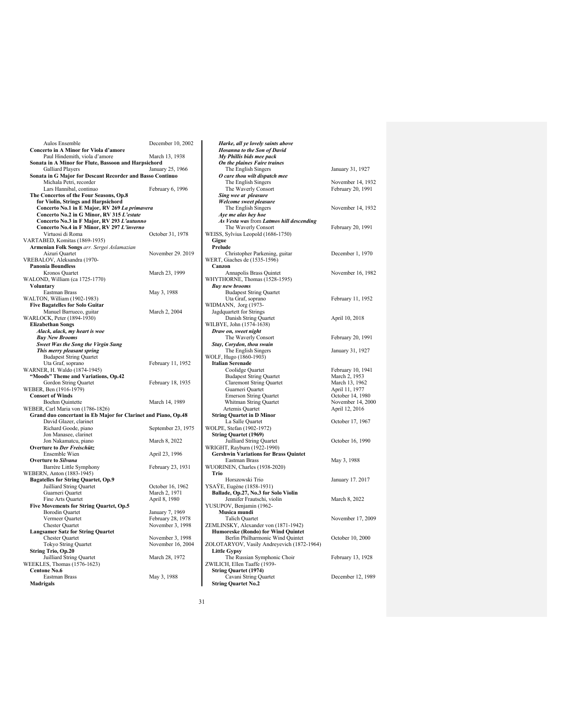| Aulos Ensemble                                                 | December 10, 2002  |
|----------------------------------------------------------------|--------------------|
| Concerto in A Minor for Viola d'amore                          |                    |
| Paul Hindemith, viola d'amore                                  | March 13, 1938     |
| Sonata in A Minor for Flute, Bassoon and Harpsichord           |                    |
| <b>Galliard Players</b>                                        | January 25, 1966   |
| Sonata in G Major for Descant Recorder and Basso Continuo      |                    |
| Michala Petri, recorder                                        |                    |
| Lars Hannibal, continuo                                        | February 6, 1996   |
| The Concertos of the Four Seasons, Op.8                        |                    |
| for Violin, Strings and Harpsichord                            |                    |
| Concerto No.1 in E Major, RV 269 La primavera                  |                    |
| Concerto No.2 in G Minor, RV 315 L'estate                      |                    |
| Concerto No.3 in F Major, RV 293 L'autunno                     |                    |
| Concerto No.4 in F Minor, RV 297 L'inverno                     |                    |
| Virtuosi di Roma                                               | October 31, 1978   |
| VARTABED, Komitas (1869-1935)                                  |                    |
| Armenian Folk Songs arr. Sergei Aslamazian                     |                    |
| Aizuri Quartet                                                 | November 29. 2019  |
| VREBALOV, Aleksandra (1970-                                    |                    |
| <b>Panonia Boundless</b>                                       |                    |
| Kronos Quartet                                                 | March 23, 1999     |
| WALOND, William (ca 1725-1770)                                 |                    |
| Voluntary                                                      |                    |
| Eastman Brass                                                  | May 3, 1988        |
| WALTON, William (1902-1983)                                    |                    |
| <b>Five Bagatelles for Solo Guitar</b>                         |                    |
| Manuel Barrueco, guitar                                        | March 2, 2004      |
| WARLOCK, Peter (1894-1930)                                     |                    |
| <b>Elizabethan Songs</b>                                       |                    |
| Alack, alack, my heart is woe                                  |                    |
| <b>Buy New Brooms</b>                                          |                    |
| Sweet Was the Song the Virgin Sung                             |                    |
| This merry pleasant spring                                     |                    |
| <b>Budapest String Quartet</b><br>Uta Graf, soprano            | February 11, 1952  |
| WARNER, H. Waldo (1874-1945)                                   |                    |
| "Moods" Theme and Variations, Op.42                            |                    |
| Gordon String Quartet                                          | February 18, 1935  |
| WEBER, Ben (1916-1979)                                         |                    |
| <b>Consort of Winds</b>                                        |                    |
| Boehm Quintette                                                | March 14, 1989     |
| WEBER, Carl Maria von (1786-1826)                              |                    |
| Grand duo concertant in Eb Major for Clarinet and Piano, Op.48 |                    |
| David Glazer, clarinet                                         |                    |
| Richard Goode, piano                                           | September 23, 1975 |
| Jon Manasee, clarinet                                          |                    |
| Jon Nakamatcu, piano                                           | March 8, 2022      |
| <b>Overture to Der Freischütz</b>                              |                    |
| Ensemble Wien                                                  | April 23, 1996     |
| <b>Overture to Silvana</b>                                     |                    |
| Barrère Little Symphony                                        | February 23, 1931  |
| WEBERN, Anton (1883-1945)                                      |                    |
| <b>Bagatelles for String Quartet, Op.9</b>                     |                    |
| Juilliard String Quartet                                       | October 16, 1962   |
| Guarneri Quartet                                               | March 2, 1971      |
| Fine Arts Quartet                                              | April 8, 1980      |
| Five Movements for String Quartet, Op.5                        |                    |
| <b>Borodin Quartet</b>                                         | January 7, 1969    |
| Vermeer Quartet                                                | February 28, 1978  |
| <b>Chester Quartet</b>                                         | November 3, 1998   |
| <b>Langsamer Satz for String Quartet</b>                       |                    |
| <b>Chester Quartet</b>                                         | November 3, 1998   |
| Tokyo String Quartet                                           | November 16, 2004  |
| <b>String Trio, Op.20</b>                                      |                    |
| Juilliard String Quartet                                       | March 28, 1972     |
| WEEKLES, Thomas (1576-1623)<br><b>Centone No.6</b>             |                    |
| Eastman Brass                                                  | May 3, 1988        |
| Madrigals                                                      |                    |
|                                                                |                    |

| Harke, all ye lovely saints above<br><b>Hosanna to the Son of David</b>    |                                    |
|----------------------------------------------------------------------------|------------------------------------|
| My Phillis bids mee pack                                                   |                                    |
| On the plaines Faire traines                                               |                                    |
| The English Singers                                                        | January 31, 1927                   |
| O care thou wilt dispatch mee                                              |                                    |
| The English Singers                                                        | November 14, 1932                  |
| The Waverly Consort                                                        | February 20, 1991                  |
| Sing wee at pleasure                                                       |                                    |
| Welcome sweet pleasure                                                     |                                    |
| The English Singers                                                        | November 14, 1932                  |
| Aye me alas hey hoe<br>As Vesta was from Latmos hill descending            |                                    |
| The Waverly Consort                                                        |                                    |
| WEISS, Sylvius Leopold (1686-1750)                                         | February 20, 1991                  |
| Gigue                                                                      |                                    |
| Prelude                                                                    |                                    |
| Christopher Parkening, guitar                                              | December 1, 1970                   |
| WERT, Giaches de (1535-1596)                                               |                                    |
| Canzon                                                                     |                                    |
| Annapolis Brass Quintet                                                    | November 16, 1982                  |
| WHYTHORNE, Thomas (1528-1595)                                              |                                    |
| <b>Buy new brooms</b>                                                      |                                    |
| <b>Budapest String Quartet</b>                                             |                                    |
| Uta Graf, soprano                                                          | February 11, 1952                  |
| WIDMANN, Jorg (1973-                                                       |                                    |
| Jagdquartett for Strings                                                   |                                    |
| Danish String Quartet                                                      | April 10, 2018                     |
| WILBYE, John (1574-1638)                                                   |                                    |
| Draw on, sweet night                                                       |                                    |
| The Waverly Consort                                                        | February 20, 1991                  |
| Stay, Corydon, thou swain                                                  |                                    |
| The English Singers                                                        | January 31, 1927                   |
| WOLF, Hugo (1860-1903)                                                     |                                    |
| <b>Italian Serenade</b>                                                    |                                    |
| Coolidge Quartet<br><b>Budapest String Quartet</b>                         | February 10, 1941<br>March 2, 1953 |
| <b>Claremont String Quartet</b>                                            | March 13, 1962                     |
| Guarneri Quartet                                                           |                                    |
| <b>Emerson String Quartet</b>                                              | April 11, 1977<br>October 14, 1980 |
| Whitman String Quartet                                                     | November 14, 2000                  |
| Artemis Quartet                                                            | April 12, 2016                     |
| <b>String Quartet in D Minor</b>                                           |                                    |
|                                                                            |                                    |
|                                                                            |                                    |
| La Salle Quartet                                                           | October 17, 1967                   |
| WOLPE, Stefan (1902-1972)                                                  |                                    |
| <b>String Quartet (1969)</b><br>Juilliard String Quartet                   | October 16, 1990                   |
| WRIGHT, Rayburn (1922-1990)                                                |                                    |
| <b>Gershwin Variations for Brass Quintet</b>                               |                                    |
| Eastman Brass                                                              | May 3, 1988                        |
| WUORINEN, Charles (1938-2020)                                              |                                    |
| Trio                                                                       |                                    |
| Horszowski Trio                                                            | January 17. 2017                   |
| YSAŸE, Eugène (1858-1931)                                                  |                                    |
| Ballade, Op.27, No.3 for Solo Violin                                       |                                    |
| Jennifer Frautschi, violin                                                 | March 8, 2022                      |
| YUSUPOV, Benjamin (1962-                                                   |                                    |
| Musica mundi<br><b>Talich Quartet</b>                                      | November 17, 2009                  |
|                                                                            |                                    |
| ZEMLINSKY, Alexander von (1871-1942)<br>Humoreske (Rondo) for Wind Quintet |                                    |
| Berlin Philharmonic Wind Quintet                                           | October 10, 2000                   |
| ZOLOTARYOV, Vasily Andreyevich (1872-1964)                                 |                                    |
| <b>Little Gypsy</b>                                                        |                                    |
| The Russian Symphonic Choir                                                | February 13, 1928                  |
| ZWILICH, Ellen Taaffe (1939-                                               |                                    |
| <b>String Quartet (1974)</b>                                               |                                    |
| Cavani String Quartet<br><b>String Quartet No.2</b>                        | December 12, 1989                  |